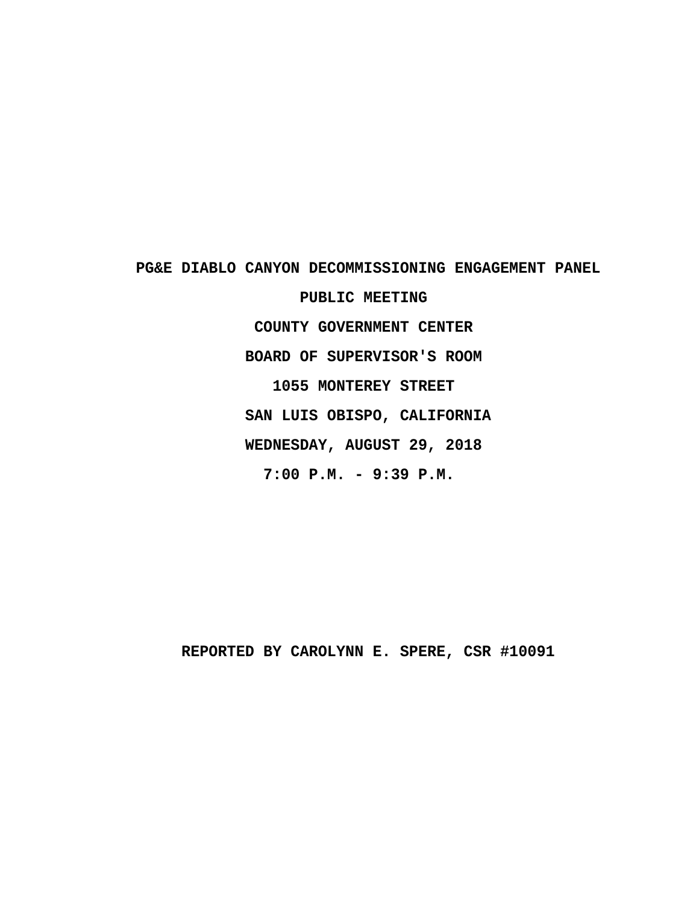PG&E DIABLO CANYON DECOMMISSIONING ENGAGEMENT PANEL PUBLIC MEETING **· · · · · · · · · COUNTY GOVERNMENT CENTER · · · · · · · · ·BOARD OF SUPERVISOR'S ROOM · · · · · · · · · · 1055 MONTEREY STREET** SAN LUIS OBISPO, CALIFORNIA **· · · · · · · · ·WEDNESDAY, AUGUST 29, 2018 · · · · · · · · · ·7:00 P.M. - 9:39 P.M.**

REPORTED BY CAROLYNN E. SPERE, CSR #10091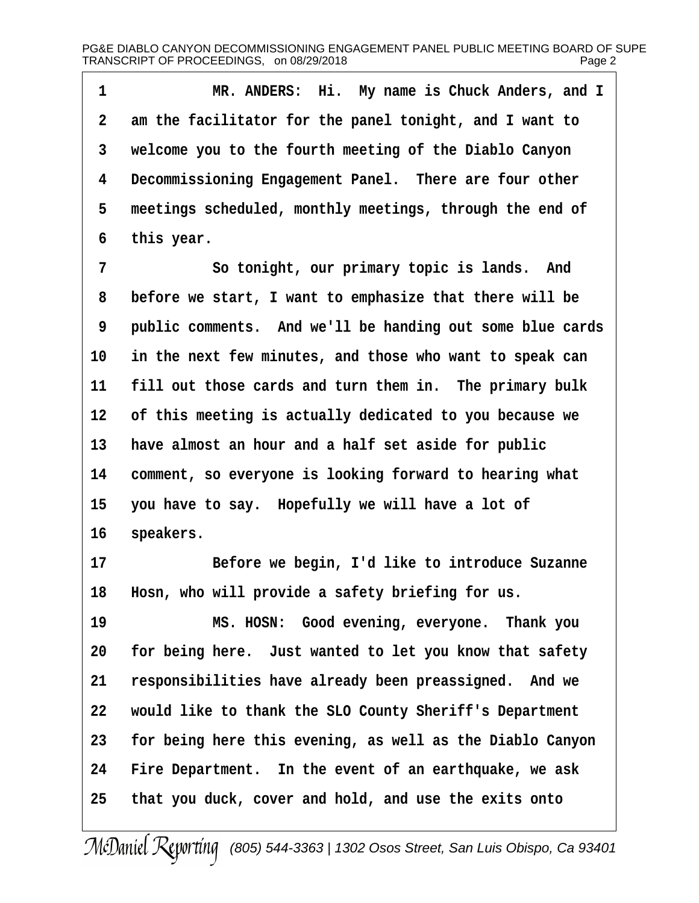1 **\*\*\*** MR. ANDERS: Hi. My name is Chuck Anders, and I **·2· ·am the facilitator for the panel tonight, and I want to ·3· ·welcome you to the fourth meeting of the Diablo Canyon ·4· ·Decommissioning Engagement Panel.· There are four other** 5 meetings scheduled, monthly meetings, through the end of **·6· ·this year.**

**·7· · · · · · ·So tonight, our primary topic is lands.· And ·8· ·before we start, I want to emphasize that there will be ·9· ·public comments.· And we'll be handing out some blue cards 10· ·in the next few minutes, and those who want to speak can** 11 **fill out those cards and turn them in.** The primary bulk 12 of this meeting is actually dedicated to you because we **13· ·have almost an hour and a half set aside for public** 14 comment, so everyone is looking forward to hearing what 15 you have to say. Hopefully we will have a lot of 16 speakers.

**17· · · · · · ·Before we begin, I'd like to introduce Suzanne** 18 **Hosn, who will provide a safety briefing for us.** 

**19· · · · · · ·MS. HOSN:· Good evening, everyone.· Thank you 20· ·for being here.· Just wanted to let you know that safety** 21 responsibilities have already been preassigned. And we **22· ·would like to thank the SLO County Sheriff's Department 23· ·for being here this evening, as well as the Diablo Canyon** 24 Fire Department. In the event of an earthquake, we ask **25· ·that you duck, cover and hold, and use the exits onto**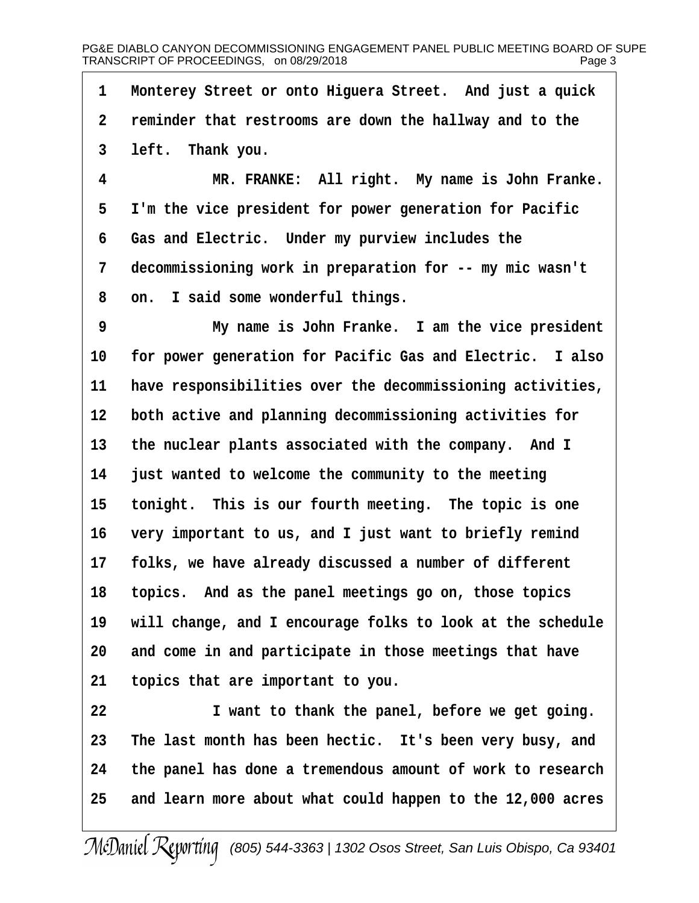**·1· ·Monterey Street or onto Higuera Street.· And just a quick ·2· ·reminder that restrooms are down the hallway and to the ·3· ·left.· Thank you.**

**·4· · · · · · ·MR. FRANKE:· All right.· My name is John Franke. ·5· ·I'm the vice president for power generation for Pacific ·6· ·Gas and Electric.· Under my purview includes the ·7· ·decommissioning work in preparation for -- my mic wasn't ·8· ·on.· I said some wonderful things.**

**·9· · · · · · ·My name is John Franke.· I am the vice president** 10 for power generation for Pacific Gas and Electric. I also 11 have responsibilities over the decommissioning activities, 12 both active and planning decommissioning activities for 13 the nuclear plants associated with the company. And I **14· ·just wanted to welcome the community to the meeting** 15 tonight. This is our fourth meeting. The topic is one 16 very important to us, and I just want to briefly remind 17 **folks, we have already discussed a number of different 18· ·topics.· And as the panel meetings go on, those topics 19· ·will change, and I encourage folks to look at the schedule** 20 and come in and participate in those meetings that have **21· ·topics that are important to you.**

**22· · · · · · ·I want to thank the panel, before we get going. 23· ·The last month has been hectic.· It's been very busy, and 24· ·the panel has done a tremendous amount of work to research 25· ·and learn more about what could happen to the 12,000 acres**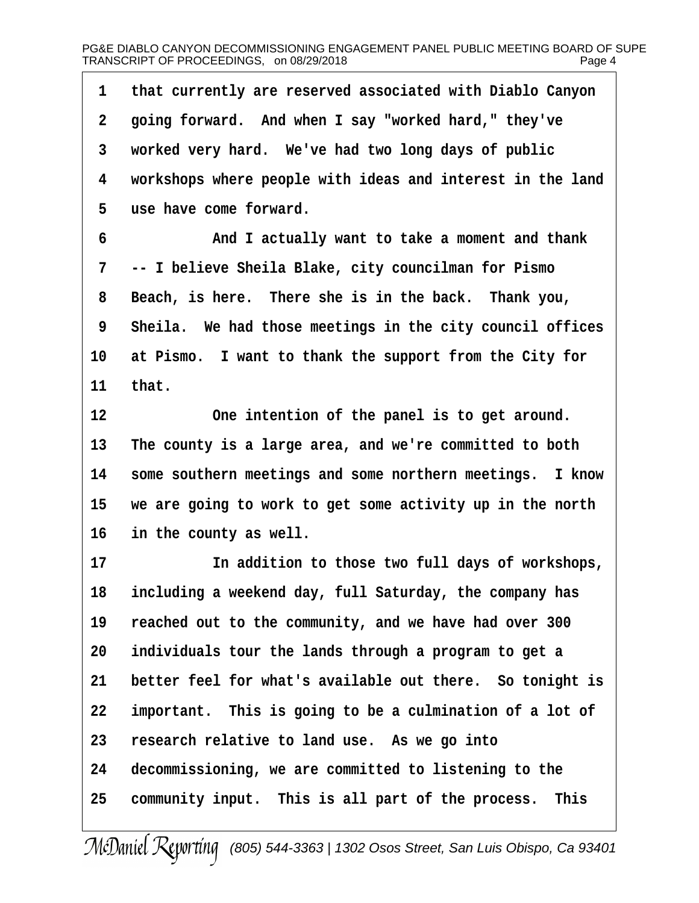**·1· ·that currently are reserved associated with Diablo Canyon ·2· ·going forward.· And when I say "worked hard," they've ·3· ·worked very hard.· We've had two long days of public ·4· ·workshops where people with ideas and interest in the land ·5· ·use have come forward. ·6· · · · · · ·And I actually want to take a moment and thank ·7· ·-- I believe Sheila Blake, city councilman for Pismo** 8 Beach, is here. There she is in the back. Thank you, **·9· ·Sheila.· We had those meetings in the city council offices** 10 at Pismo. I want to thank the support from the City for **11· ·that.** 12 **12** One intention of the panel is to get around. **13· ·The county is a large area, and we're committed to both 14· ·some southern meetings and some northern meetings.· I know 15· ·we are going to work to get some activity up in the north** 16 in the county as well. 17 **17 18** In addition to those two full days of workshops, **18· ·including a weekend day, full Saturday, the company has** 19 reached out to the community, and we have had over 300 **20· ·individuals tour the lands through a program to get a** 21 better feel for what's available out there. So tonight is **22· ·important.· This is going to be a culmination of a lot of 23· ·research relative to land use.· As we go into 24· ·decommissioning, we are committed to listening to the** 25 community input. This is all part of the process. This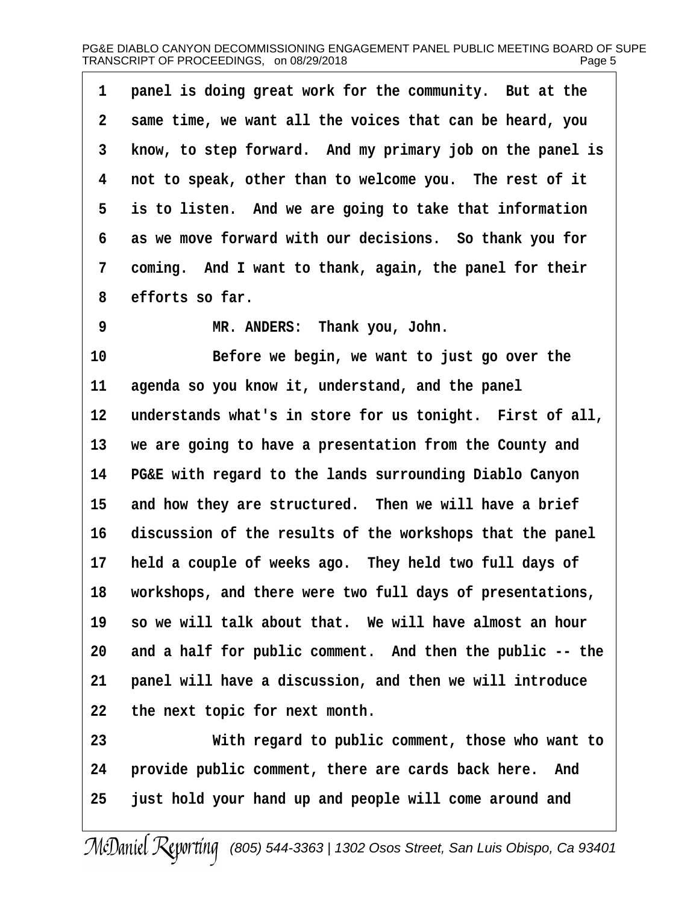| 1               | panel is doing great work for the community. But at the   |
|-----------------|-----------------------------------------------------------|
| $\mathbf{2}$    | same time, we want all the voices that can be heard, you  |
| 3 <sup>7</sup>  | know, to step forward. And my primary job on the panel is |
| 4               | not to speak, other than to welcome you. The rest of it   |
| $5 -$           | is to listen. And we are going to take that information   |
| 6               | as we move forward with our decisions. So thank you for   |
| $7\overline{ }$ | coming. And I want to thank, again, the panel for their   |
| 8               | efforts so far.                                           |
| $\overline{9}$  | MR. ANDERS: Thank you, John.                              |
| 10              | Before we begin, we want to just go over the              |

**11· ·agenda so you know it, understand, and the panel** 12 understands what's in store for us tonight. First of all, **13· ·we are going to have a presentation from the County and 14· ·PG&E with regard to the lands surrounding Diablo Canyon** 15 and how they are structured. Then we will have a brief **16· ·discussion of the results of the workshops that the panel** 17 held a couple of weeks ago. They held two full days of **18· ·workshops, and there were two full days of presentations,** 19 so we will talk about that. We will have almost an hour 20 and a half for public comment. And then the public -- the 21 **panel will have a discussion, and then we will introduce 22· ·the next topic for next month.**

**23· · · · · · ·With regard to public comment, those who want to** 24 **· provide public comment, there are cards back here.** And **25· ·just hold your hand up and people will come around and**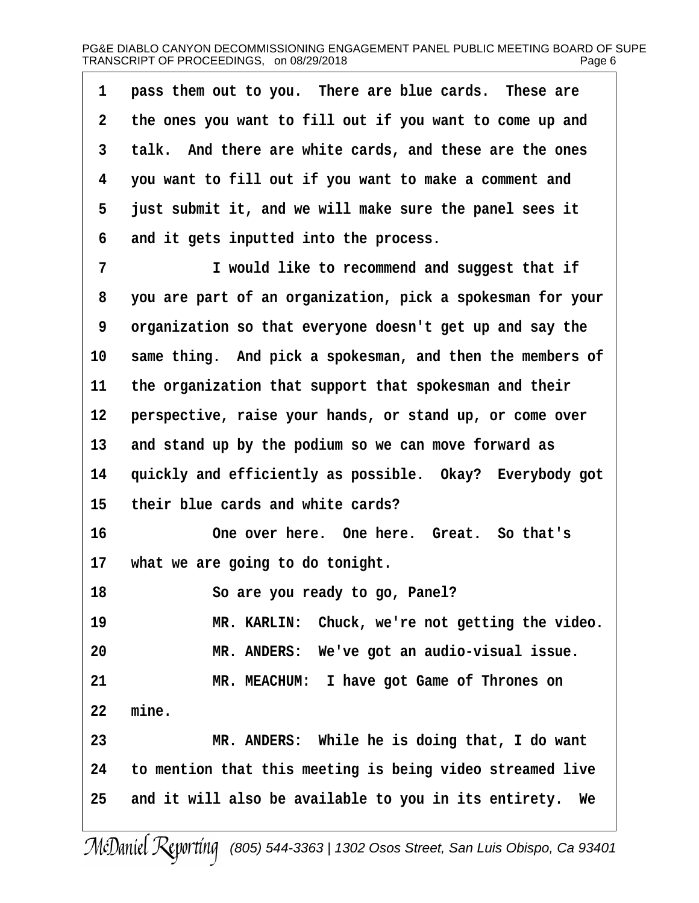| 1           | pass them out to you. There are blue cards. These are      |
|-------------|------------------------------------------------------------|
| $\mathbf 2$ | the ones you want to fill out if you want to come up and   |
| 3           | talk. And there are white cards, and these are the ones    |
| 4           | you want to fill out if you want to make a comment and     |
| 5           | just submit it, and we will make sure the panel sees it    |
| 6           | and it gets inputted into the process.                     |
| 7           | I would like to recommend and suggest that if              |
| 8           | you are part of an organization, pick a spokesman for your |
| 9           | organization so that everyone doesn't get up and say the   |
| 10          | same thing. And pick a spokesman, and then the members of  |
| 11          | the organization that support that spokesman and their     |
| 12          | perspective, raise your hands, or stand up, or come over   |
| 13          | and stand up by the podium so we can move forward as       |
| 14          | quickly and efficiently as possible. Okay? Everybody got   |
| 15          | their blue cards and white cards?                          |
| 16          | One over here. One here. Great. So that's                  |

17 what we are going to do tonight.

**18· · · · · · ·So are you ready to go, Panel?**

19 **MR. KARLIN:** Chuck, we're not getting the video. 20 MR. ANDERS: We've got an audio-visual issue. **21· · · · · · ·MR. MEACHUM:· I have got Game of Thrones on 22· ·mine. 23· · · · · · ·MR. ANDERS:· While he is doing that, I do want 24· ·to mention that this meeting is being video streamed live**

25 and it will also be available to you in its entirety. We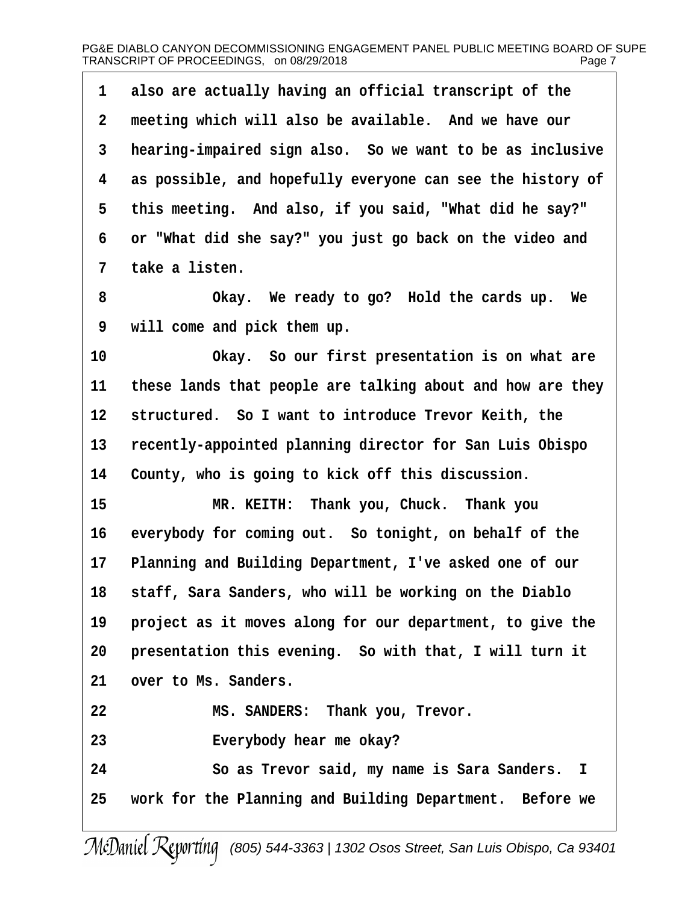|             | 1 also are actually having an official transcript of the   |
|-------------|------------------------------------------------------------|
| $2^{\circ}$ | meeting which will also be available. And we have our      |
| 3           | hearing-impaired sign also. So we want to be as inclusive  |
| 4           | as possible, and hopefully everyone can see the history of |
| 5           | this meeting. And also, if you said, "What did he say?"    |
| 6           | or "What did she say?" you just go back on the video and   |
|             | 7 take a listen.                                           |

**·8· · · · · · ·Okay.· We ready to go?· Hold the cards up.· We ·9· ·will come and pick them up.**

**10· · · · · · ·Okay.· So our first presentation is on what are 11· ·these lands that people are talking about and how are they** 12 structured. So I want to introduce Trevor Keith, the 13 recently-appointed planning director for San Luis Obispo 14 County, who is going to kick off this discussion.

15 **MR. KEITH:** Thank you, Chuck. Thank you 16 everybody for coming out. So tonight, on behalf of the 17 Planning and Building Department, I've asked one of our **18· ·staff, Sara Sanders, who will be working on the Diablo** 19 **project as it moves along for our department, to give the** 20 presentation this evening. So with that, I will turn it 21 over to Ms. Sanders. **22· · · · · · ·MS. SANDERS:· Thank you, Trevor. 23· · · · · · ·Everybody hear me okay? 24· · · · · · ·So as Trevor said, my name is Sara Sanders. I 25· ·work for the Planning and Building Department.· Before we**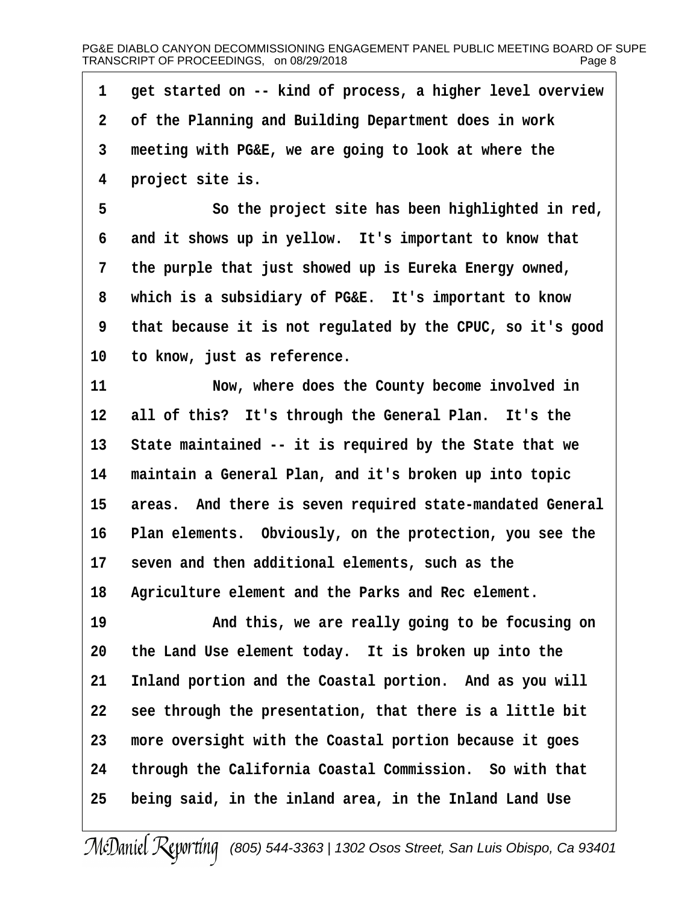1 get started on -- kind of process, a higher level overview **·2· ·of the Planning and Building Department does in work ·3· ·meeting with PG&E, we are going to look at where the ·4· ·project site is. ·5· · · · · · ·So the project site has been highlighted in red, ·6· ·and it shows up in yellow.· It's important to know that ·7· ·the purple that just showed up is Eureka Energy owned, ·8· ·which is a subsidiary of PG&E.· It's important to know ·9· ·that because it is not regulated by the CPUC, so it's good** 10 to know, just as reference. **11· · · · · · ·Now, where does the County become involved in** 12 all of this? It's through the General Plan. It's the 13 State maintained -- it is required by the State that we 14 maintain a General Plan, and it's broken up into topic 15 areas. And there is seven required state-mandated General 16 Plan elements. Obviously, on the protection, you see the 17 seven and then additional elements, such as the **18· ·Agriculture element and the Parks and Rec element. 19· · · · · · ·And this, we are really going to be focusing on 20· ·the Land Use element today.· It is broken up into the** 21 Inland portion and the Coastal portion. And as you will **22· ·see through the presentation, that there is a little bit 23· ·more oversight with the Coastal portion because it goes 24· ·through the California Coastal Commission.· So with that 25· ·being said, in the inland area, in the Inland Land Use**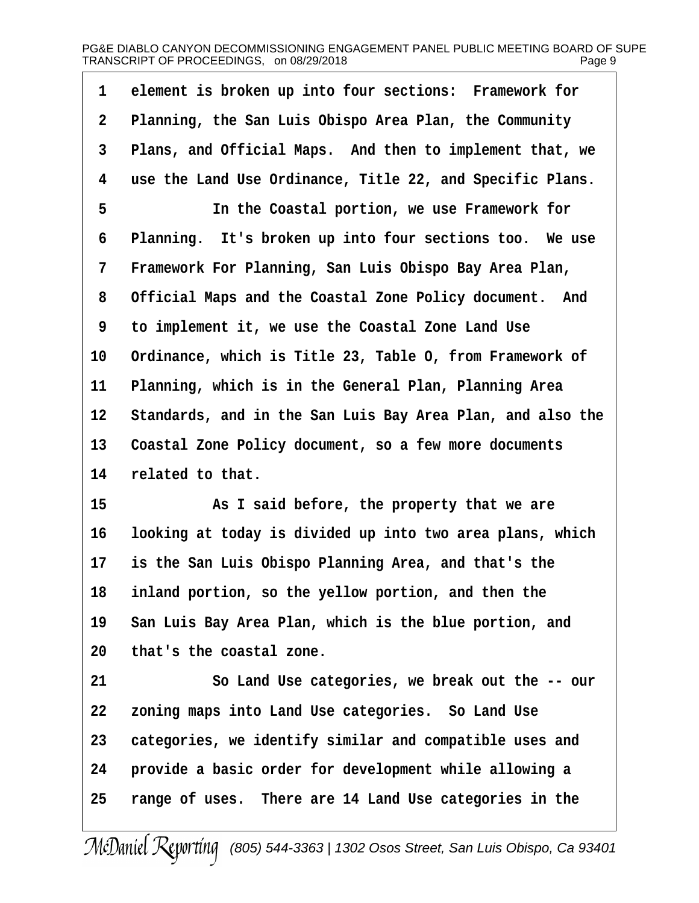| $\mathbf{1}$ | element is broken up into four sections: Framework for     |
|--------------|------------------------------------------------------------|
| $\mathbf{2}$ | Planning, the San Luis Obispo Area Plan, the Community     |
| 3            | Plans, and Official Maps. And then to implement that, we   |
| 4            | use the Land Use Ordinance, Title 22, and Specific Plans.  |
| 5            | In the Coastal portion, we use Framework for               |
| 6            | Planning. It's broken up into four sections too. We use    |
| 7            | Framework For Planning, San Luis Obispo Bay Area Plan,     |
| 8            | Official Maps and the Coastal Zone Policy document. And    |
| 9            | to implement it, we use the Coastal Zone Land Use          |
| 10           | Ordinance, which is Title 23, Table O, from Framework of   |
| 11           | Planning, which is in the General Plan, Planning Area      |
| 12           | Standards, and in the San Luis Bay Area Plan, and also the |
| 13           | Coastal Zone Policy document, so a few more documents      |
| 14           | related to that.                                           |
|              |                                                            |

**15· · · · · · ·As I said before, the property that we are 16· ·looking at today is divided up into two area plans, which 17· ·is the San Luis Obispo Planning Area, and that's the 18· ·inland portion, so the yellow portion, and then the** 19 San Luis Bay Area Plan, which is the blue portion, and **20· ·that's the coastal zone.**

**21· · · · · · ·So Land Use categories, we break out the -- our 22· ·zoning maps into Land Use categories.· So Land Use** 23 **categories, we identify similar and compatible uses and 24· ·provide a basic order for development while allowing a 25· ·range of uses.· There are 14 Land Use categories in the**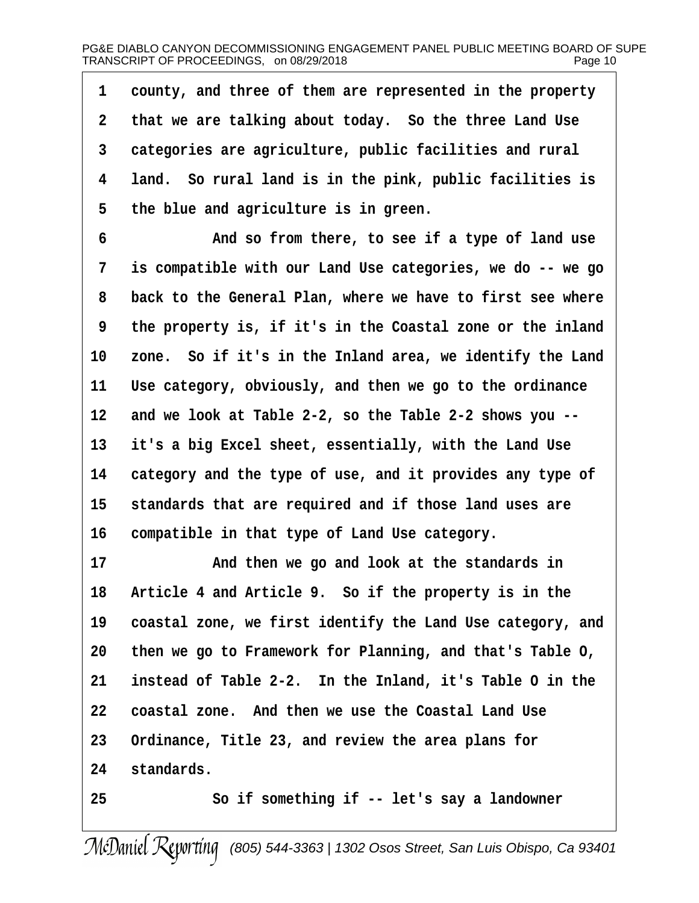**·1· ·county, and three of them are represented in the property ·2· ·that we are talking about today.· So the three Land Use ·3· ·categories are agriculture, public facilities and rural ·4· ·land.· So rural land is in the pink, public facilities is ·5· ·the blue and agriculture is in green.**

**·6· · · · · · ·And so from there, to see if a type of land use ·7· ·is compatible with our Land Use categories, we do -- we go ·8· ·back to the General Plan, where we have to first see where ·9· ·the property is, if it's in the Coastal zone or the inland** 10 zone. So if it's in the Inland area, we identify the Land **11· ·Use category, obviously, and then we go to the ordinance 12· ·and we look at Table 2-2, so the Table 2-2 shows you --** 13 it's a big Excel sheet, essentially, with the Land Use **14· ·category and the type of use, and it provides any type of** 15 standards that are required and if those land uses are **16· ·compatible in that type of Land Use category.**

17 **and then we go and look at the standards in** 18 Article 4 and Article 9. So if the property is in the 19 coastal zone, we first identify the Land Use category, and **20· ·then we go to Framework for Planning, and that's Table O, 21· ·instead of Table 2-2.· In the Inland, it's Table O in the 22· ·coastal zone.· And then we use the Coastal Land Use** 23 Ordinance, Title 23, and review the area plans for 24 standards. **25· · · · · · ·So if something if -- let's say a landowner**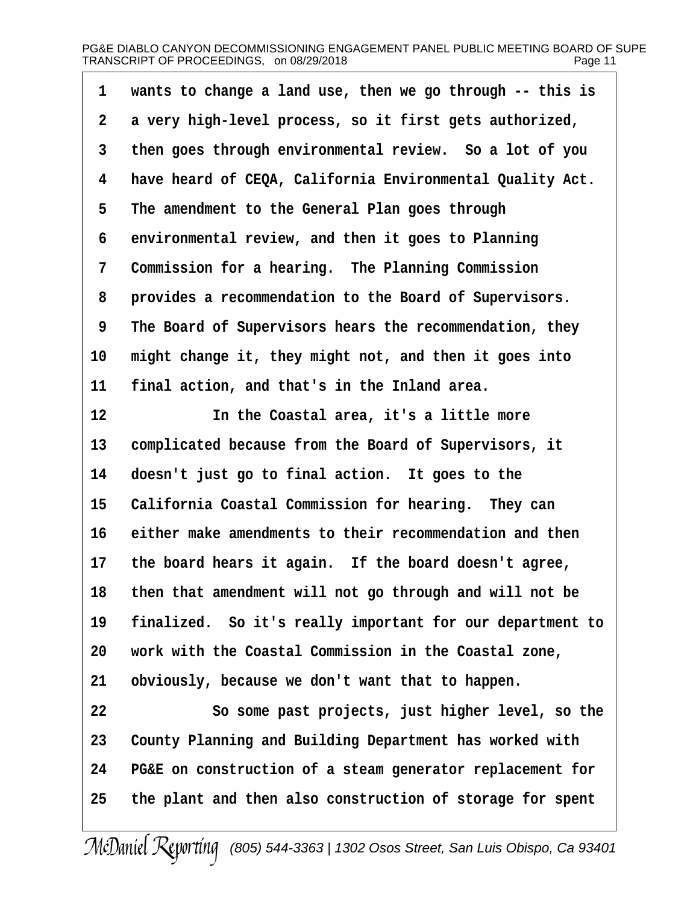# PG&E DIABLO CANYON DECOMMISSIONING ENGAGEMENT PANEL PUBLIC MEETING BOARD OF SUPE TRANSCRIPT OF PROCEEDINGS, on 08/29/2018 example the magnetic research of Page 11

| 1                | wants to change a land use, then we go through -- this is |
|------------------|-----------------------------------------------------------|
| $\boldsymbol{2}$ | a very high-level process, so it first gets authorized,   |
| 3                | then goes through environmental review. So a lot of you   |
| 4                | have heard of CEQA, California Environmental Quality Act. |
| 5                | The amendment to the General Plan goes through            |
| 6                | environmental review, and then it goes to Planning        |
| 7                | Commission for a hearing. The Planning Commission         |
| 8                | provides a recommendation to the Board of Supervisors.    |
| 9                | The Board of Supervisors hears the recommendation, they   |
| 10               | might change it, they might not, and then it goes into    |
| 11               | final action, and that's in the Inland area.              |
| 12               | In the Coastal area, it's a little more                   |
| 13               | complicated because from the Board of Supervisors, it     |
| 14               | doesn't just go to final action. It goes to the           |
| 15               | California Coastal Commission for hearing. They can       |
| 16               | either make amendments to their recommendation and then   |
| $17 \,$          | the board hears it again. If the board doesn't agree,     |
| 18               | then that amendment will not go through and will not be   |
| 19               | finalized. So it's really important for our department to |
| 20               | work with the Coastal Commission in the Coastal zone,     |
| 21               | obviously, because we don't want that to happen.          |

**22· · · · · · ·So some past projects, just higher level, so the** 23 County Planning and Building Department has worked with **24· ·PG&E on construction of a steam generator replacement for 25· ·the plant and then also construction of storage for spent**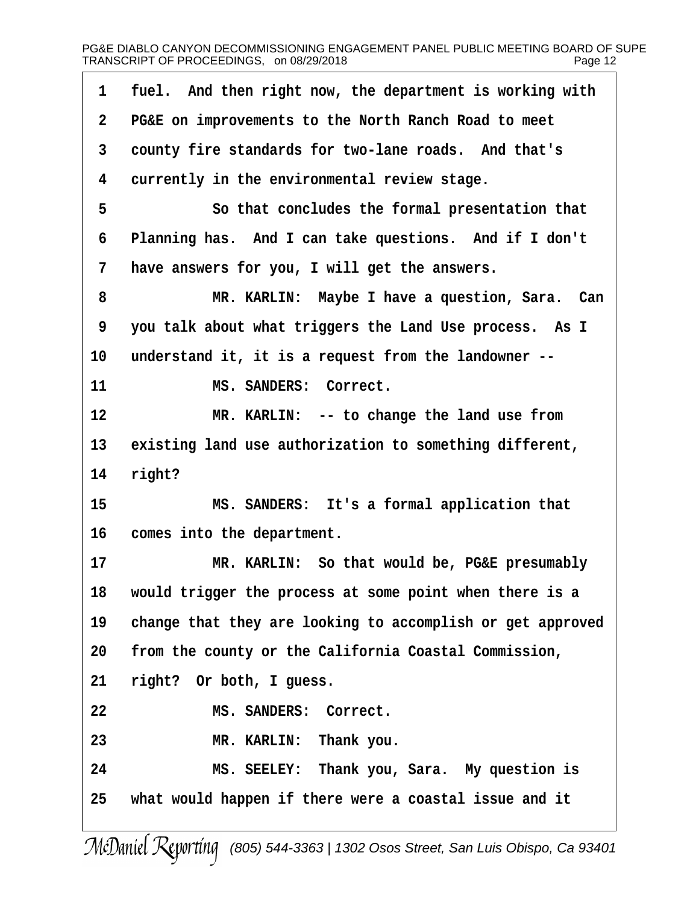| 1           | fuel. And then right now, the department is working with   |
|-------------|------------------------------------------------------------|
| $\mathbf 2$ | PG&E on improvements to the North Ranch Road to meet       |
| 3           | county fire standards for two-lane roads. And that's       |
| 4           | currently in the environmental review stage.               |
| 5           | So that concludes the formal presentation that             |
| 6           | Planning has. And I can take questions. And if I don't     |
| 7           | have answers for you, I will get the answers.              |
| 8           | MR. KARLIN: Maybe I have a question, Sara. Can             |
| 9           | you talk about what triggers the Land Use process. As I    |
| 10          | understand it, it is a request from the landowner --       |
| 11          | MS. SANDERS: Correct.                                      |
| 12          | MR. KARLIN: -- to change the land use from                 |
| 13          | existing land use authorization to something different,    |
| 14          | right?                                                     |
| 15          | MS. SANDERS: It's a formal application that                |
| 16          | comes into the department.                                 |
| 17          | MR. KARLIN: So that would be, PG&E presumably              |
| 18          | would trigger the process at some point when there is a    |
| 19          | change that they are looking to accomplish or get approved |
| 20          | from the county or the California Coastal Commission,      |
| 21          | right? Or both, I guess.                                   |
| 22          | MS. SANDERS: Correct.                                      |
| 23          | MR. KARLIN: Thank you.                                     |
| 24          | MS. SEELEY: Thank you, Sara. My question is                |
| 25          | what would happen if there were a coastal issue and it     |
|             |                                                            |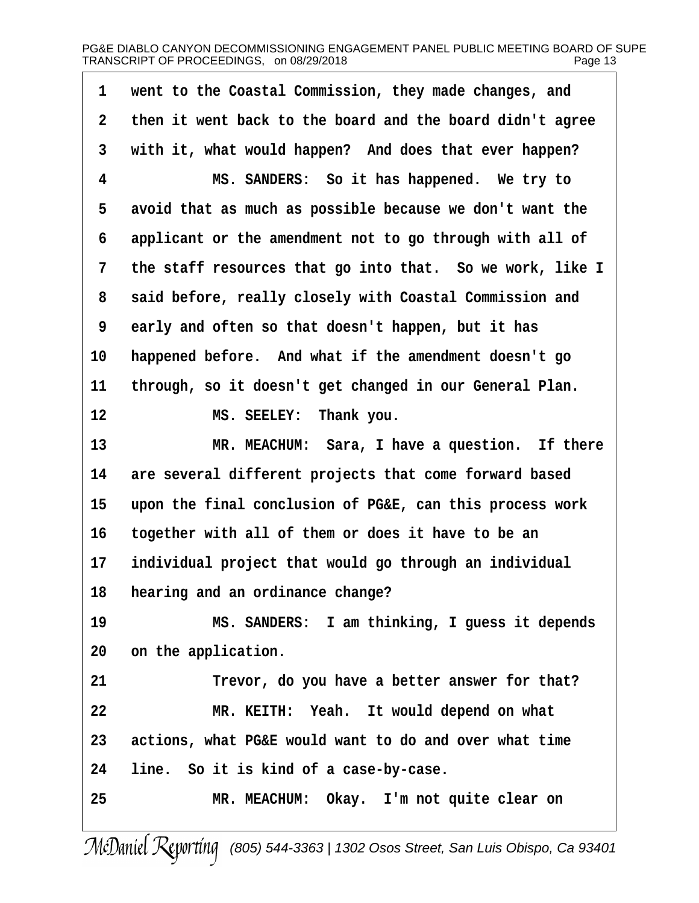| $\mathbf{1}$ | went to the Coastal Commission, they made changes, and    |
|--------------|-----------------------------------------------------------|
| $\mathbf{2}$ | then it went back to the board and the board didn't agree |
| 3            | with it, what would happen? And does that ever happen?    |
| 4            | MS. SANDERS: So it has happened. We try to                |
| 5            | avoid that as much as possible because we don't want the  |
| 6            | applicant or the amendment not to go through with all of  |
| 7            | the staff resources that go into that. So we work, like I |
| 8            | said before, really closely with Coastal Commission and   |
| 9            | early and often so that doesn't happen, but it has        |
| 10           | happened before. And what if the amendment doesn't go     |
| 11           | through, so it doesn't get changed in our General Plan.   |
| 12           | MS. SEELEY: Thank you.                                    |
| 13           | MR. MEACHUM: Sara, I have a question. If there            |
| 14           | are several different projects that come forward based    |
| 15           | upon the final conclusion of PG&E, can this process work  |
| 16           | together with all of them or does it have to be an        |
| 17           | individual project that would go through an individual    |
| 18           | hearing and an ordinance change?                          |
| 19           | MS. SANDERS: I am thinking, I guess it depends            |
| 20           | on the application.                                       |
| 21           | Trevor, do you have a better answer for that?             |
| 22           | MR. KEITH: Yeah. It would depend on what                  |
| 23           | actions, what PG&E would want to do and over what time    |
| 24           | line. So it is kind of a case-by-case.                    |
| 25           | MR. MEACHUM: Okay. I'm not quite clear on                 |
|              |                                                           |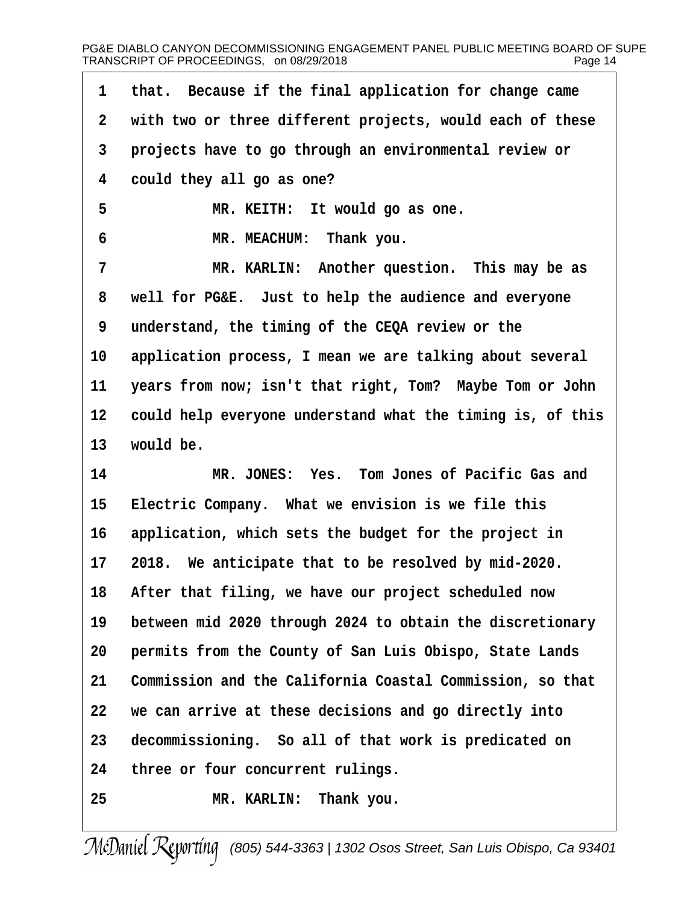| 1            | that. Because if the final application for change came     |
|--------------|------------------------------------------------------------|
| $\mathbf{2}$ | with two or three different projects, would each of these  |
| 3            | projects have to go through an environmental review or     |
| 4            | could they all go as one?                                  |
| 5            | MR. KEITH: It would go as one.                             |
| 6            | MR. MEACHUM: Thank you.                                    |
| 7            | MR. KARLIN: Another question. This may be as               |
| 8            | well for PG&E. Just to help the audience and everyone      |
| 9            | understand, the timing of the CEQA review or the           |
| 10           | application process, I mean we are talking about several   |
| 11           | years from now; isn't that right, Tom? Maybe Tom or John   |
| 12           | could help everyone understand what the timing is, of this |
| 13           | would be.                                                  |
| 14           | MR. JONES: Yes. Tom Jones of Pacific Gas and               |
| 15           | Electric Company. What we envision is we file this         |
| 16           | application, which sets the budget for the project in      |
| 17           | 2018. We anticipate that to be resolved by mid-2020.       |
| 18           | After that filing, we have our project scheduled now       |
| 19           | between mid 2020 through 2024 to obtain the discretionary  |
| 20           | permits from the County of San Luis Obispo, State Lands    |
| 21           | Commission and the California Coastal Commission, so that  |
| 22           | we can arrive at these decisions and go directly into      |
| 23           | decommissioning. So all of that work is predicated on      |
| 24           | three or four concurrent rulings.                          |
| 25           | MR. KARLIN: Thank you.                                     |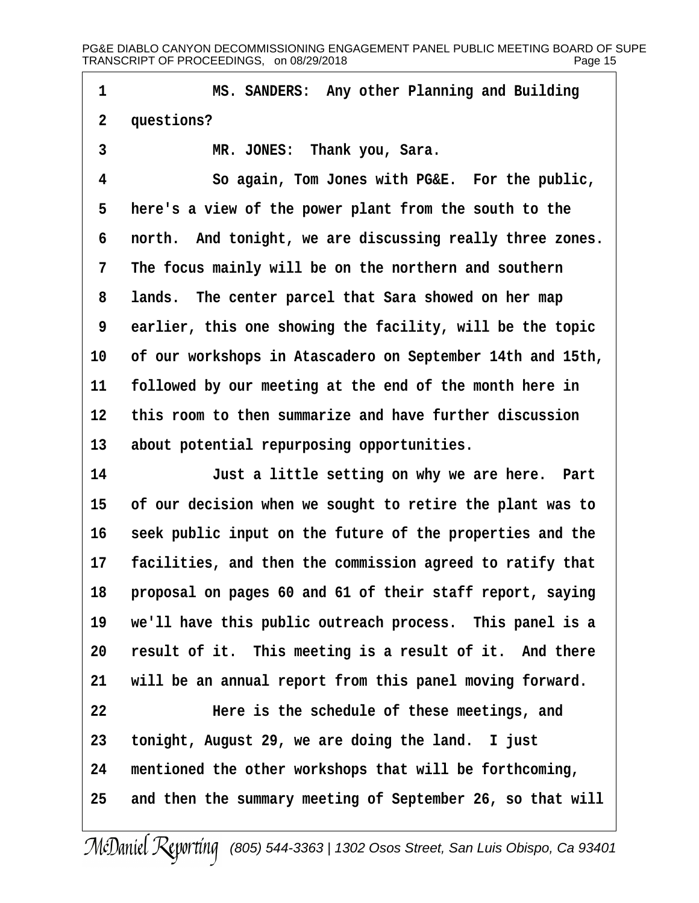**·1· · · · · · ·MS. SANDERS:· Any other Planning and Building** 2 questions? 3 **MR. JONES:** Thank you, Sara. **·4· · · · · · ·So again, Tom Jones with PG&E.· For the public, ·5· ·here's a view of the power plant from the south to the ·6· ·north.· And tonight, we are discussing really three zones. ·7· ·The focus mainly will be on the northern and southern ·8· ·lands.· The center parcel that Sara showed on her map ·9· ·earlier, this one showing the facility, will be the topic 10· ·of our workshops in Atascadero on September 14th and 15th,** 11 **followed by our meeting at the end of the month here in** 12 this room to then summarize and have further discussion 13 about potential repurposing opportunities. **14· · · · · · ·Just a little setting on why we are here.· Part 15· ·of our decision when we sought to retire the plant was to** 16 seek public input on the future of the properties and the 17 **facilities, and then the commission agreed to ratify that** 18 **proposal on pages 60 and 61 of their staff report, saying 19· ·we'll have this public outreach process.· This panel is a** 20 result of it. This meeting is a result of it. And there 21 will be an annual report from this panel moving forward. **22· · · · · · ·Here is the schedule of these meetings, and 23· ·tonight, August 29, we are doing the land.· I just 24· ·mentioned the other workshops that will be forthcoming,** 25 and then the summary meeting of September 26, so that will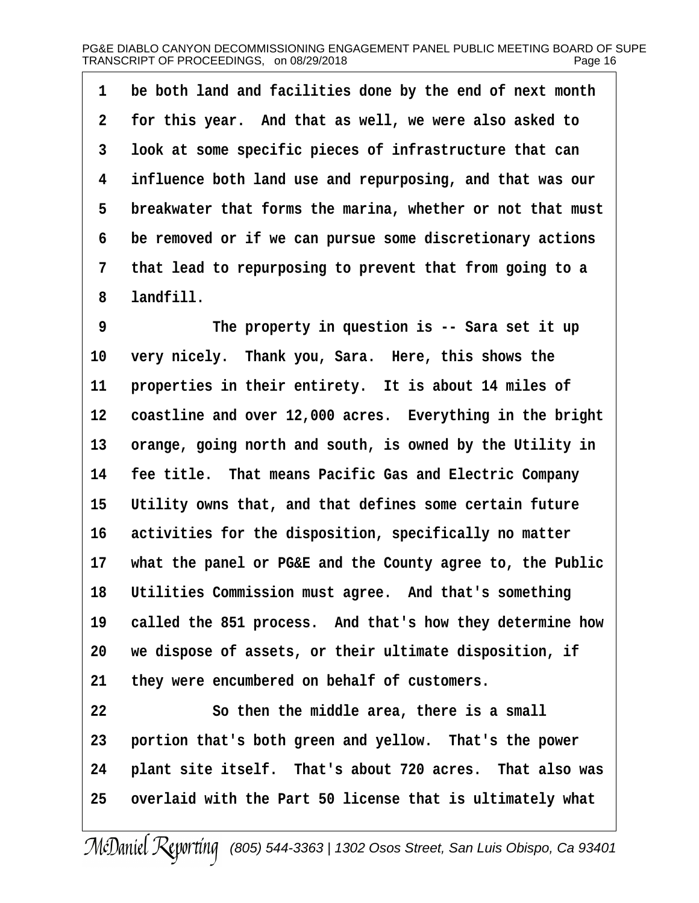**·1· ·be both land and facilities done by the end of next month ·2· ·for this year.· And that as well, we were also asked to ·3· ·look at some specific pieces of infrastructure that can ·4· ·influence both land use and repurposing, and that was our** 5 breakwater that forms the marina, whether or not that must **·6· ·be removed or if we can pursue some discretionary actions ·7· ·that lead to repurposing to prevent that from going to a ·8· ·landfill.**

**·9· · · · · · ·The property in question is -- Sara set it up** 10 very nicely. Thank you, Sara. Here, this shows the 11 properties in their entirety. It is about 14 miles of 12 coastline and over 12,000 acres. Everything in the bright 13 orange, going north and south, is owned by the Utility in **14· ·fee title.· That means Pacific Gas and Electric Company** 15 Utility owns that, and that defines some certain future 16 activities for the disposition, specifically no matter **17· ·what the panel or PG&E and the County agree to, the Public 18· ·Utilities Commission must agree.· And that's something** 19 called the 851 process. And that's how they determine how **20· ·we dispose of assets, or their ultimate disposition, if** 21 they were encumbered on behalf of customers.

**22· · · · · · ·So then the middle area, there is a small** 23 **portion that's both green and yellow.** That's the power 24 **plant site itself.** That's about 720 acres. That also was **25· ·overlaid with the Part 50 license that is ultimately what**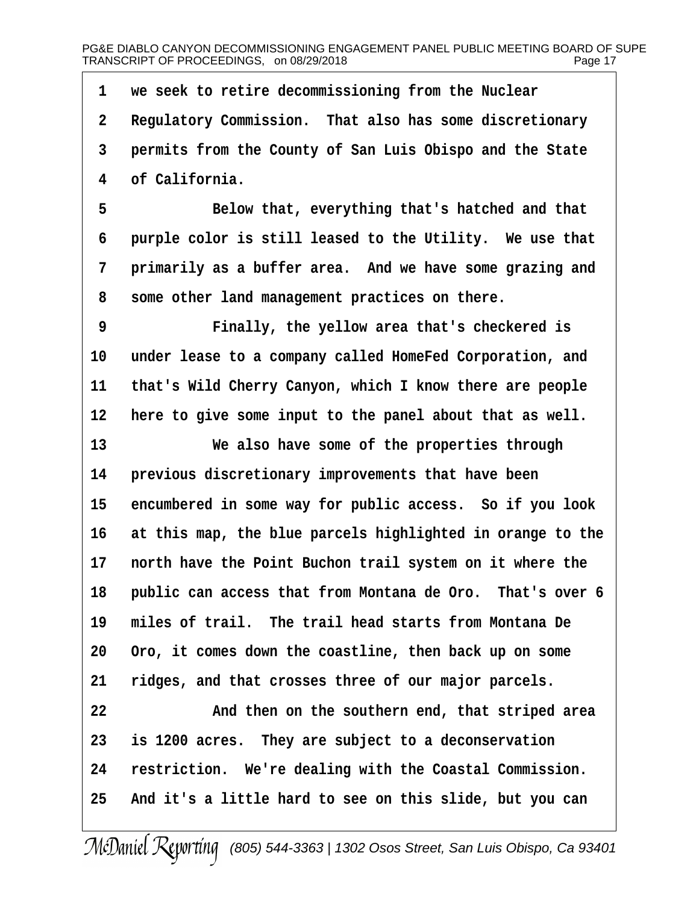**·1· ·we seek to retire decommissioning from the Nuclear ·2· ·Regulatory Commission.· That also has some discretionary ·3· ·permits from the County of San Luis Obispo and the State ·4· ·of California.**

**·5· · · · · · ·Below that, everything that's hatched and that** 6 **· purple color is still leased to the Utility.** We use that 7 **· primarily as a buffer area.** And we have some grazing and **·8· ·some other land management practices on there.**

**·9· · · · · · ·Finally, the yellow area that's checkered is** 10 under lease to a company called HomeFed Corporation, and 11 that's Wild Cherry Canyon, which I know there are people 12 here to give some input to the panel about that as well.

**13· · · · · · ·We also have some of the properties through** 14 **· previous discretionary improvements that have been** 15 encumbered in some way for public access. So if you look 16 at this map, the blue parcels highlighted in orange to the 17 **north have the Point Buchon trail system on it where the** 18 • public can access that from Montana de Oro. That's over 6 **19· ·miles of trail.· The trail head starts from Montana De 20· ·Oro, it comes down the coastline, then back up on some 21· ·ridges, and that crosses three of our major parcels.**

**22· · · · · · ·And then on the southern end, that striped area 23· ·is 1200 acres.· They are subject to a deconservation** 24 restriction. We're dealing with the Coastal Commission. **25· ·And it's a little hard to see on this slide, but you can**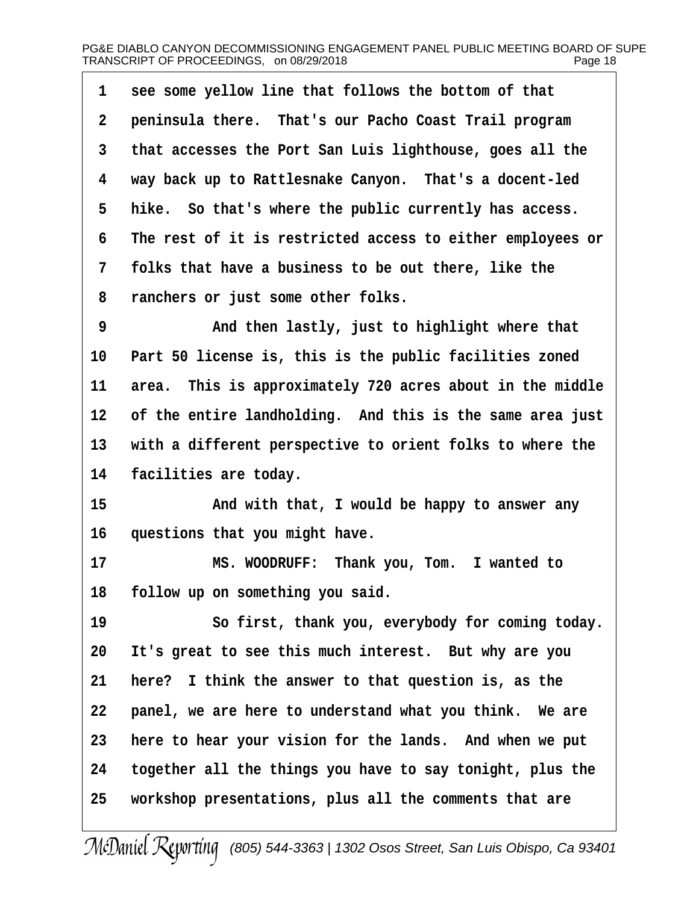| $1 \quad$       | see some yellow line that follows the bottom of that       |
|-----------------|------------------------------------------------------------|
| 2 <sup>1</sup>  | peninsula there. That's our Pacho Coast Trail program      |
| 3 <sup>7</sup>  | that accesses the Port San Luis lighthouse, goes all the   |
| $4\overline{ }$ | way back up to Rattlesnake Canyon. That's a docent-led     |
| 5               | hike. So that's where the public currently has access.     |
| 6               | The rest of it is restricted access to either employees or |
| $7\overline{ }$ | folks that have a business to be out there, like the       |
| 8               | ranchers or just some other folks.                         |
| Q               | And then lastly just to highlight where that               |

then lastly, just to highlight where that 10 Part 50 license is, this is the public facilities zoned 11 area. This is approximately 720 acres about in the middle 12 of the entire landholding. And this is the same area just 13 with a different perspective to orient folks to where the 14 **facilities are today.** 

**15· · · · · · ·And with that, I would be happy to answer any** 16 questions that you might have.

17 **8 • MS. WOODRUFF:** Thank you, Tom. I wanted to 18 **follow up on something you said.** 

19 · · · · · So first, thank you, everybody for coming today. 20 It's great to see this much interest. But why are you **21· ·here?· I think the answer to that question is, as the** 22 **panel, we are here to understand what you think.** We are **23· ·here to hear your vision for the lands.· And when we put 24· ·together all the things you have to say tonight, plus the 25· ·workshop presentations, plus all the comments that are**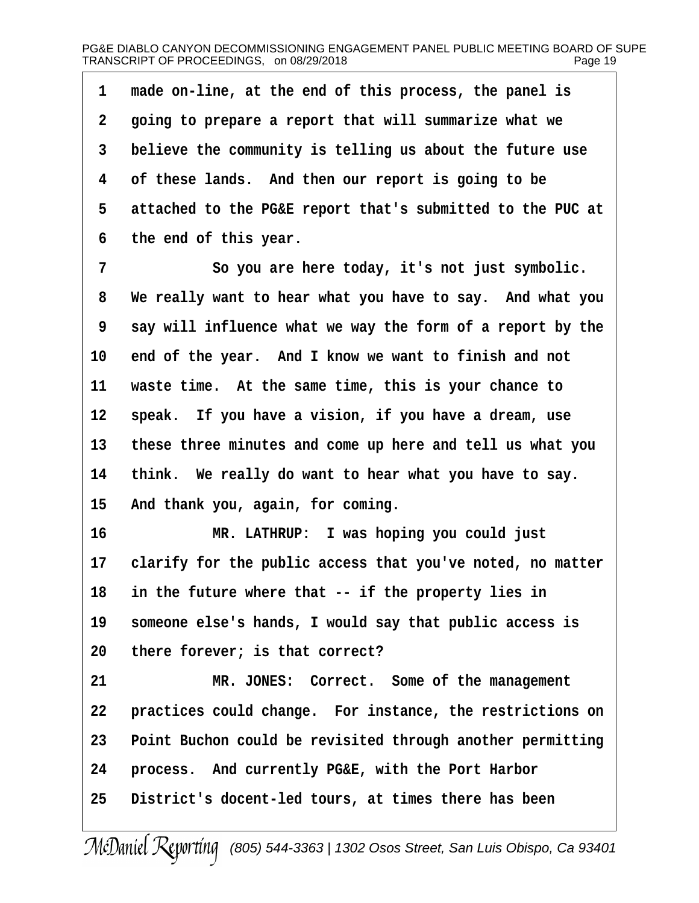**·1· ·made on-line, at the end of this process, the panel is ·2· ·going to prepare a report that will summarize what we ·3· ·believe the community is telling us about the future use ·4· ·of these lands.· And then our report is going to be ·5· ·attached to the PG&E report that's submitted to the PUC at ·6· ·the end of this year.**

**·7· · · · · · ·So you are here today, it's not just symbolic. ·8· ·We really want to hear what you have to say.· And what you ·9· ·say will influence what we way the form of a report by the** 10 end of the year. And I know we want to finish and not **11· ·waste time.· At the same time, this is your chance to** 12 **speak.** If you have a vision, if you have a dream, use **13· ·these three minutes and come up here and tell us what you** 14 think. We really do want to hear what you have to say. 15 And thank you, again, for coming.

**16· · · · · · ·MR. LATHRUP:· I was hoping you could just** 17 clarify for the public access that you've noted, no matter **18· ·in the future where that -- if the property lies in** 19 someone else's hands, I would say that public access is 20 there forever; is that correct?

**21· · · · · · ·MR. JONES:· Correct.· Some of the management 22· ·practices could change.· For instance, the restrictions on 23· ·Point Buchon could be revisited through another permitting** 24 **process.** And currently PG&E, with the Port Harbor 25 District's docent-led tours, at times there has been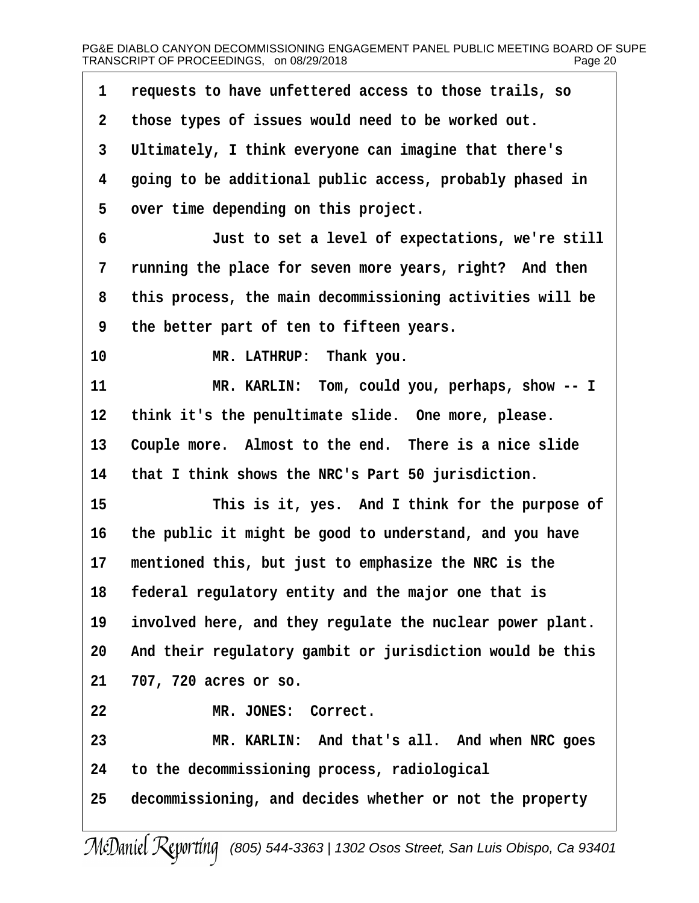| 1           | requests to have unfettered access to those trails, so    |
|-------------|-----------------------------------------------------------|
| $\mathbf 2$ | those types of issues would need to be worked out.        |
| 3           | Ultimately, I think everyone can imagine that there's     |
| 4           | going to be additional public access, probably phased in  |
| 5           | over time depending on this project.                      |
| 6           | Just to set a level of expectations, we're still          |
| 7           | running the place for seven more years, right? And then   |
| 8           | this process, the main decommissioning activities will be |
| 9           | the better part of ten to fifteen years.                  |
| 10          | MR. LATHRUP: Thank you.                                   |
| 11          | MR. KARLIN: Tom, could you, perhaps, show -- I            |
| 12          | think it's the penultimate slide. One more, please.       |
| 13          | Couple more. Almost to the end. There is a nice slide     |
| 14          | that I think shows the NRC's Part 50 jurisdiction.        |
| 15          | This is it, yes. And I think for the purpose of           |
| 16          | the public it might be good to understand, and you have   |
| 17          | mentioned this, but just to emphasize the NRC is the      |
|             | 18 federal regulatory entity and the major one that is    |
| 19          | involved here, and they regulate the nuclear power plant. |
| 20          | And their regulatory gambit or jurisdiction would be this |
| 21          | 707, 720 acres or so.                                     |
| 22          | MR. JONES: Correct.                                       |
| 23          | MR. KARLIN: And that's all. And when NRC goes             |
| 24          | to the decommissioning process, radiological              |
| 25          | decommissioning, and decides whether or not the property  |
|             | $\overline{10}$ $\overline{10}$                           |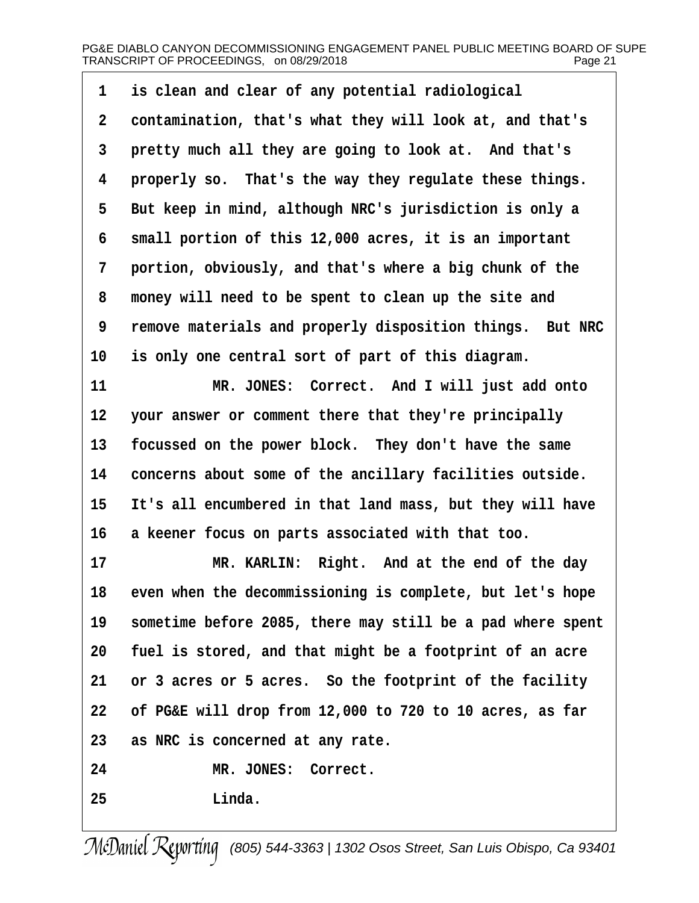1 is clean and clear of any potential radiological **·2· ·contamination, that's what they will look at, and that's** 3 **pretty much all they are going to look at. And that's ·4· ·properly so.· That's the way they regulate these things. ·5· ·But keep in mind, although NRC's jurisdiction is only a ·6· ·small portion of this 12,000 acres, it is an important ·7· ·portion, obviously, and that's where a big chunk of the ·8· ·money will need to be spent to clean up the site and ·9· ·remove materials and properly disposition things.· But NRC** 10 is only one central sort of part of this diagram.

**11** *MR. JONES: Correct. And I will just add onto* **12· ·your answer or comment there that they're principally** 13 focussed on the power block. They don't have the same **14· ·concerns about some of the ancillary facilities outside.** 15 It's all encumbered in that land mass, but they will have **16· ·a keener focus on parts associated with that too.**

17 **MR. KARLIN: Right.** And at the end of the day 18 even when the decommissioning is complete, but let's hope 19 sometime before 2085, there may still be a pad where spent **20· ·fuel is stored, and that might be a footprint of an acre** 21 or 3 acres or 5 acres. So the footprint of the facility **22· ·of PG&E will drop from 12,000 to 720 to 10 acres, as far 23· ·as NRC is concerned at any rate.**

24 MR. JONES: Correct.

**25· · · · · · ·Linda.**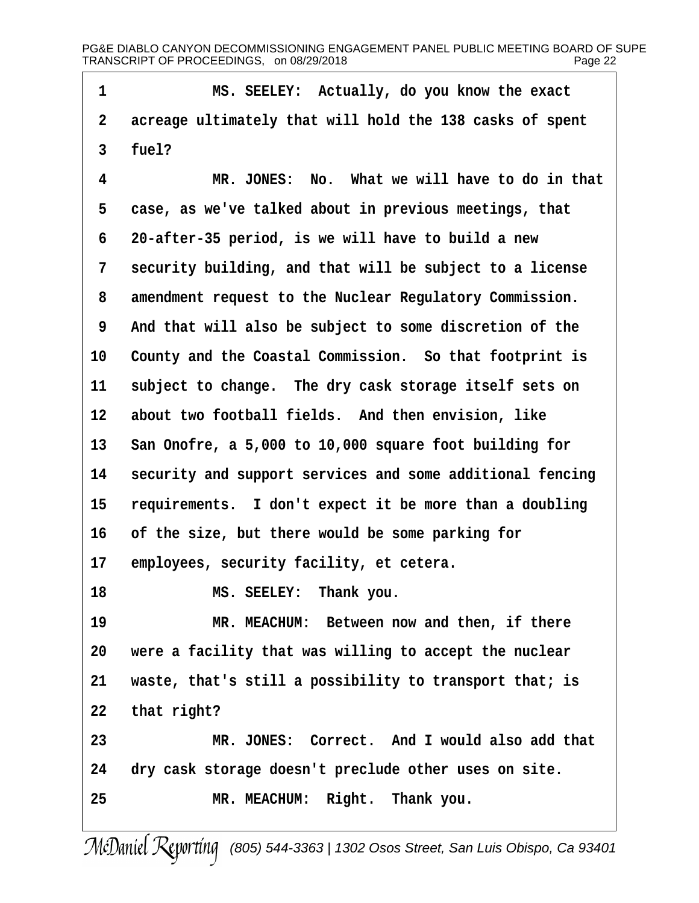PG&E DIABLO CANYON DECOMMISSIONING ENGAGEMENT PANEL PUBLIC MEETING BOARD OF SUPE<br>TRANSCRIPT OF PROCEEDINGS. on 08/29/2018 TRANSCRIPT OF PROCEEDINGS, on 08/29/2018

**·1· · · · · · ·MS. SEELEY:· Actually, do you know the exact ·2· ·acreage ultimately that will hold the 138 casks of spent ·3· ·fuel? ·4· · · · · · ·MR. JONES:· No.· What we will have to do in that ·5· ·case, as we've talked about in previous meetings, that ·6· ·20-after-35 period, is we will have to build a new ·7· ·security building, and that will be subject to a license ·8· ·amendment request to the Nuclear Regulatory Commission. ·9· ·And that will also be subject to some discretion of the** 10 County and the Coastal Commission. So that footprint is 11 subject to change. The dry cask storage itself sets on 12 about two football fields. And then envision, like **13· ·San Onofre, a 5,000 to 10,000 square foot building for** 14 security and support services and some additional fencing 15 requirements. I don't expect it be more than a doubling 16 of the size, but there would be some parking for 17 employees, security facility, et cetera. 18 **MS. SEELEY:** Thank you. **19· · · · · · ·MR. MEACHUM:· Between now and then, if there 20· ·were a facility that was willing to accept the nuclear 21· ·waste, that's still a possibility to transport that; is** 22 that right? **23· · · · · · ·MR. JONES:· Correct.· And I would also add that 24· ·dry cask storage doesn't preclude other uses on site.** 25 MR. MEACHUM: Right. Thank you.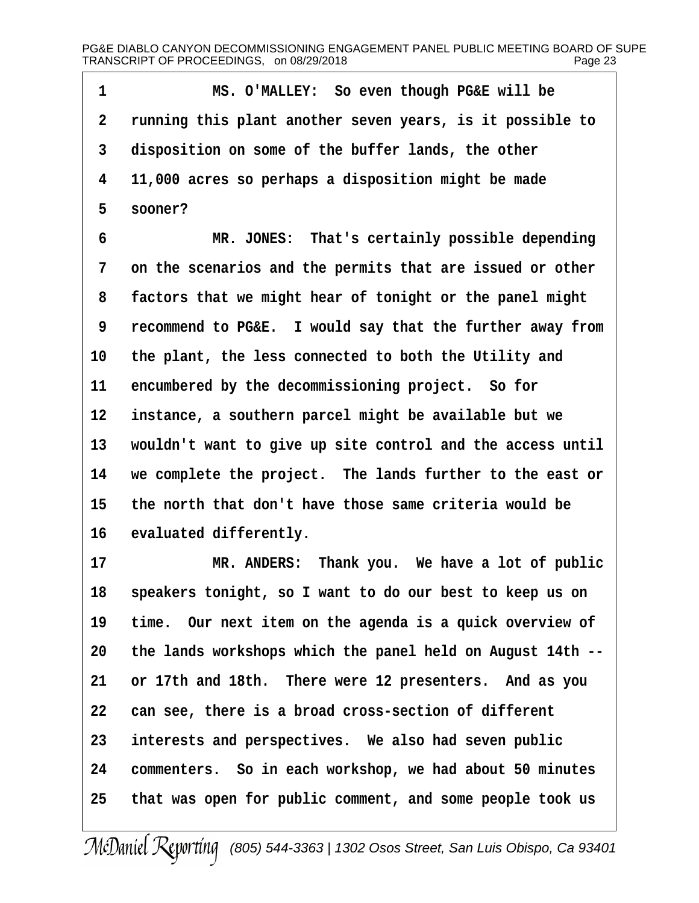**·1· · · · · · ·MS. O'MALLEY:· So even though PG&E will be ·2· ·running this plant another seven years, is it possible to ·3· ·disposition on some of the buffer lands, the other ·4· ·11,000 acres so perhaps a disposition might be made ·5· ·sooner?**

**·6· · · · · · ·MR. JONES:· That's certainly possible depending ·7· ·on the scenarios and the permits that are issued or other ·8· ·factors that we might hear of tonight or the panel might ·9· ·recommend to PG&E.· I would say that the further away from 10· ·the plant, the less connected to both the Utility and** 11 encumbered by the decommissioning project. So for 12 **instance, a southern parcel might be available but we** 13 wouldn't want to give up site control and the access until **14· ·we complete the project.· The lands further to the east or 15· ·the north that don't have those same criteria would be** 16 evaluated differently.

17 **MR. ANDERS:** Thank you. We have a lot of public **18· ·speakers tonight, so I want to do our best to keep us on** 19 time. Our next item on the agenda is a quick overview of **20· ·the lands workshops which the panel held on August 14th --** 21 or 17th and 18th. There were 12 presenters. And as you **22· ·can see, there is a broad cross-section of different** 23 interests and perspectives. We also had seven public 24 commenters. So in each workshop, we had about 50 minutes **25· ·that was open for public comment, and some people took us**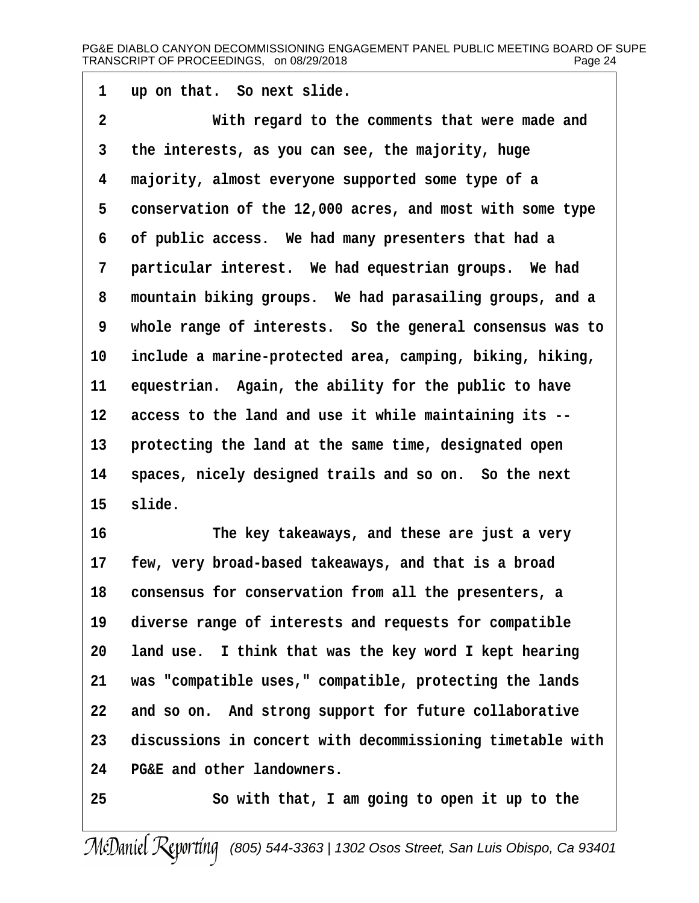**·1· ·up on that.· So next slide.**

**·2· · · · · · ·With regard to the comments that were made and ·3· ·the interests, as you can see, the majority, huge ·4· ·majority, almost everyone supported some type of a** 5 conservation of the 12,000 acres, and most with some type **·6· ·of public access.· We had many presenters that had a** 7 **particular interest.** We had equestrian groups. We had **·8· ·mountain biking groups.· We had parasailing groups, and a ·9· ·whole range of interests.· So the general consensus was to 10· ·include a marine-protected area, camping, biking, hiking,** 11 equestrian. Again, the ability for the public to have **12· ·access to the land and use it while maintaining its --** 13 **protecting the land at the same time, designated open** 14 spaces, nicely designed trails and so on. So the next 15 slide.

**16· · · · · · ·The key takeaways, and these are just a very 17· ·few, very broad-based takeaways, and that is a broad 18· ·consensus for conservation from all the presenters, a** 19 diverse range of interests and requests for compatible **20· ·land use.· I think that was the key word I kept hearing 21· ·was "compatible uses," compatible, protecting the lands** 22 and so on. And strong support for future collaborative **23· ·discussions in concert with decommissioning timetable with 24· ·PG&E and other landowners.**

**25· · · · · · ·So with that, I am going to open it up to the**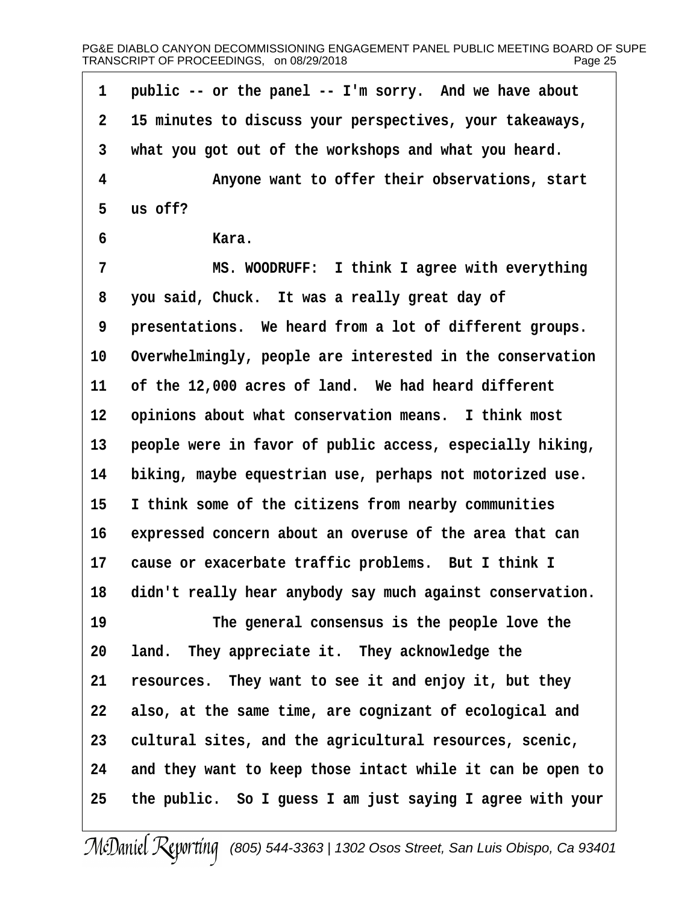PG&E DIABLO CANYON DECOMMISSIONING ENGAGEMENT PANEL PUBLIC MEETING BOARD OF SUPE<br>TRANSCRIPT OF PROCEEDINGS. on 08/29/2018 TRANSCRIPT OF PROCEEDINGS, on 08/29/2018

1 public -- or the panel -- I'm sorry. And we have about **·2· ·15 minutes to discuss your perspectives, your takeaways, ·3· ·what you got out of the workshops and what you heard. ·4· · · · · · ·Anyone want to offer their observations, start ·5· ·us off? ·6· · · · · · ·Kara. ·7· · · · · · ·MS. WOODRUFF:· I think I agree with everything ·8· ·you said, Chuck.· It was a really great day of** 9 **presentations.** We heard from a lot of different groups. 10 Overwhelmingly, people are interested in the conservation 11 of the 12,000 acres of land. We had heard different **12· ·opinions about what conservation means.· I think most** 13 **· people were in favor of public access, especially hiking, 14· ·biking, maybe equestrian use, perhaps not motorized use. 15· ·I think some of the citizens from nearby communities** 16 expressed concern about an overuse of the area that can 17 cause or exacerbate traffic problems. But I think I 18 didn't really hear anybody say much against conservation. 19 **19** The general consensus is the people love the 20 Land. They appreciate it. They acknowledge the **21· ·resources.· They want to see it and enjoy it, but they** 22 **also, at the same time, are cognizant of ecological and** 23 cultural sites, and the agricultural resources, scenic, **24· ·and they want to keep those intact while it can be open to 25· ·the public.· So I guess I am just saying I agree with your**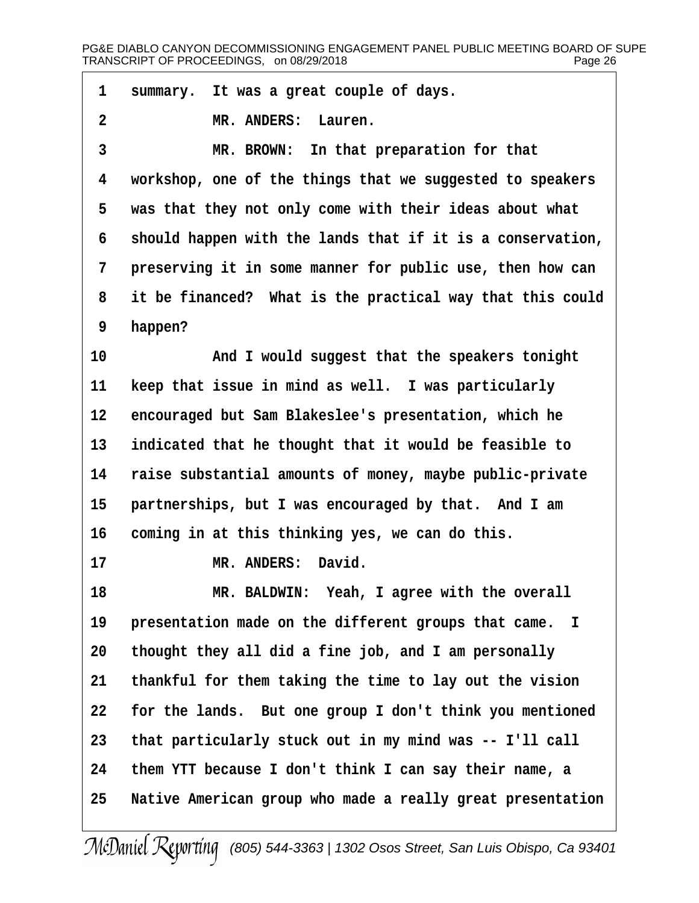| $\mathbf{1}$     | summary. It was a great couple of days.                    |
|------------------|------------------------------------------------------------|
| $\boldsymbol{2}$ | MR. ANDERS:<br>Lauren.                                     |
| 3                | In that preparation for that<br>MR. BROWN:                 |
| 4                | workshop, one of the things that we suggested to speakers  |
| 5                | was that they not only come with their ideas about what    |
| 6                | should happen with the lands that if it is a conservation, |
| 7                | preserving it in some manner for public use, then how can  |
| 8                | it be financed? What is the practical way that this could  |
| 9                | happen?                                                    |
| 10               | And I would suggest that the speakers tonight              |
| 11               | keep that issue in mind as well. I was particularly        |
| 12               | encouraged but Sam Blakeslee's presentation, which he      |
| 13               | indicated that he thought that it would be feasible to     |
| 14               | raise substantial amounts of money, maybe public-private   |
| 15               | partnerships, but I was encouraged by that. And I am       |
| 16               | coming in at this thinking yes, we can do this.            |
| 17               | David.<br>MR. ANDERS:                                      |
| 18               | MR. BALDWIN: Yeah, I agree with the overall                |
| 19               | presentation made on the different groups that came.<br>I  |
| 20               | thought they all did a fine job, and I am personally       |
| 21               | thankful for them taking the time to lay out the vision    |
| 22               | for the lands. But one group I don't think you mentioned   |
| 23               | that particularly stuck out in my mind was -- I'll call    |
| 24               | them YTT because I don't think I can say their name, a     |
| 25               | Native American group who made a really great presentation |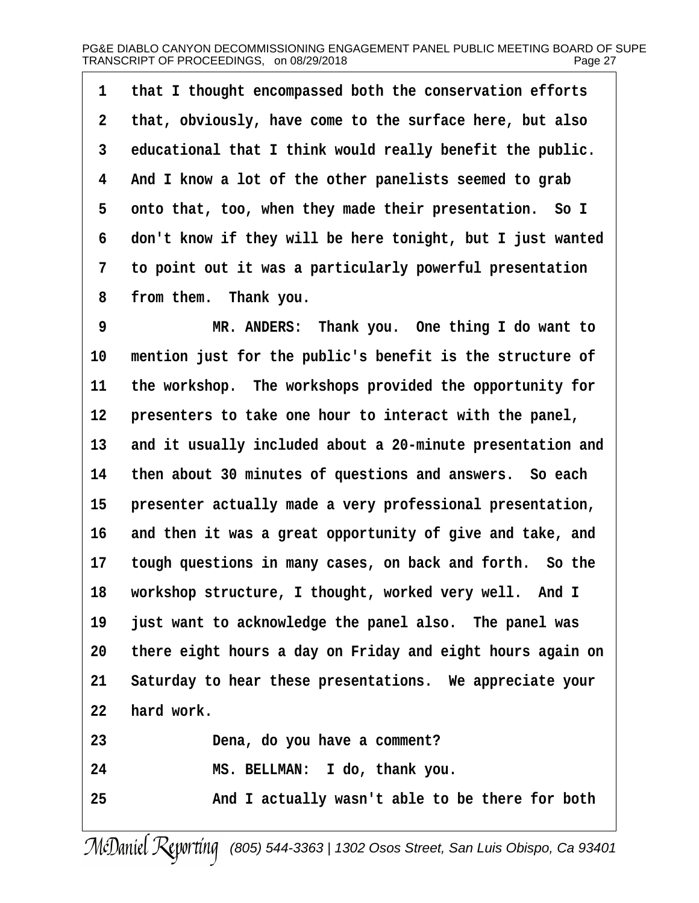**·1· ·that I thought encompassed both the conservation efforts ·2· ·that, obviously, have come to the surface here, but also ·3· ·educational that I think would really benefit the public. ·4· ·And I know a lot of the other panelists seemed to grab** 5 onto that, too, when they made their presentation. So I **·6· ·don't know if they will be here tonight, but I just wanted ·7· ·to point out it was a particularly powerful presentation** 8 from them. Thank you.

**·9· · · · · · ·MR. ANDERS:· Thank you.· One thing I do want to** 10 mention just for the public's benefit is the structure of 11 the workshop. The workshops provided the opportunity for 12 **presenters to take one hour to interact with the panel,** 13 and it usually included about a 20-minute presentation and **14· ·then about 30 minutes of questions and answers.· So each** 15 **· presenter actually made a very professional presentation,** 16 and then it was a great opportunity of give and take, and 17 tough questions in many cases, on back and forth. So the 18 workshop structure, I thought, worked very well. And I **19· ·just want to acknowledge the panel also.· The panel was 20· ·there eight hours a day on Friday and eight hours again on 21· ·Saturday to hear these presentations.· We appreciate your 22· ·hard work. 23· · · · · · ·Dena, do you have a comment? 24· · · · · · ·MS. BELLMAN:· I do, thank you.**

**25· · · · · · ·And I actually wasn't able to be there for both**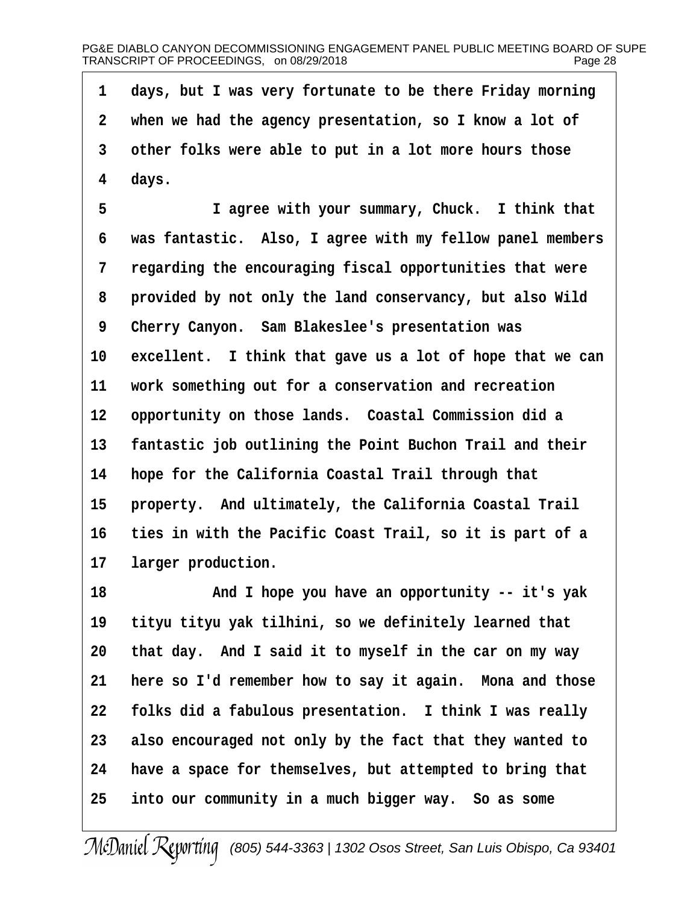**·1· ·days, but I was very fortunate to be there Friday morning ·2· ·when we had the agency presentation, so I know a lot of ·3· ·other folks were able to put in a lot more hours those ·4· ·days.**

**·5· · · · · · ·I agree with your summary, Chuck.· I think that ·6· ·was fantastic.· Also, I agree with my fellow panel members ·7· ·regarding the encouraging fiscal opportunities that were ·8· ·provided by not only the land conservancy, but also Wild ·9· ·Cherry Canyon.· Sam Blakeslee's presentation was** 10 excellent. I think that gave us a lot of hope that we can 11 work something out for a conservation and recreation 12 opportunity on those lands. Coastal Commission did a 13 **fantastic job outlining the Point Buchon Trail and their 14· ·hope for the California Coastal Trail through that** 15 **property.** And ultimately, the California Coastal Trail **16· ·ties in with the Pacific Coast Trail, so it is part of a** 17 larger production.

**18· · · · · · ·And I hope you have an opportunity -- it's yak** 19 tityu tityu yak tilhini, so we definitely learned that **20· ·that day.· And I said it to myself in the car on my way** 21 **here so I'd remember how to say it again.** Mona and those **22· ·folks did a fabulous presentation.· I think I was really 23· ·also encouraged not only by the fact that they wanted to 24· ·have a space for themselves, but attempted to bring that 25· ·into our community in a much bigger way.· So as some**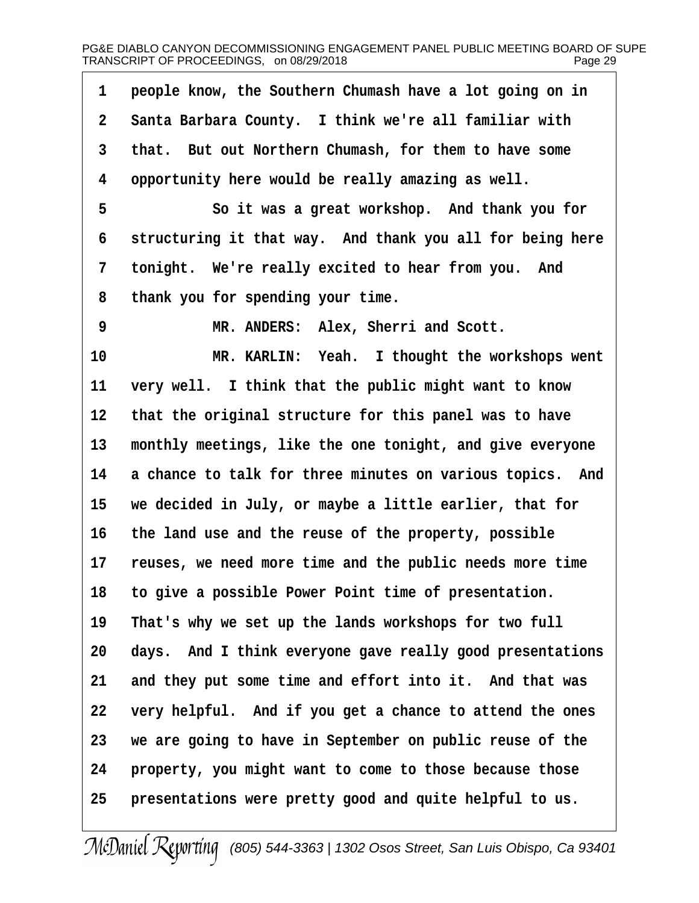| 1            | people know, the Southern Chumash have a lot going on in  |
|--------------|-----------------------------------------------------------|
| $\mathbf{2}$ | Santa Barbara County. I think we're all familiar with     |
| 3            | that. But out Northern Chumash, for them to have some     |
| 4            | opportunity here would be really amazing as well.         |
| 5            | So it was a great workshop. And thank you for             |
| 6            | structuring it that way. And thank you all for being here |
| 7            | tonight. We're really excited to hear from you. And       |
| 8            | thank you for spending your time.                         |
| 9            | MR. ANDERS: Alex, Sherri and Scott.                       |
| 10           | MR. KARLIN: Yeah. I thought the workshops went            |
| 11           | very well. I think that the public might want to know     |
| 12           | that the original structure for this panel was to have    |
| 13           | monthly meetings, like the one tonight, and give everyone |
| 14           | a chance to talk for three minutes on various topics. And |
| 15           | we decided in July, or maybe a little earlier, that for   |
| 16           | the land use and the reuse of the property, possible      |
| 17           | reuses, we need more time and the public needs more time  |
| 18           | to give a possible Power Point time of presentation.      |
| 19           | That's why we set up the lands workshops for two full     |
| 20           | days. And I think everyone gave really good presentations |
| 21           | and they put some time and effort into it. And that was   |
| 22           | very helpful. And if you get a chance to attend the ones  |
| 23           | we are going to have in September on public reuse of the  |
| 24           | property, you might want to come to those because those   |
| 25           | presentations were pretty good and quite helpful to us.   |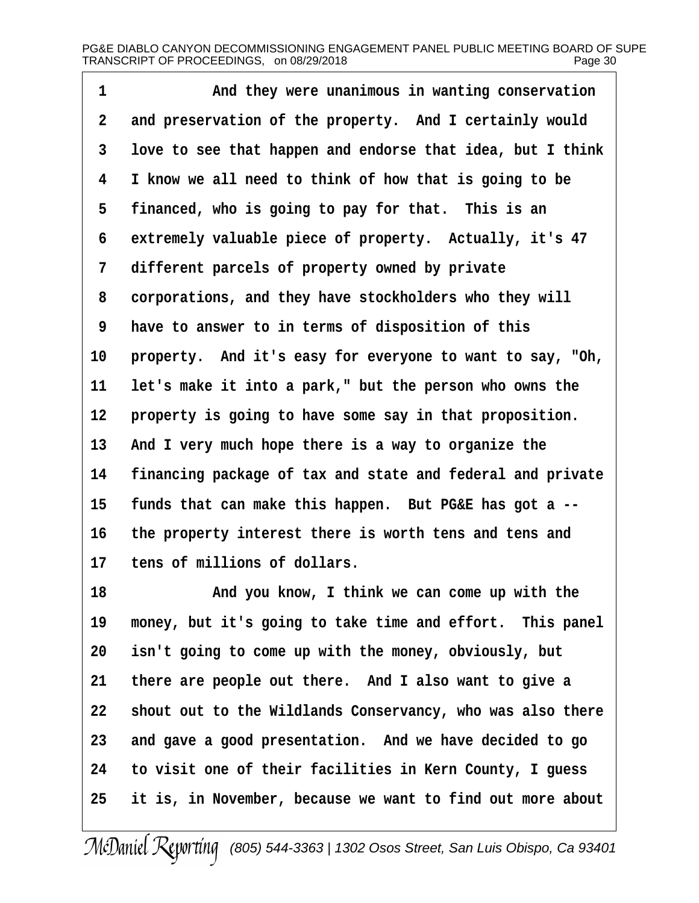1 **and they were unanimous in wanting conservation** 2 and preservation of the property. And I certainly would **·3· ·love to see that happen and endorse that idea, but I think ·4· ·I know we all need to think of how that is going to be** 5 **financed, who is going to pay for that.** This is an 6 extremely valuable piece of property. Actually, it's 47 **·7· ·different parcels of property owned by private ·8· ·corporations, and they have stockholders who they will ·9· ·have to answer to in terms of disposition of this** 10 property. And it's easy for everyone to want to say, "Oh, 11 let's make it into a park," but the person who owns the 12 **property is going to have some say in that proposition.** 13 And I very much hope there is a way to organize the **14· ·financing package of tax and state and federal and private** 15 funds that can make this happen. But PG&E has got a --**16· ·the property interest there is worth tens and tens and** 17 tens of millions of dollars.

**18· · · · · · ·And you know, I think we can come up with the** 19 money, but it's going to take time and effort. This panel **20· ·isn't going to come up with the money, obviously, but 21· ·there are people out there.· And I also want to give a 22· ·shout out to the Wildlands Conservancy, who was also there 23· ·and gave a good presentation.· And we have decided to go 24· ·to visit one of their facilities in Kern County, I guess 25· ·it is, in November, because we want to find out more about**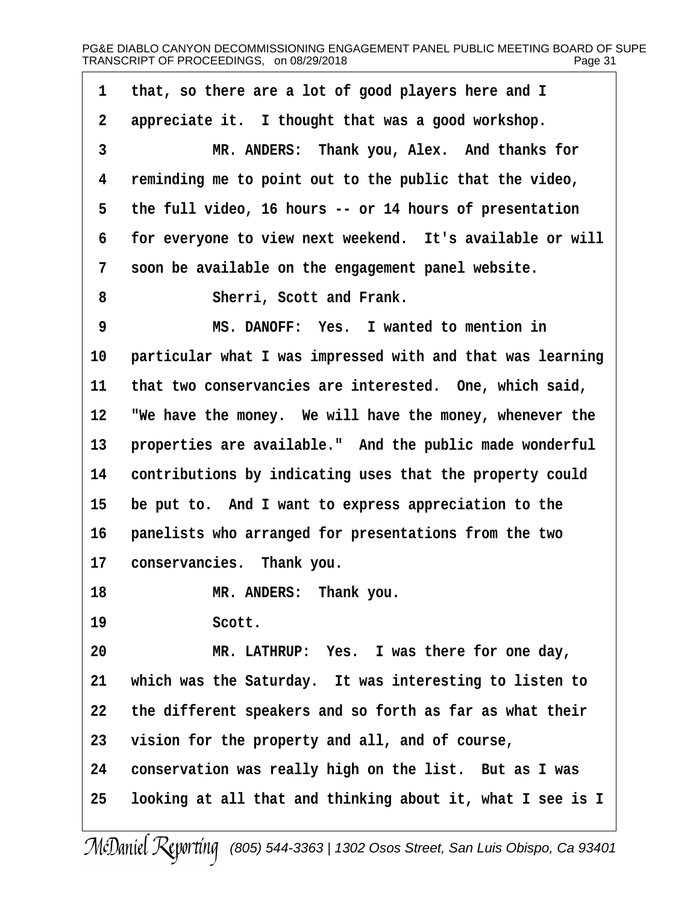**·1· ·that, so there are a lot of good players here and I** 2 appreciate it. I thought that was a good workshop. **·3· · · · · · ·MR. ANDERS:· Thank you, Alex.· And thanks for ·4· ·reminding me to point out to the public that the video, ·5· ·the full video, 16 hours -- or 14 hours of presentation ·6· ·for everyone to view next weekend.· It's available or will ·7· ·soon be available on the engagement panel website. ·8· · · · · · ·Sherri, Scott and Frank. ·9· · · · · · ·MS. DANOFF:· Yes.· I wanted to mention in** 10 **particular what I was impressed with and that was learning** 11 that two conservancies are interested. One, which said, 12 **We have the money.** We will have the money, whenever the 13 **properties are available."** And the public made wonderful 14 contributions by indicating uses that the property could 15 be put to. And I want to express appreciation to the **16· ·panelists who arranged for presentations from the two** 17 **conservancies.** Thank you. 18 **MR. ANDERS:** Thank you. 19 · · · · · · Scott. 20 **MR. LATHRUP:** Yes. I was there for one day, **21· ·which was the Saturday.· It was interesting to listen to 22· ·the different speakers and so forth as far as what their 23· ·vision for the property and all, and of course, 24· ·conservation was really high on the list.· But as I was 25· ·looking at all that and thinking about it, what I see is I**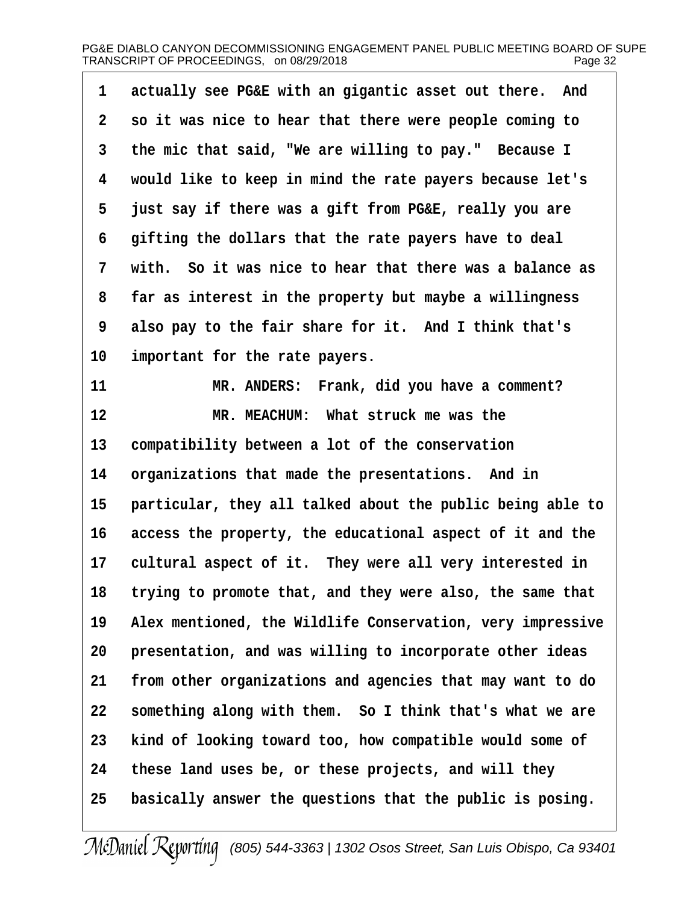| 1              | actually see PG&E with an gigantic asset out there. And    |
|----------------|------------------------------------------------------------|
| $\overline{2}$ | so it was nice to hear that there were people coming to    |
| 3              | the mic that said, "We are willing to pay." Because I      |
| 4              | would like to keep in mind the rate payers because let's   |
| 5              | just say if there was a gift from PG&E, really you are     |
| 6              | gifting the dollars that the rate payers have to deal      |
| 7              | with. So it was nice to hear that there was a balance as   |
| 8              | far as interest in the property but maybe a willingness    |
| 9              | also pay to the fair share for it. And I think that's      |
| 10             | important for the rate payers.                             |
| 11             | MR. ANDERS: Frank, did you have a comment?                 |
| 12             | MR. MEACHUM: What struck me was the                        |
| 13             | compatibility between a lot of the conservation            |
| 14             | organizations that made the presentations. And in          |
| 15             | particular, they all talked about the public being able to |
| 16             | access the property, the educational aspect of it and the  |
| 17             | cultural aspect of it. They were all very interested in    |
| 18             | trying to promote that, and they were also, the same that  |
| 19             | Alex mentioned, the Wildlife Conservation, very impressive |
| 20             | presentation, and was willing to incorporate other ideas   |
| 21             | from other organizations and agencies that may want to do  |
| 22             | something along with them. So I think that's what we are   |
| 23             | kind of looking toward too, how compatible would some of   |
| 24             | these land uses be, or these projects, and will they       |
| 25             | basically answer the questions that the public is posing.  |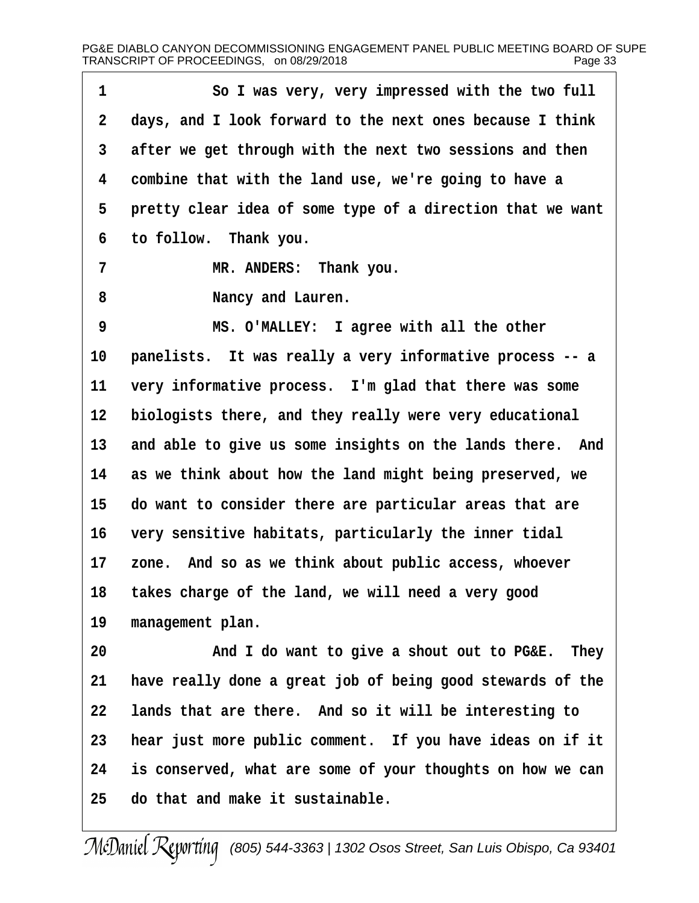**·1· · · · · · ·So I was very, very impressed with the two full ·2· ·days, and I look forward to the next ones because I think ·3· ·after we get through with the next two sessions and then ·4· ·combine that with the land use, we're going to have a** 5 **pretty clear idea of some type of a direction that we want ·6· ·to follow.· Thank you. ·7· · · · · · ·MR. ANDERS:· Thank you. ·8· · · · · · ·Nancy and Lauren. ·9· · · · · · ·MS. O'MALLEY:· I agree with all the other 10· ·panelists.· It was really a very informative process -- a** 11 very informative process. I'm glad that there was some 12 biologists there, and they really were very educational 13 and able to give us some insights on the lands there. And **14· ·as we think about how the land might being preserved, we 15· ·do want to consider there are particular areas that are 16· ·very sensitive habitats, particularly the inner tidal** 17 zone. And so as we think about public access, whoever **18· ·takes charge of the land, we will need a very good** 19 management plan. **20· · · · · · ·And I do want to give a shout out to PG&E.· They 21· ·have really done a great job of being good stewards of the 22· ·lands that are there.· And so it will be interesting to 23· ·hear just more public comment.· If you have ideas on if it 24· ·is conserved, what are some of your thoughts on how we can 25· ·do that and make it sustainable.**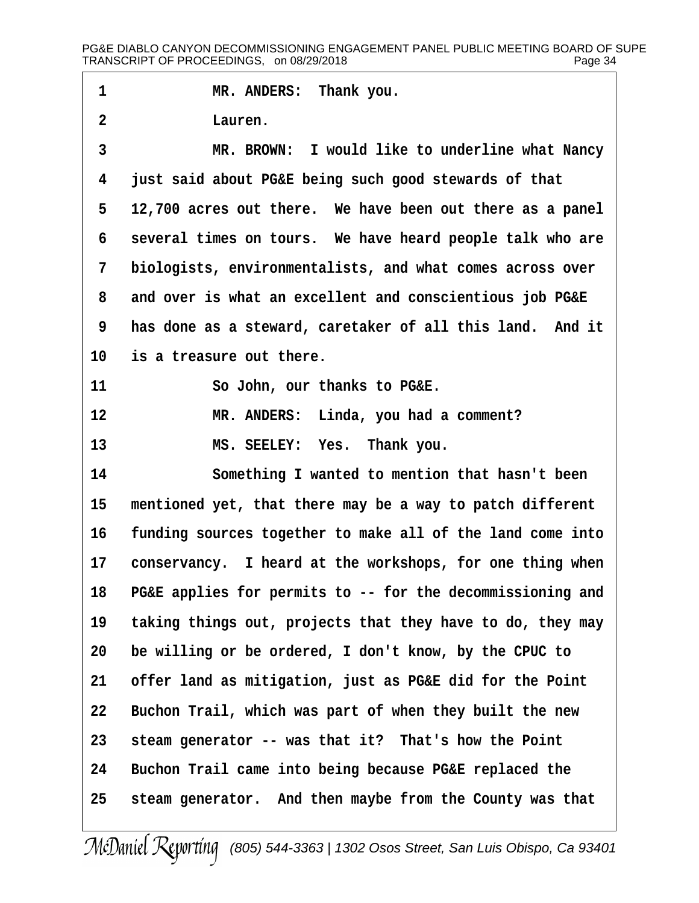1 **I MR. ANDERS:** Thank you. **·2· · · · · · ·Lauren. ·3· · · · · · ·MR. BROWN:· I would like to underline what Nancy ·4· ·just said about PG&E being such good stewards of that ·5· ·12,700 acres out there.· We have been out there as a panel ·6· ·several times on tours.· We have heard people talk who are ·7· ·biologists, environmentalists, and what comes across over ·8· ·and over is what an excellent and conscientious job PG&E ·9· ·has done as a steward, caretaker of all this land.· And it** 10 is a treasure out there. 11 · · · · · So John, our thanks to PG&E. **12· · · · · · ·MR. ANDERS:· Linda, you had a comment? 13· · · · · · ·MS. SEELEY:· Yes.· Thank you. 14· · · · · · ·Something I wanted to mention that hasn't been** 15 mentioned yet, that there may be a way to patch different **16· ·funding sources together to make all of the land come into** 17 conservancy. I heard at the workshops, for one thing when **18· ·PG&E applies for permits to -- for the decommissioning and 19· ·taking things out, projects that they have to do, they may 20· ·be willing or be ordered, I don't know, by the CPUC to 21· ·offer land as mitigation, just as PG&E did for the Point** 22 Buchon Trail, which was part of when they built the new **23· ·steam generator -- was that it?· That's how the Point 24· ·Buchon Trail came into being because PG&E replaced the 25· ·steam generator.· And then maybe from the County was that**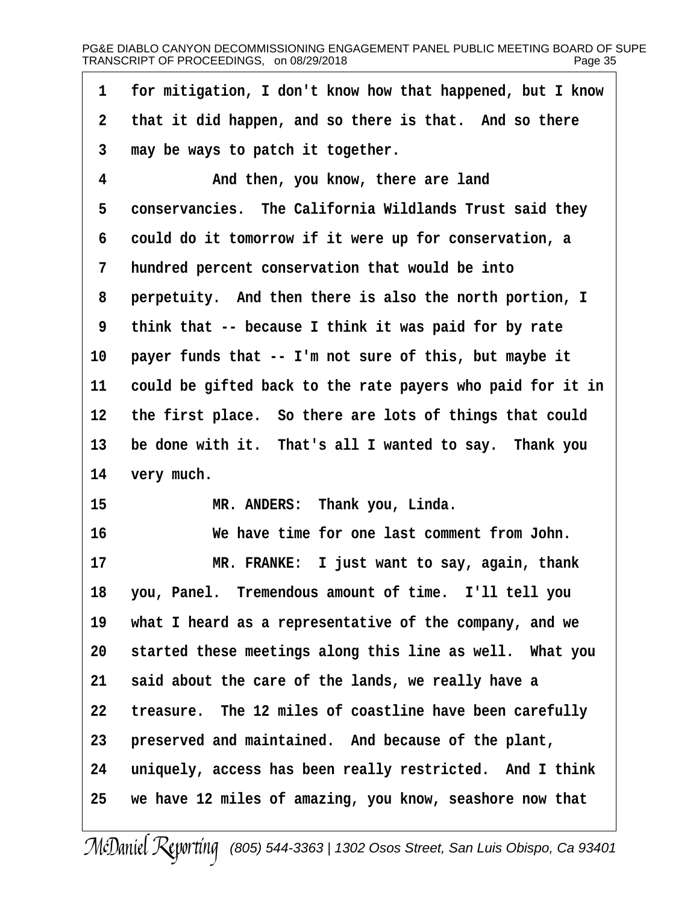**·1· ·for mitigation, I don't know how that happened, but I know** 2 that it did happen, and so there is that. And so there **·3· ·may be ways to patch it together. ·4· · · · · · ·And then, you know, there are land** 5 conservancies. The California Wildlands Trust said they **·6· ·could do it tomorrow if it were up for conservation, a ·7· ·hundred percent conservation that would be into ·8· ·perpetuity.· And then there is also the north portion, I ·9· ·think that -- because I think it was paid for by rate** 10 payer funds that -- I'm not sure of this, but maybe it **11· ·could be gifted back to the rate payers who paid for it in 12· ·the first place.· So there are lots of things that could** 13 be done with it. That's all I wanted to say. Thank you 14 very much. 15 **MR. ANDERS:** Thank you, Linda. **16· · · · · · ·We have time for one last comment from John. 17· · · · · · ·MR. FRANKE:· I just want to say, again, thank 18· ·you, Panel.· Tremendous amount of time.· I'll tell you 19· ·what I heard as a representative of the company, and we** 20 started these meetings along this line as well. What you **21· ·said about the care of the lands, we really have a 22· ·treasure.· The 12 miles of coastline have been carefully** 23 **preserved and maintained.** And because of the plant, 24 uniquely, access has been really restricted. And I think **25· ·we have 12 miles of amazing, you know, seashore now that**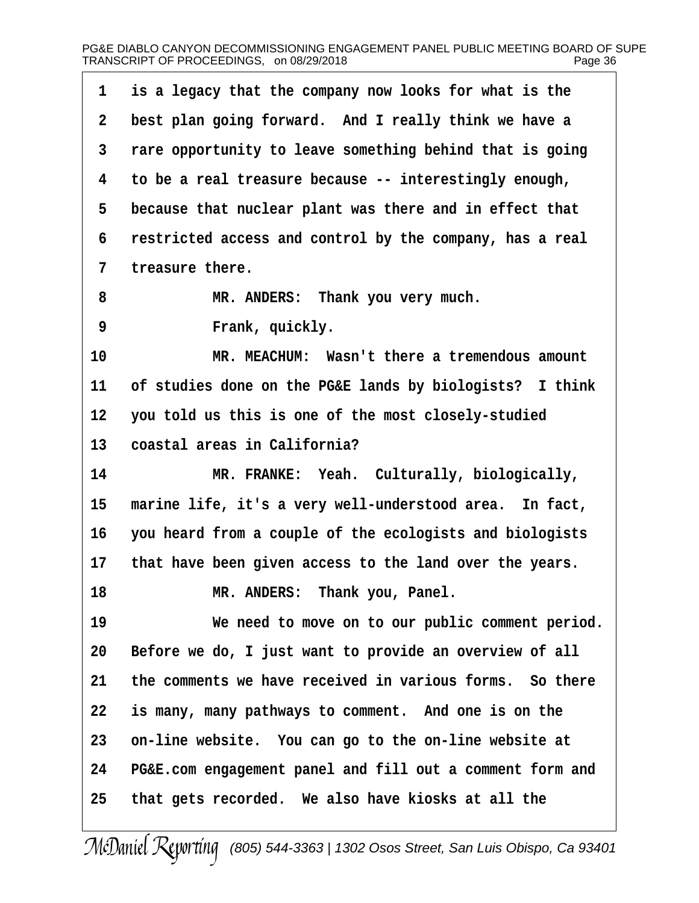| $\mathbf 1$ | is a legacy that the company now looks for what is the    |
|-------------|-----------------------------------------------------------|
| $\mathbf 2$ | best plan going forward. And I really think we have a     |
| 3           | rare opportunity to leave something behind that is going  |
| 4           | to be a real treasure because -- interestingly enough,    |
| 5           | because that nuclear plant was there and in effect that   |
| 6           | restricted access and control by the company, has a real  |
| 7           | treasure there.                                           |
| 8           | MR. ANDERS: Thank you very much.                          |
| 9           | Frank, quickly.                                           |
| 10          | MR. MEACHUM: Wasn't there a tremendous amount             |
| 11          | of studies done on the PG&E lands by biologists? I think  |
| 12          | you told us this is one of the most closely-studied       |
| 13          | coastal areas in California?                              |
| 14          | MR. FRANKE: Yeah. Culturally, biologically,               |
| 15          | marine life, it's a very well-understood area. In fact,   |
| 16          | you heard from a couple of the ecologists and biologists  |
| 17          | that have been given access to the land over the years.   |
| 18          | MR. ANDERS: Thank you, Panel.                             |
| 19          | We need to move on to our public comment period.          |
| 20          | Before we do, I just want to provide an overview of all   |
| 21          | the comments we have received in various forms. So there  |
| 22          | is many, many pathways to comment. And one is on the      |
| 23          | on-line website. You can go to the on-line website at     |
| 24          | PG&E.com engagement panel and fill out a comment form and |
| 25          | that gets recorded. We also have kiosks at all the        |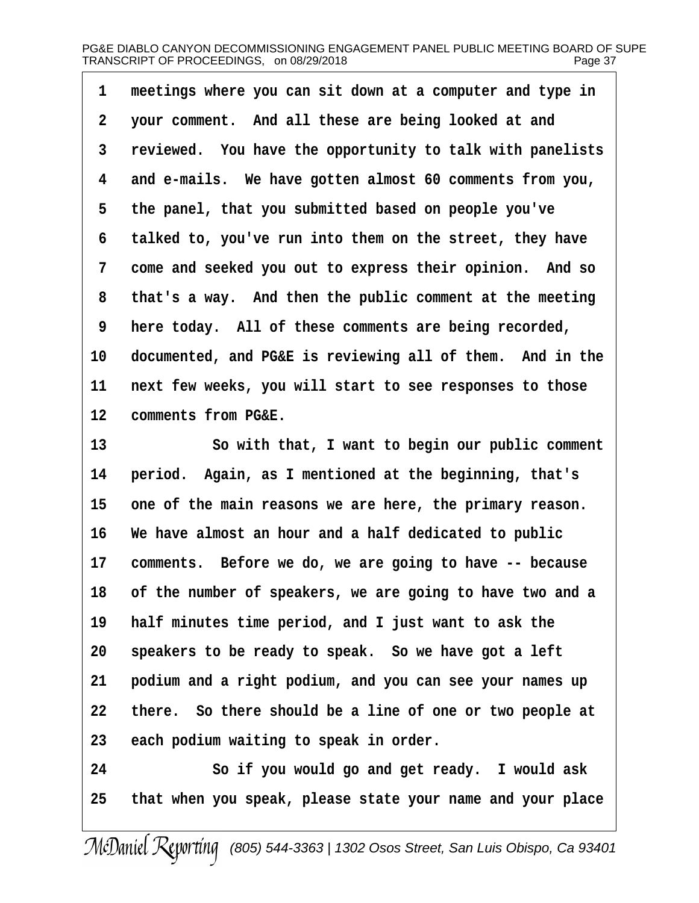1 meetings where you can sit down at a computer and type in **·2· ·your comment.· And all these are being looked at and ·3· ·reviewed.· You have the opportunity to talk with panelists ·4· ·and e-mails.· We have gotten almost 60 comments from you, ·5· ·the panel, that you submitted based on people you've ·6· ·talked to, you've run into them on the street, they have ·7· ·come and seeked you out to express their opinion.· And so ·8· ·that's a way.· And then the public comment at the meeting ·9· ·here today.· All of these comments are being recorded,** 10 documented, and PG&E is reviewing all of them. And in the **11· ·next few weeks, you will start to see responses to those** 12 **comments from PG&E.** 

13 **13** So with that, I want to begin our public comment **14· ·period.· Again, as I mentioned at the beginning, that's** 15 one of the main reasons we are here, the primary reason. **16· ·We have almost an hour and a half dedicated to public** 17 comments. Before we do, we are going to have -- because **18· ·of the number of speakers, we are going to have two and a 19· ·half minutes time period, and I just want to ask the** 20 speakers to be ready to speak. So we have got a left **21· ·podium and a right podium, and you can see your names up 22· ·there.· So there should be a line of one or two people at 23· ·each podium waiting to speak in order.**

**24· · · · · · ·So if you would go and get ready.· I would ask 25· ·that when you speak, please state your name and your place**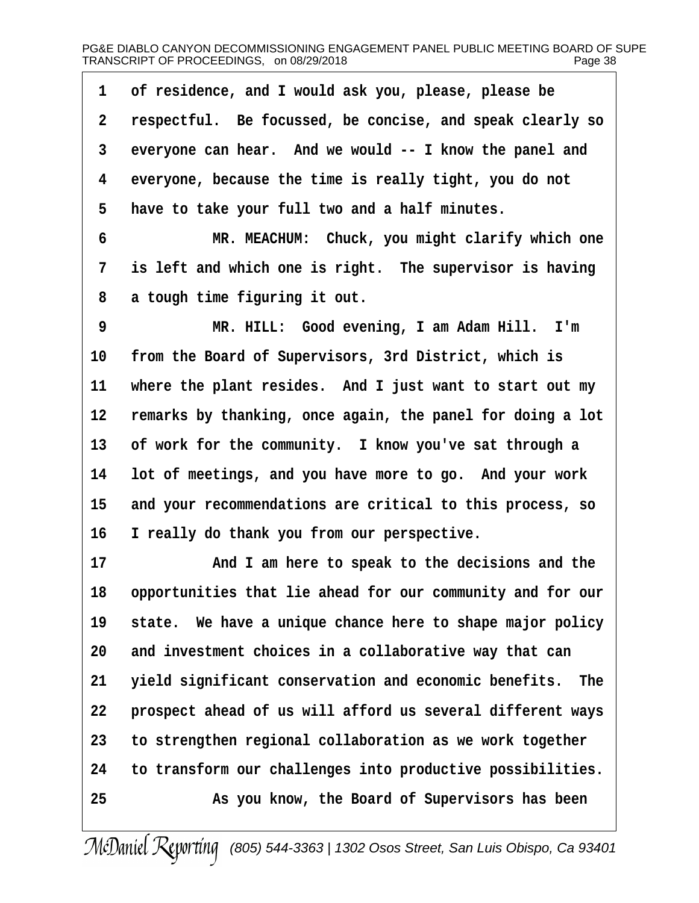| $\mathbf{1}$   | of residence, and I would ask you, please, please be       |
|----------------|------------------------------------------------------------|
| $\overline{2}$ | respectful. Be focussed, be concise, and speak clearly so  |
| 3              | everyone can hear. And we would -- I know the panel and    |
| 4              | everyone, because the time is really tight, you do not     |
| 5              | have to take your full two and a half minutes.             |
| $6\phantom{1}$ | MR. MEACHUM: Chuck, you might clarify which one            |
| $\overline{7}$ | is left and which one is right. The supervisor is having   |
| 8              | a tough time figuring it out.                              |
| 9              | MR. HILL: Good evening, I am Adam Hill. I'm                |
| 10             | from the Board of Supervisors, 3rd District, which is      |
| 11             | where the plant resides. And I just want to start out my   |
| 12             | remarks by thanking, once again, the panel for doing a lot |
| 13             | of work for the community. I know you've sat through a     |
| 14             | lot of meetings, and you have more to go. And your work    |
| 15             | and your recommendations are critical to this process, so  |
| 16             | I really do thank you from our perspective.                |
| 17             | $\lambda$ nd I am home te greak te the degigiers and the   |

**17· · · · · · ·And I am here to speak to the decisions and the 18· ·opportunities that lie ahead for our community and for our** 19 state. We have a unique chance here to shape major policy **20· ·and investment choices in a collaborative way that can 21· ·yield significant conservation and economic benefits.· The** 22 **· prospect ahead of us will afford us several different ways 23· ·to strengthen regional collaboration as we work together 24· ·to transform our challenges into productive possibilities. 25· · · · · · ·As you know, the Board of Supervisors has been**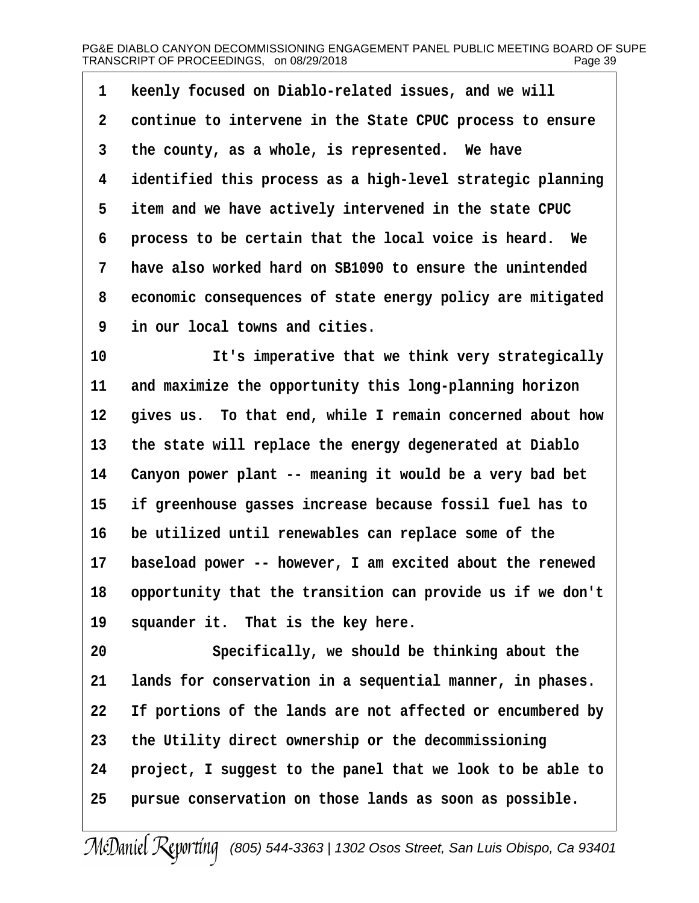1 **Reenly focused on Diablo-related issues, and we will ·2· ·continue to intervene in the State CPUC process to ensure** 3 the county, as a whole, is represented. We have **·4· ·identified this process as a high-level strategic planning ·5· ·item and we have actively intervened in the state CPUC ·6· ·process to be certain that the local voice is heard.· We ·7· ·have also worked hard on SB1090 to ensure the unintended ·8· ·economic consequences of state energy policy are mitigated ·9· ·in our local towns and cities.**

10 **10 11 It's imperative that we think very strategically** 11 and maximize the opportunity this long-planning horizon 12 gives us. To that end, while I remain concerned about how 13 the state will replace the energy degenerated at Diablo 14 Canyon power plant -- meaning it would be a very bad bet **15· ·if greenhouse gasses increase because fossil fuel has to 16· ·be utilized until renewables can replace some of the** 17 baseload power -- however, I am excited about the renewed **18· ·opportunity that the transition can provide us if we don't** 19 squander it. That is the key here.

**20· · · · · · ·Specifically, we should be thinking about the** 21 lands for conservation in a sequential manner, in phases. **22· ·If portions of the lands are not affected or encumbered by 23· ·the Utility direct ownership or the decommissioning 24· ·project, I suggest to the panel that we look to be able to 25· ·pursue conservation on those lands as soon as possible.**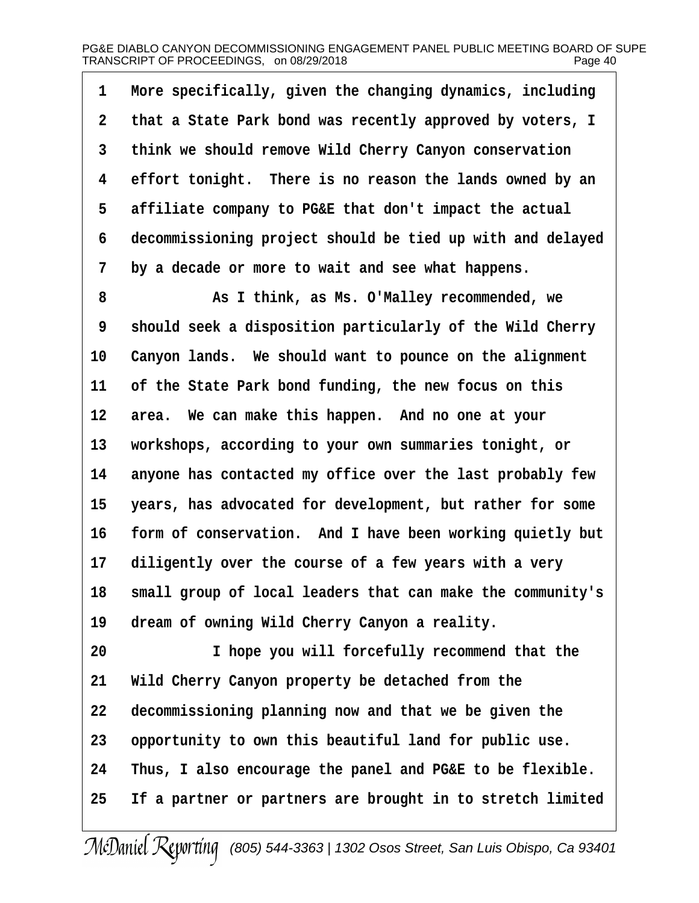**·1· ·More specifically, given the changing dynamics, including ·2· ·that a State Park bond was recently approved by voters, I ·3· ·think we should remove Wild Cherry Canyon conservation ·4· ·effort tonight.· There is no reason the lands owned by an ·5· ·affiliate company to PG&E that don't impact the actual ·6· ·decommissioning project should be tied up with and delayed ·7· ·by a decade or more to wait and see what happens.**

**·8· · · · · · ·As I think, as Ms. O'Malley recommended, we ·9· ·should seek a disposition particularly of the Wild Cherry** 10 Canyon lands. We should want to pounce on the alignment 11 of the State Park bond funding, the new focus on this 12 area. We can make this happen. And no one at your **13· ·workshops, according to your own summaries tonight, or 14· ·anyone has contacted my office over the last probably few** 15 years, has advocated for development, but rather for some 16 form of conservation. And I have been working quietly but 17 diligently over the course of a few years with a very **18· ·small group of local leaders that can make the community's** 19 dream of owning Wild Cherry Canyon a reality.

**20· · · · · · ·I hope you will forcefully recommend that the** 21 **Wild Cherry Canyon property be detached from the 22· ·decommissioning planning now and that we be given the 23· ·opportunity to own this beautiful land for public use. 24· ·Thus, I also encourage the panel and PG&E to be flexible. 25· ·If a partner or partners are brought in to stretch limited**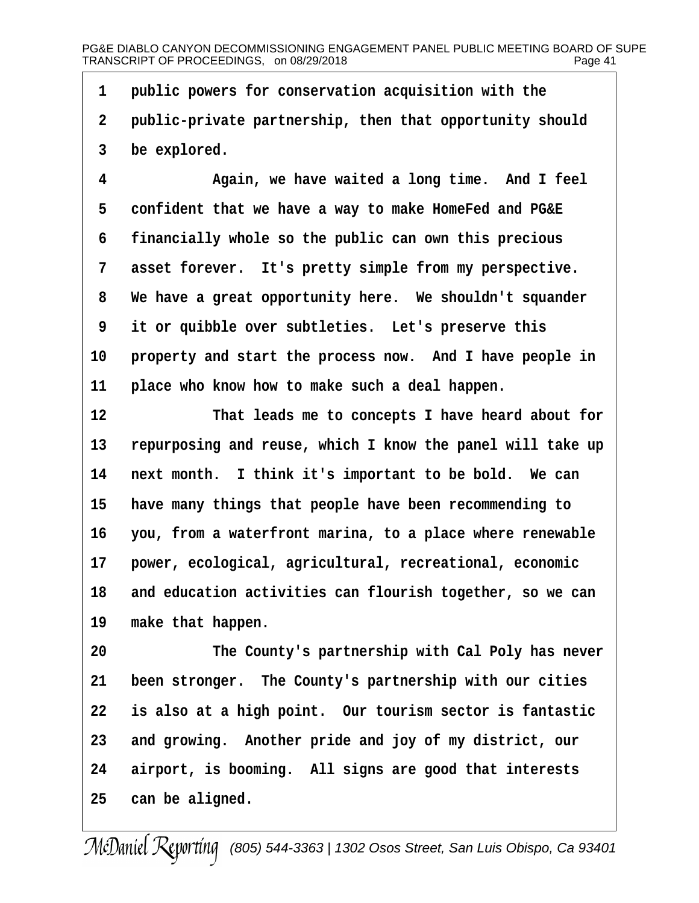**·1· ·public powers for conservation acquisition with the** 2 **public-private partnership, then that opportunity should ·3· ·be explored.**

**·4· · · · · · ·Again, we have waited a long time.· And I feel ·5· ·confident that we have a way to make HomeFed and PG&E ·6· ·financially whole so the public can own this precious** 7 asset forever. It's pretty simple from my perspective. **·8· ·We have a great opportunity here.· We shouldn't squander ·9· ·it or quibble over subtleties.· Let's preserve this** 10 **property and start the process now.** And I have people in 11 **place who know how to make such a deal happen.** 

**12· · · · · · ·That leads me to concepts I have heard about for** 13 repurposing and reuse, which I know the panel will take up 14 next month. I think it's important to be bold. We can **15· ·have many things that people have been recommending to 16· ·you, from a waterfront marina, to a place where renewable** 17 **power, ecological, agricultural, recreational, economic 18· ·and education activities can flourish together, so we can** 19 make that happen.

**20· · · · · · ·The County's partnership with Cal Poly has never** 21 been stronger. The County's partnership with our cities **22· ·is also at a high point.· Our tourism sector is fantastic** 23 and growing. Another pride and joy of my district, our 24 airport, is booming. All signs are good that interests 25 can be aligned.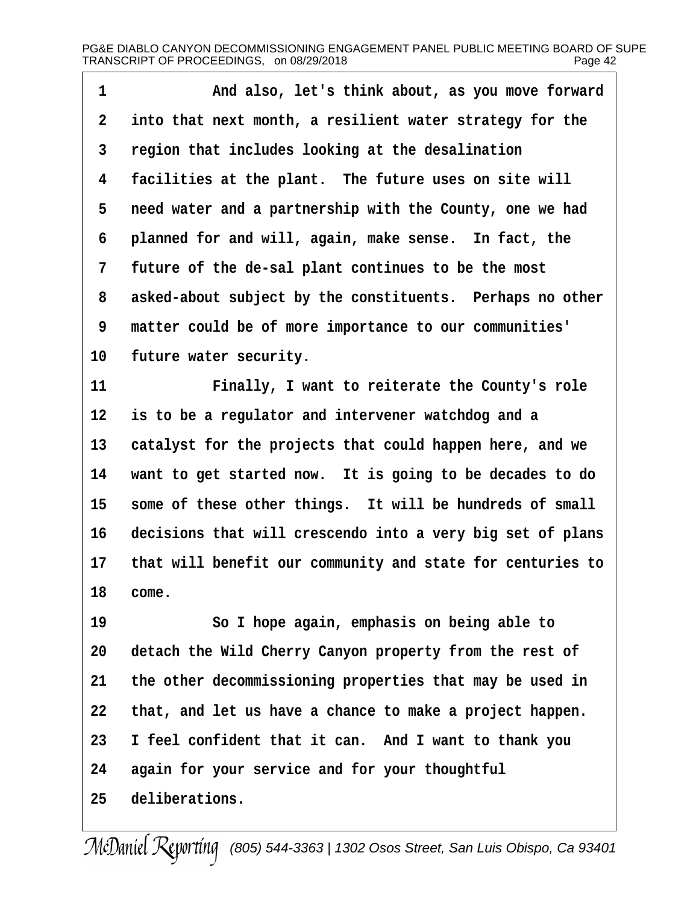**·1· · · · · · ·And also, let's think about, as you move forward ·2· ·into that next month, a resilient water strategy for the ·3· ·region that includes looking at the desalination** 4 facilities at the plant. The future uses on site will **·5· ·need water and a partnership with the County, one we had ·6· ·planned for and will, again, make sense.· In fact, the ·7· ·future of the de-sal plant continues to be the most ·8· ·asked-about subject by the constituents.· Perhaps no other ·9· ·matter could be of more importance to our communities'** 10 future water security. **11· · · · · · ·Finally, I want to reiterate the County's role 12· ·is to be a regulator and intervener watchdog and a** 13 catalyst for the projects that could happen here, and we 14 want to get started now. It is going to be decades to do 15 some of these other things. It will be hundreds of small

**16· ·decisions that will crescendo into a very big set of plans 17· ·that will benefit our community and state for centuries to** 18 *come.* 

**19· · · · · · ·So I hope again, emphasis on being able to** 20 detach the Wild Cherry Canyon property from the rest of **21· ·the other decommissioning properties that may be used in 22· ·that, and let us have a chance to make a project happen. 23· ·I feel confident that it can.· And I want to thank you 24· ·again for your service and for your thoughtful** 25 deliberations.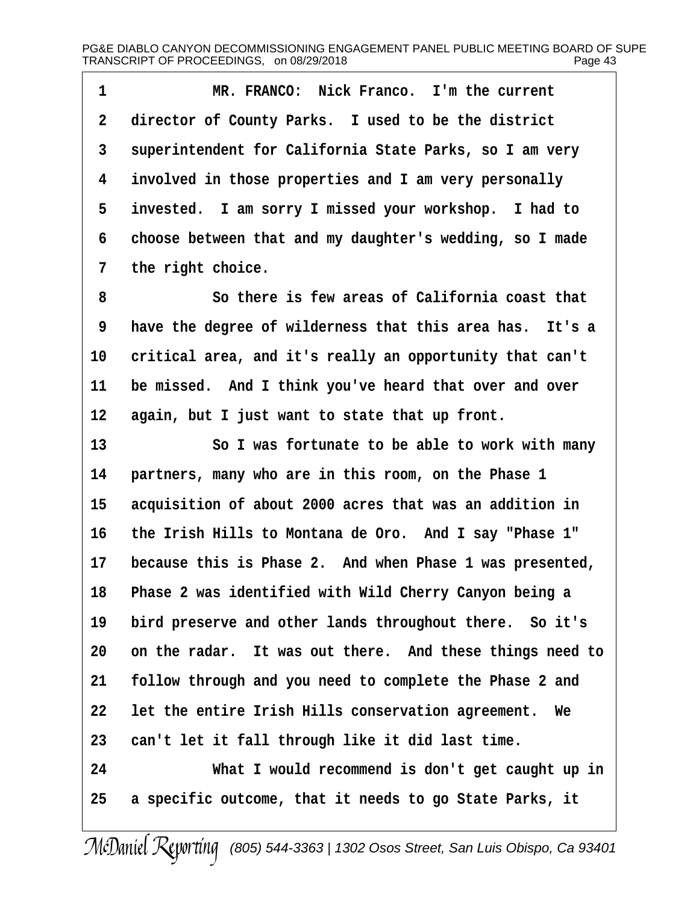1 **8 MR. FRANCO:** Nick Franco. I'm the current 2 director of County Parks. I used to be the district **·3· ·superintendent for California State Parks, so I am very ·4· ·involved in those properties and I am very personally** 5 invested. I am sorry I missed your workshop. I had to **·6· ·choose between that and my daughter's wedding, so I made** 7 the right choice.

**·8· · · · · · ·So there is few areas of California coast that ·9· ·have the degree of wilderness that this area has.· It's a** 10 critical area, and it's really an opportunity that can't 11 be missed. And I think you've heard that over and over 12 again, but I just want to state that up front.

13 **80 I was fortunate to be able to work with many 14· ·partners, many who are in this room, on the Phase 1** 15 acquisition of about 2000 acres that was an addition in **16· ·the Irish Hills to Montana de Oro.· And I say "Phase 1"** 17 because this is Phase 2. And when Phase 1 was presented, **18· ·Phase 2 was identified with Wild Cherry Canyon being a** 19 bird preserve and other lands throughout there. So it's **20· ·on the radar.· It was out there.· And these things need to 21· ·follow through and you need to complete the Phase 2 and 22· ·let the entire Irish Hills conservation agreement.· We 23· ·can't let it fall through like it did last time. 24· · · · · · ·What I would recommend is don't get caught up in 25· ·a specific outcome, that it needs to go State Parks, it**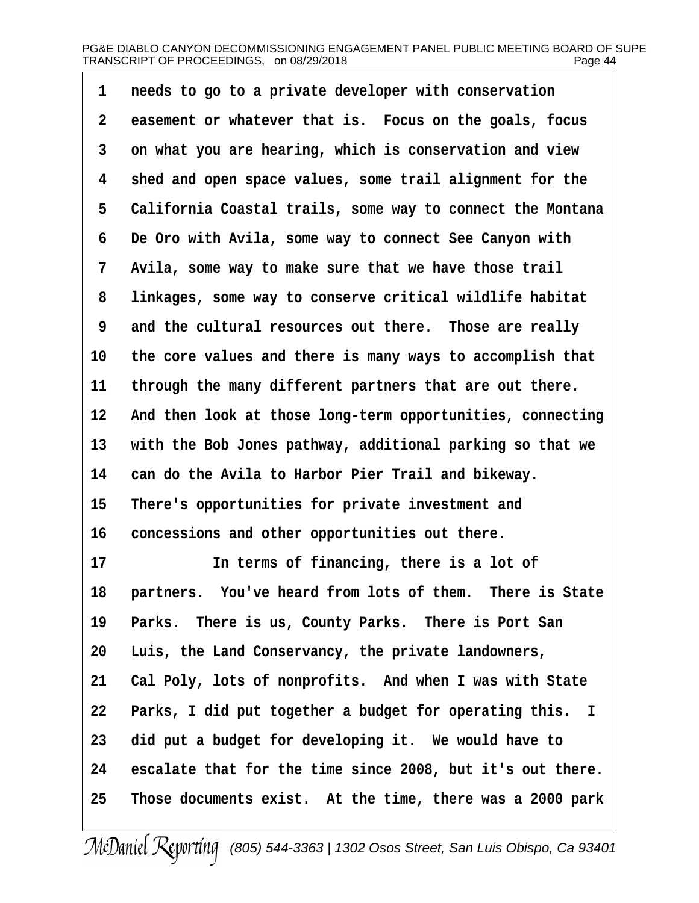**·1· ·needs to go to a private developer with conservation ·2· ·easement or whatever that is.· Focus on the goals, focus ·3· ·on what you are hearing, which is conservation and view ·4· ·shed and open space values, some trail alignment for the ·5· ·California Coastal trails, some way to connect the Montana ·6· ·De Oro with Avila, some way to connect See Canyon with** 7 **Avila, some way to make sure that we have those trail ·8· ·linkages, some way to conserve critical wildlife habitat ·9· ·and the cultural resources out there.· Those are really** 10 the core values and there is many ways to accomplish that 11 through the many different partners that are out there. 12 And then look at those long-term opportunities, connecting 13 with the Bob Jones pathway, additional parking so that we **14· ·can do the Avila to Harbor Pier Trail and bikeway.** 15 There's opportunities for private investment and 16 concessions and other opportunities out there. 17 **In terms of financing, there is a lot of** 18 **partners.** You've heard from lots of them. There is State 19 Parks. There is us, County Parks. There is Port San **20· ·Luis, the Land Conservancy, the private landowners,** 21 Cal Poly, lots of nonprofits. And when I was with State 22 Parks, I did put together a budget for operating this. I

**23· ·did put a budget for developing it.· We would have to 24· ·escalate that for the time since 2008, but it's out there. 25· ·Those documents exist.· At the time, there was a 2000 park**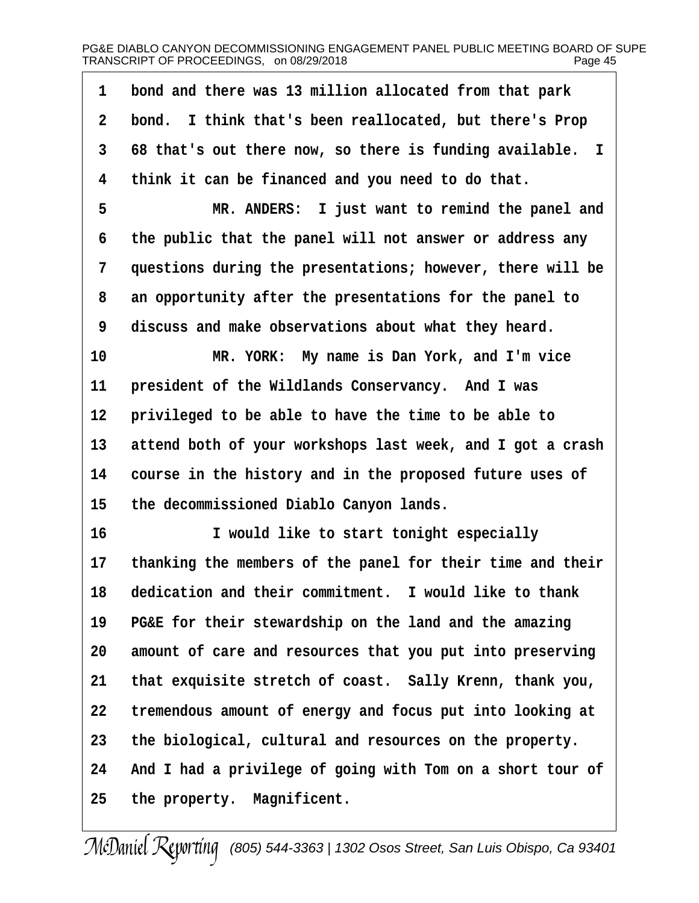| 1           | bond and there was 13 million allocated from that park     |
|-------------|------------------------------------------------------------|
| $\mathbf 2$ | bond. I think that's been reallocated, but there's Prop    |
| 3           | 68 that's out there now, so there is funding available. I  |
| 4           | think it can be financed and you need to do that.          |
| 5           | MR. ANDERS: I just want to remind the panel and            |
| 6           | the public that the panel will not answer or address any   |
| 7           | questions during the presentations; however, there will be |
| 8           | an opportunity after the presentations for the panel to    |
| 9           | discuss and make observations about what they heard.       |
| 10          | MR. YORK: My name is Dan York, and I'm vice                |
| 11          | president of the Wildlands Conservancy. And I was          |
| 12          | privileged to be able to have the time to be able to       |
| 13          | attend both of your workshops last week, and I got a crash |
| 14          | course in the history and in the proposed future uses of   |
| 15          | the decommissioned Diablo Canyon lands.                    |
| 16          | I would like to start tonight especially                   |
| 17          | thanking the members of the panel for their time and their |
| 18          | dedication and their commitment. I would like to thank     |
| 19          | PG&E for their stewardship on the land and the amazing     |
| 20          | amount of care and resources that you put into preserving  |
| 21          | that exquisite stretch of coast. Sally Krenn, thank you,   |
| 22          | tremendous amount of energy and focus put into looking at  |
| 23          | the biological, cultural and resources on the property.    |
| 24          | And I had a privilege of going with Tom on a short tour of |
| 25          | the property. Magnificent.                                 |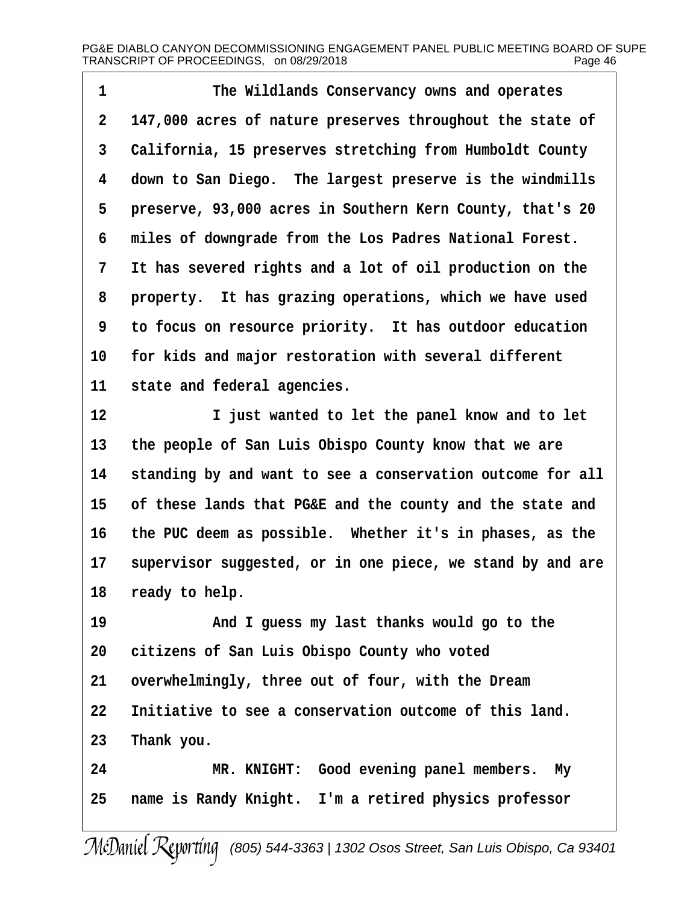**·1· · · · · · ·The Wildlands Conservancy owns and operates ·2· ·147,000 acres of nature preserves throughout the state of ·3· ·California, 15 preserves stretching from Humboldt County ·4· ·down to San Diego.· The largest preserve is the windmills** 5 **preserve, 93,000 acres in Southern Kern County, that's 20 ·6· ·miles of downgrade from the Los Padres National Forest. ·7· ·It has severed rights and a lot of oil production on the ·8· ·property.· It has grazing operations, which we have used ·9· ·to focus on resource priority.· It has outdoor education** 10 for kids and major restoration with several different 11 state and federal agencies. **12· · · · · · ·I just wanted to let the panel know and to let 13· ·the people of San Luis Obispo County know that we are** 14 standing by and want to see a conservation outcome for all **15· ·of these lands that PG&E and the county and the state and**

16 the PUC deem as possible. Whether it's in phases, as the 17 supervisor suggested, or in one piece, we stand by and are 18 ready to help.

**19· · · · · · ·And I guess my last thanks would go to the 20· ·citizens of San Luis Obispo County who voted** 21 overwhelmingly, three out of four, with the Dream **22· ·Initiative to see a conservation outcome of this land.** 23 Thank you.

**24· · · · · · ·MR. KNIGHT:· Good evening panel members.· My** 25 name is Randy Knight. I'm a retired physics professor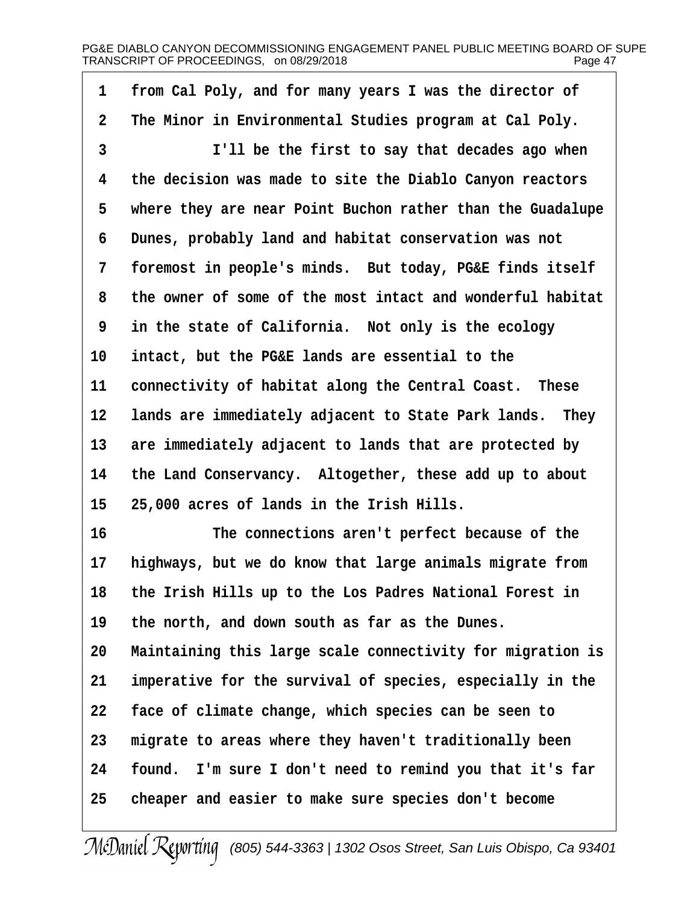| 1           | from Cal Poly, and for many years I was the director of    |
|-------------|------------------------------------------------------------|
| $\mathbf 2$ | The Minor in Environmental Studies program at Cal Poly.    |
| 3           | I'll be the first to say that decades ago when             |
| 4           | the decision was made to site the Diablo Canyon reactors   |
| 5           | where they are near Point Buchon rather than the Guadalupe |
| 6           | Dunes, probably land and habitat conservation was not      |
| 7           | foremost in people's minds. But today, PG&E finds itself   |
| 8           | the owner of some of the most intact and wonderful habitat |
| 9           | in the state of California. Not only is the ecology        |
| 10          | intact, but the PG&E lands are essential to the            |
| 11          | connectivity of habitat along the Central Coast. These     |
| 12          | lands are immediately adjacent to State Park lands. They   |
| 13          | are immediately adjacent to lands that are protected by    |
| 14          | the Land Conservancy. Altogether, these add up to about    |
| 15          | 25,000 acres of lands in the Irish Hills.                  |
| 16          | The connections aren't perfect because of the              |
| 17          | highways, but we do know that large animals migrate from   |
| 18          | the Irish Hills up to the Los Padres National Forest in    |
| 19          | the north, and down south as far as the Dunes.             |
| 20          | Maintaining this large scale connectivity for migration is |
| 21          | imperative for the survival of species, especially in the  |
| 22          | face of climate change, which species can be seen to       |
| 23          | migrate to areas where they haven't traditionally been     |
| 24          | found. I'm sure I don't need to remind you that it's far   |
| 25          | cheaper and easier to make sure species don't become       |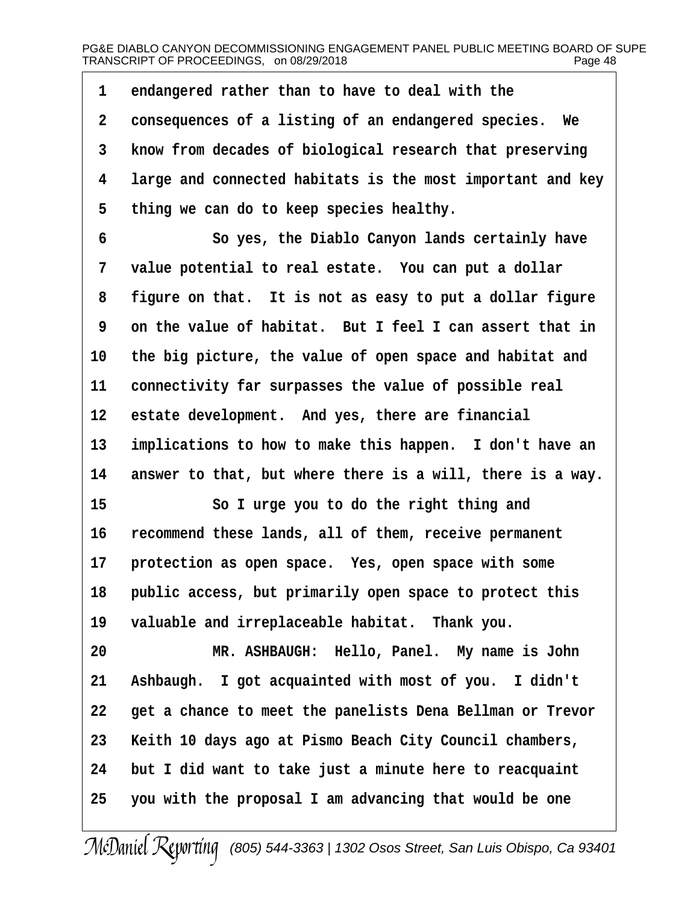**·1· ·endangered rather than to have to deal with the ·2· ·consequences of a listing of an endangered species.· We ·3· ·know from decades of biological research that preserving ·4· ·large and connected habitats is the most important and key ·5· ·thing we can do to keep species healthy.**

**·6· · · · · · ·So yes, the Diablo Canyon lands certainly have ·7· ·value potential to real estate.· You can put a dollar ·8· ·figure on that.· It is not as easy to put a dollar figure ·9· ·on the value of habitat.· But I feel I can assert that in 10· ·the big picture, the value of open space and habitat and 11· ·connectivity far surpasses the value of possible real** 12 estate development. And yes, there are financial 13 implications to how to make this happen. I don't have an 14 answer to that, but where there is a will, there is a way.

**15· · · · · · ·So I urge you to do the right thing and 16· ·recommend these lands, all of them, receive permanent** 17 **protection as open space.** Yes, open space with some 18 **public access, but primarily open space to protect this** 19 valuable and irreplaceable habitat. Thank you.

20 **MR. ASHBAUGH: Hello, Panel.** My name is John 21 Ashbaugh. I got acquainted with most of you. I didn't **22· ·get a chance to meet the panelists Dena Bellman or Trevor 23· ·Keith 10 days ago at Pismo Beach City Council chambers, 24· ·but I did want to take just a minute here to reacquaint 25· ·you with the proposal I am advancing that would be one**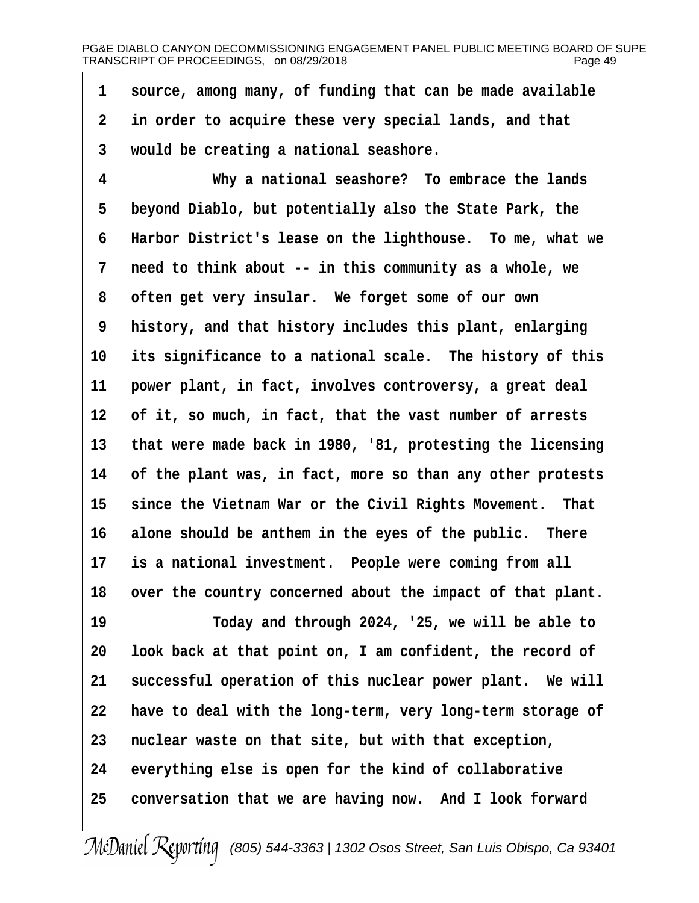1 source, among many, of funding that can be made available **·2· ·in order to acquire these very special lands, and that ·3· ·would be creating a national seashore.**

**·4· · · · · · ·Why a national seashore?· To embrace the lands ·5· ·beyond Diablo, but potentially also the State Park, the ·6· ·Harbor District's lease on the lighthouse.· To me, what we ·7· ·need to think about -- in this community as a whole, we ·8· ·often get very insular.· We forget some of our own ·9· ·history, and that history includes this plant, enlarging** 10 its significance to a national scale. The history of this 11 power plant, in fact, involves controversy, a great deal **12· ·of it, so much, in fact, that the vast number of arrests 13· ·that were made back in 1980, '81, protesting the licensing 14· ·of the plant was, in fact, more so than any other protests** 15 since the Vietnam War or the Civil Rights Movement. That 16 alone should be anthem in the eyes of the public. There 17 is a national investment. People were coming from all 18 over the country concerned about the impact of that plant.

**19· · · · · · ·Today and through 2024, '25, we will be able to 20· ·look back at that point on, I am confident, the record of** 21 successful operation of this nuclear power plant. We will **22· ·have to deal with the long-term, very long-term storage of 23· ·nuclear waste on that site, but with that exception,** 24 everything else is open for the kind of collaborative 25 conversation that we are having now. And I look forward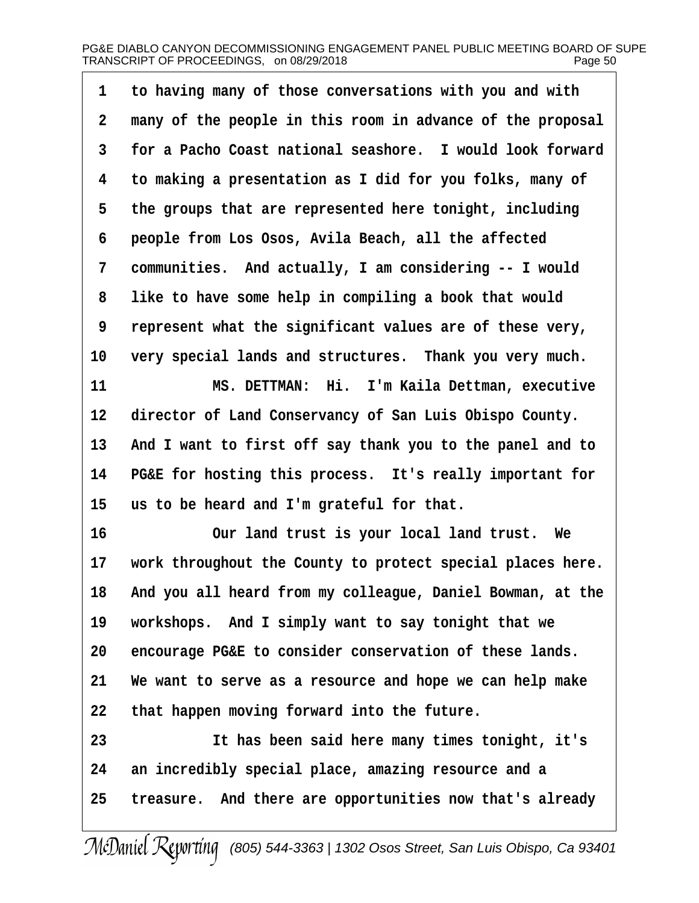| 1               | to having many of those conversations with you and with    |
|-----------------|------------------------------------------------------------|
| $\overline{2}$  | many of the people in this room in advance of the proposal |
| 3               | for a Pacho Coast national seashore. I would look forward  |
| 4               | to making a presentation as I did for you folks, many of   |
| 5               | the groups that are represented here tonight, including    |
| 6               | people from Los Osos, Avila Beach, all the affected        |
| $7\phantom{.}$  | communities. And actually, I am considering -- I would     |
| 8               | like to have some help in compiling a book that would      |
| 9               | represent what the significant values are of these very,   |
| 10 <sub>1</sub> | very special lands and structures. Thank you very much.    |
| 11              | MS. DETTMAN: Hi. I'm Kaila Dettman, executive              |
| 12              | director of Land Conservancy of San Luis Obispo County.    |
| 13              | And I want to first off say thank you to the panel and to  |
| 14              | PG&E for hosting this process. It's really important for   |
| 15              | us to be heard and I'm grateful for that.                  |
| 16              | Our land trust is your local land trust. We                |
| $17 \,$         | work throughout the County to protect special places here. |
| 18              | And you all heard from my colleague, Daniel Bowman, at the |
| 19              | workshops. And I simply want to say tonight that we        |
| 20              | encourage PG&E to consider conservation of these lands.    |
| 21              | We want to serve as a resource and hope we can help make   |
| 22              | that happen moving forward into the future.                |
| 23              | It has been said here many times tonight, it's             |
| 24              | an incredibly special place, amazing resource and a        |
| 25              | treasure. And there are opportunities now that's already   |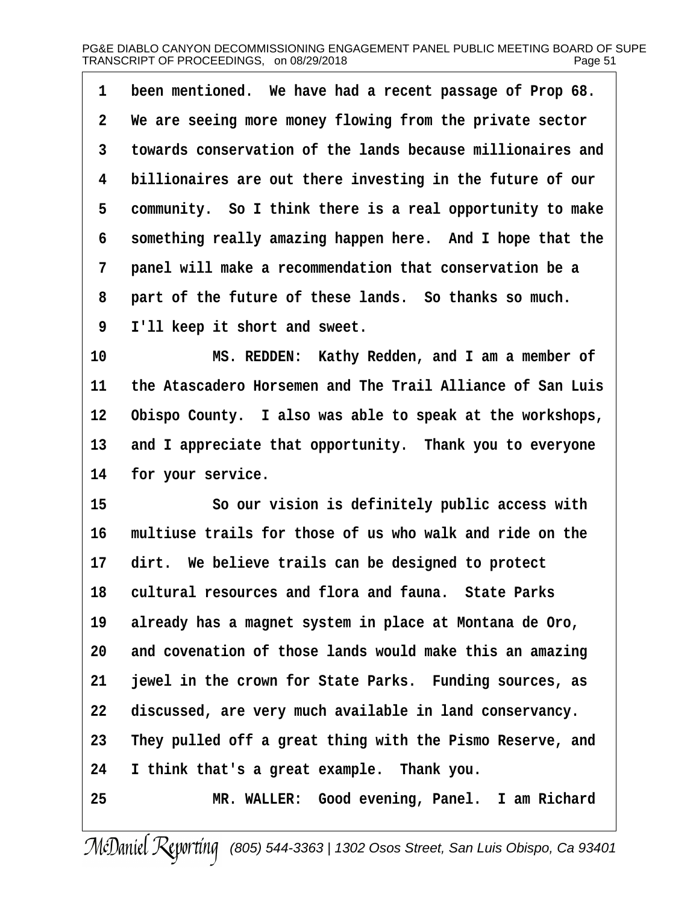1 been mentioned. We have had a recent passage of Prop 68. **·2· ·We are seeing more money flowing from the private sector ·3· ·towards conservation of the lands because millionaires and ·4· ·billionaires are out there investing in the future of our ·5· ·community.· So I think there is a real opportunity to make ·6· ·something really amazing happen here.· And I hope that the ·7· ·panel will make a recommendation that conservation be a** 8 part of the future of these lands. So thanks so much. **·9· ·I'll keep it short and sweet.**

10 **MS. REDDEN:** Kathy Redden, and I am a member of **11· ·the Atascadero Horsemen and The Trail Alliance of San Luis 12· ·Obispo County.· I also was able to speak at the workshops,** 13 and I appreciate that opportunity. Thank you to everyone 14 for your service.

**15· · · · · · ·So our vision is definitely public access with 16· ·multiuse trails for those of us who walk and ride on the** 17 dirt. We believe trails can be designed to protect **18· ·cultural resources and flora and fauna.· State Parks 19· ·already has a magnet system in place at Montana de Oro, 20· ·and covenation of those lands would make this an amazing 21· ·jewel in the crown for State Parks.· Funding sources, as** 22 discussed, are very much available in land conservancy. **23· ·They pulled off a great thing with the Pismo Reserve, and 24· ·I think that's a great example.· Thank you. 25· · · · · · ·MR. WALLER:· Good evening, Panel.· I am Richard**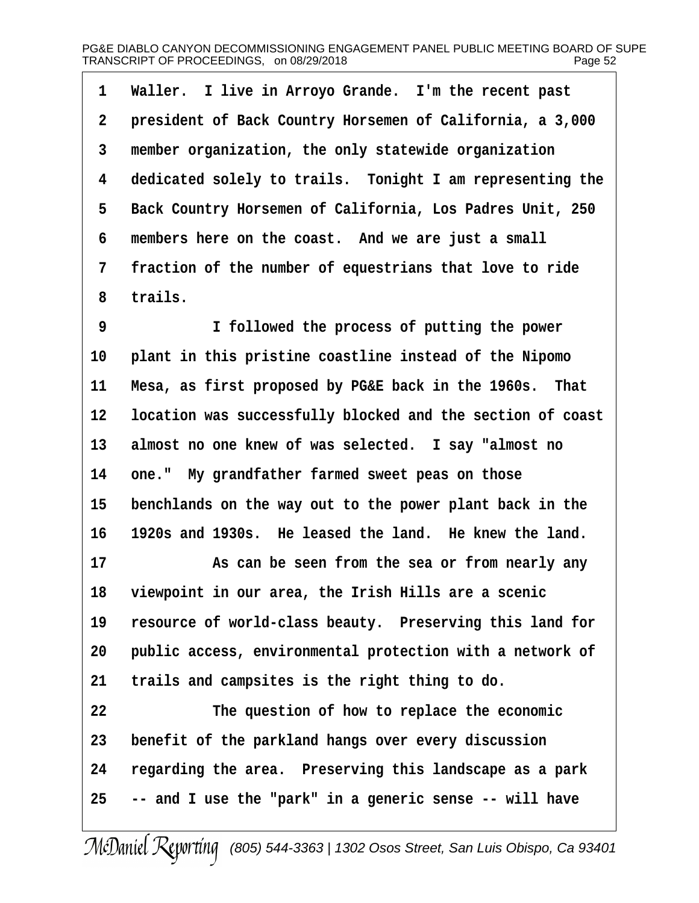1 Waller. I live in Arroyo Grande. I'm the recent past **·2· ·president of Back Country Horsemen of California, a 3,000 ·3· ·member organization, the only statewide organization ·4· ·dedicated solely to trails.· Tonight I am representing the ·5· ·Back Country Horsemen of California, Los Padres Unit, 250** 6 members here on the coast. And we are just a small **·7· ·fraction of the number of equestrians that love to ride ·8· ·trails.**

**·9· · · · · · ·I followed the process of putting the power** 10 **plant in this pristine coastline instead of the Nipomo** 11 Mesa, as first proposed by PG&E back in the 1960s. That **12· ·location was successfully blocked and the section of coast** 13 almost no one knew of was selected. I say "almost no 14 one." My grandfather farmed sweet peas on those 15 benchlands on the way out to the power plant back in the **16· ·1920s and 1930s.· He leased the land.· He knew the land.**

**17· · · · · · ·As can be seen from the sea or from nearly any 18· ·viewpoint in our area, the Irish Hills are a scenic** 19 resource of world-class beauty. Preserving this land for 20 **public access, environmental protection with a network of** 21 trails and campsites is the right thing to do.

**22· · · · · · ·The question of how to replace the economic 23· ·benefit of the parkland hangs over every discussion 24· ·regarding the area.· Preserving this landscape as a park 25· ·-- and I use the "park" in a generic sense -- will have**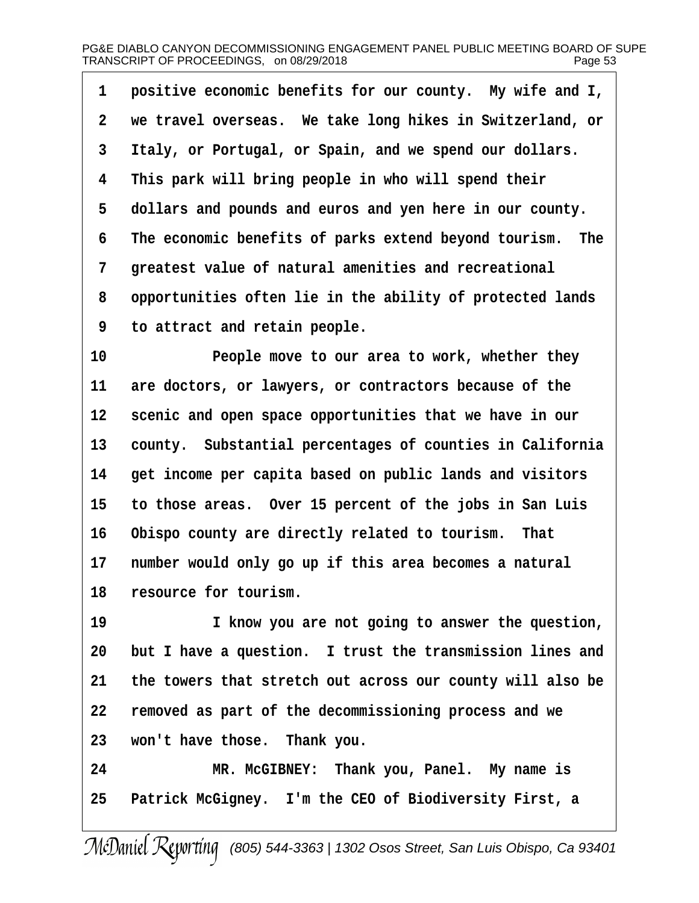1 **positive economic benefits for our county.** My wife and I, **·2· ·we travel overseas.· We take long hikes in Switzerland, or ·3· ·Italy, or Portugal, or Spain, and we spend our dollars. ·4· ·This park will bring people in who will spend their ·5· ·dollars and pounds and euros and yen here in our county. ·6· ·The economic benefits of parks extend beyond tourism.· The ·7· ·greatest value of natural amenities and recreational ·8· ·opportunities often lie in the ability of protected lands ·9· ·to attract and retain people.**

**10· · · · · · ·People move to our area to work, whether they** 11 are doctors, or lawyers, or contractors because of the 12 scenic and open space opportunities that we have in our 13 county. Substantial percentages of counties in California **14· ·get income per capita based on public lands and visitors 15· ·to those areas.· Over 15 percent of the jobs in San Luis 16· ·Obispo county are directly related to tourism.· That** 17 number would only go up if this area becomes a natural 18 resource for tourism.

**19· · · · · · ·I know you are not going to answer the question,** 20 but I have a question. I trust the transmission lines and **21· ·the towers that stretch out across our county will also be 22· ·removed as part of the decommissioning process and we 23· ·won't have those.· Thank you.**

**24· · · · · · ·MR. McGIBNEY:· Thank you, Panel.· My name is** 25 Patrick McGigney. I'm the CEO of Biodiversity First, a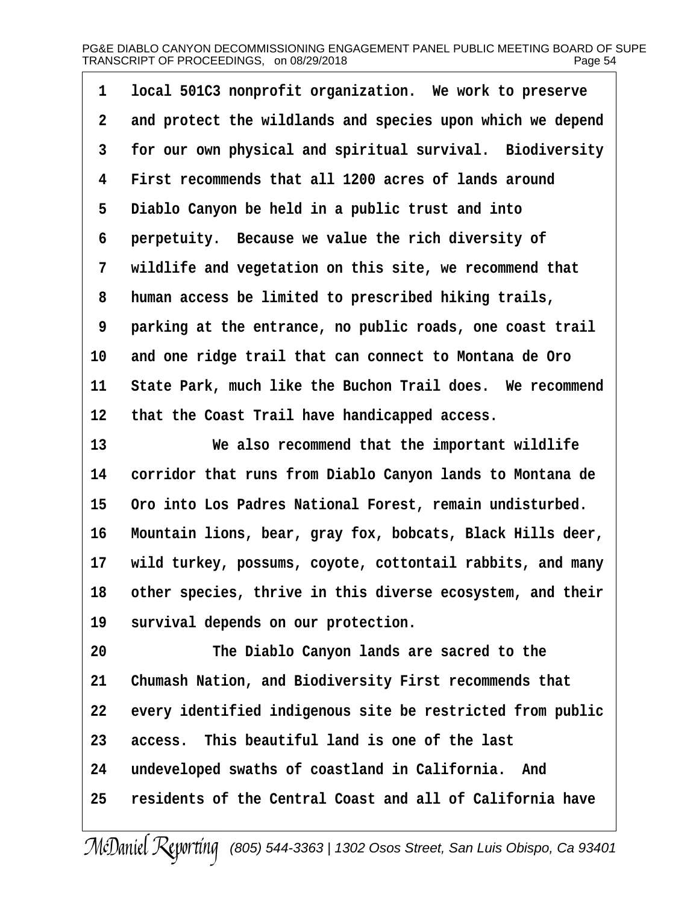1 **local 501C3** nonprofit organization. We work to preserve **·2· ·and protect the wildlands and species upon which we depend ·3· ·for our own physical and spiritual survival.· Biodiversity ·4· ·First recommends that all 1200 acres of lands around ·5· ·Diablo Canyon be held in a public trust and into ·6· ·perpetuity.· Because we value the rich diversity of ·7· ·wildlife and vegetation on this site, we recommend that ·8· ·human access be limited to prescribed hiking trails, ·9· ·parking at the entrance, no public roads, one coast trail** 10 and one ridge trail that can connect to Montana de Oro 11 State Park, much like the Buchon Trail does. We recommend 12 that the Coast Trail have handicapped access.

**13· · · · · · ·We also recommend that the important wildlife 14· ·corridor that runs from Diablo Canyon lands to Montana de** 15 Oro into Los Padres National Forest, remain undisturbed. **16· ·Mountain lions, bear, gray fox, bobcats, Black Hills deer, 17· ·wild turkey, possums, coyote, cottontail rabbits, and many 18· ·other species, thrive in this diverse ecosystem, and their** 19 survival depends on our protection.

**20· · · · · · ·The Diablo Canyon lands are sacred to the** 21 Chumash Nation, and Biodiversity First recommends that 22 every identified indigenous site be restricted from public 23 access. This beautiful land is one of the last **24· ·undeveloped swaths of coastland in California.· And 25· ·residents of the Central Coast and all of California have**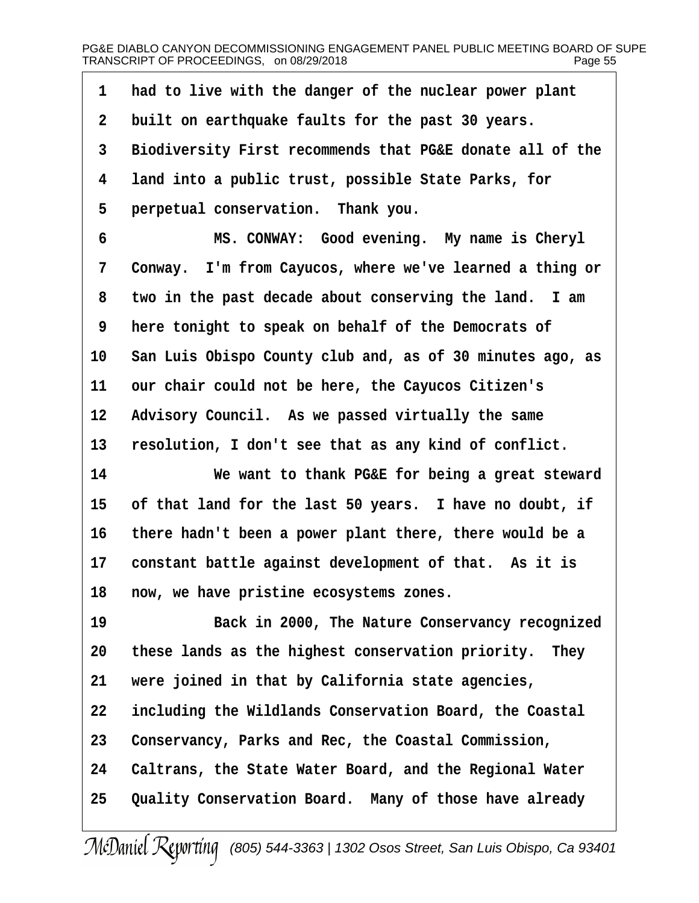| $\mathbf{1}$            | had to live with the danger of the nuclear power plant    |
|-------------------------|-----------------------------------------------------------|
| $\mathbf{2}$            | built on earthquake faults for the past 30 years.         |
| 3                       | Biodiversity First recommends that PG&E donate all of the |
| $\overline{\mathbf{4}}$ | land into a public trust, possible State Parks, for       |
| 5                       | perpetual conservation. Thank you.                        |
| 6                       | MS. CONWAY: Good evening. My name is Cheryl               |
| 7                       | Conway. I'm from Cayucos, where we've learned a thing or  |
| 8                       | two in the past decade about conserving the land. I am    |
| 9                       | here tonight to speak on behalf of the Democrats of       |
| 10                      | San Luis Obispo County club and, as of 30 minutes ago, as |
| 11                      | our chair could not be here, the Cayucos Citizen's        |
| 12                      | Advisory Council. As we passed virtually the same         |
| 13                      | resolution, I don't see that as any kind of conflict.     |
| 14                      | We want to thank PG&E for being a great steward           |
| 15                      | of that land for the last 50 years. I have no doubt, if   |
| 16                      | there hadn't been a power plant there, there would be a   |
| 17                      | constant battle against development of that. As it is     |
| 18                      | now, we have pristine ecosystems zones.                   |
| 19                      | Back in 2000, The Nature Conservancy recognized           |
| 20                      | these lands as the highest conservation priority. They    |
| 21                      | were joined in that by California state agencies,         |
| 22                      | including the Wildlands Conservation Board, the Coastal   |
| 23                      | Conservancy, Parks and Rec, the Coastal Commission,       |
| 24                      | Caltrans, the State Water Board, and the Regional Water   |
| 25                      | Quality Conservation Board. Many of those have already    |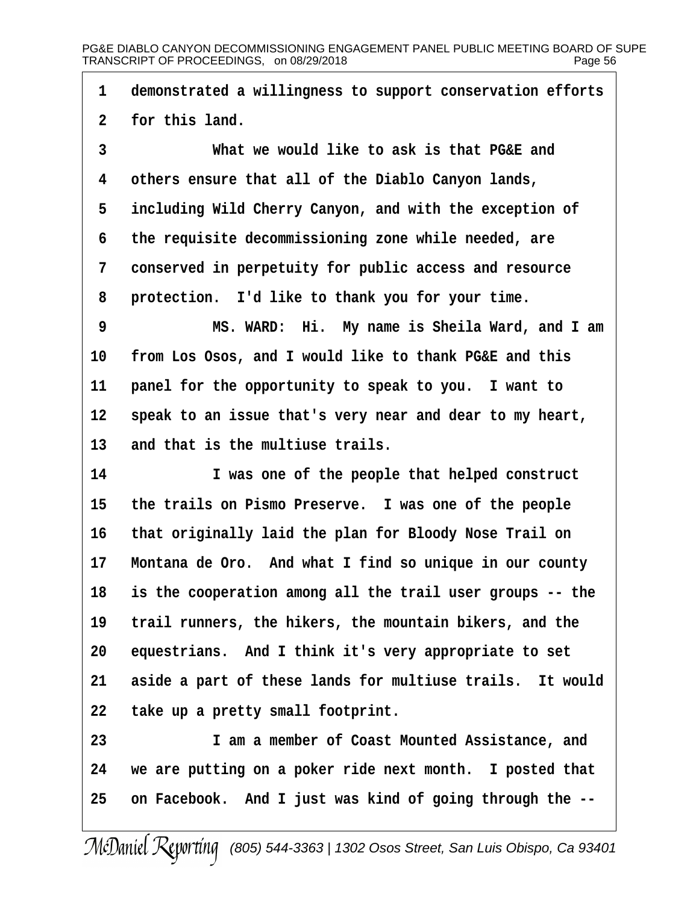**·1· ·demonstrated a willingness to support conservation efforts** 2 for this land.

**·3· · · · · · ·What we would like to ask is that PG&E and ·4· ·others ensure that all of the Diablo Canyon lands, ·5· ·including Wild Cherry Canyon, and with the exception of ·6· ·the requisite decommissioning zone while needed, are ·7· ·conserved in perpetuity for public access and resource ·8· ·protection.· I'd like to thank you for your time.**

**·9· · · · · · ·MS. WARD:· Hi.· My name is Sheila Ward, and I am** 10 from Los Osos, and I would like to thank PG&E and this 11 **panel for the opportunity to speak to you.** I want to 12 speak to an issue that's very near and dear to my heart, 13 and that is the multiuse trails.

**14· · · · · · ·I was one of the people that helped construct** 15 the trails on Pismo Preserve. I was one of the people **16· ·that originally laid the plan for Bloody Nose Trail on** 17 Montana de Oro. And what I find so unique in our county **18· ·is the cooperation among all the trail user groups -- the** 19 trail runners, the hikers, the mountain bikers, and the 20 equestrians. And I think it's very appropriate to set 21 aside a part of these lands for multiuse trails. It would **22· ·take up a pretty small footprint.**

**23· · · · · · ·I am a member of Coast Mounted Assistance, and 24· ·we are putting on a poker ride next month.· I posted that 25· ·on Facebook.· And I just was kind of going through the --**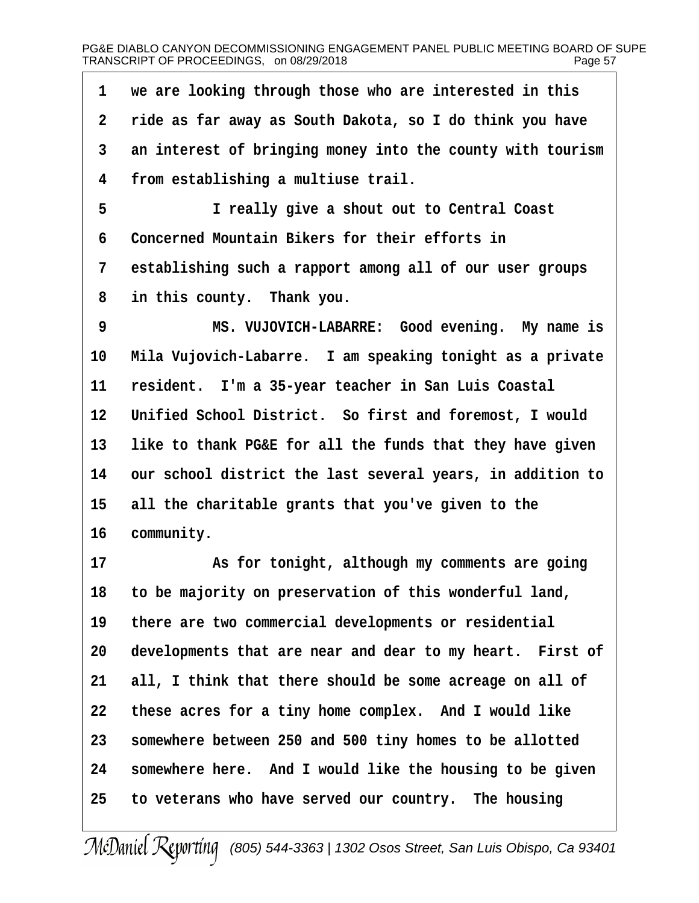1 we are looking through those who are interested in this **·2· ·ride as far away as South Dakota, so I do think you have ·3· ·an interest of bringing money into the county with tourism ·4· ·from establishing a multiuse trail. ·5· · · · · · ·I really give a shout out to Central Coast ·6· ·Concerned Mountain Bikers for their efforts in ·7· ·establishing such a rapport among all of our user groups ·8· ·in this county.· Thank you. ·9· · · · · · ·MS. VUJOVICH-LABARRE:· Good evening.· My name is** 10 Mila Vujovich-Labarre. I am speaking tonight as a private **11· ·resident.· I'm a 35-year teacher in San Luis Coastal** 12 Unified School District. So first and foremost, I would 13 like to thank PG&E for all the funds that they have given **14· ·our school district the last several years, in addition to** 15 all the charitable grants that you've given to the 16 community. **17· · · · · · ·As for tonight, although my comments are going 18· ·to be majority on preservation of this wonderful land, 19· ·there are two commercial developments or residential** 20 developments that are near and dear to my heart. First of 21 all, I think that there should be some acreage on all of **22· ·these acres for a tiny home complex.· And I would like 23· ·somewhere between 250 and 500 tiny homes to be allotted 24· ·somewhere here.· And I would like the housing to be given 25· ·to veterans who have served our country.· The housing**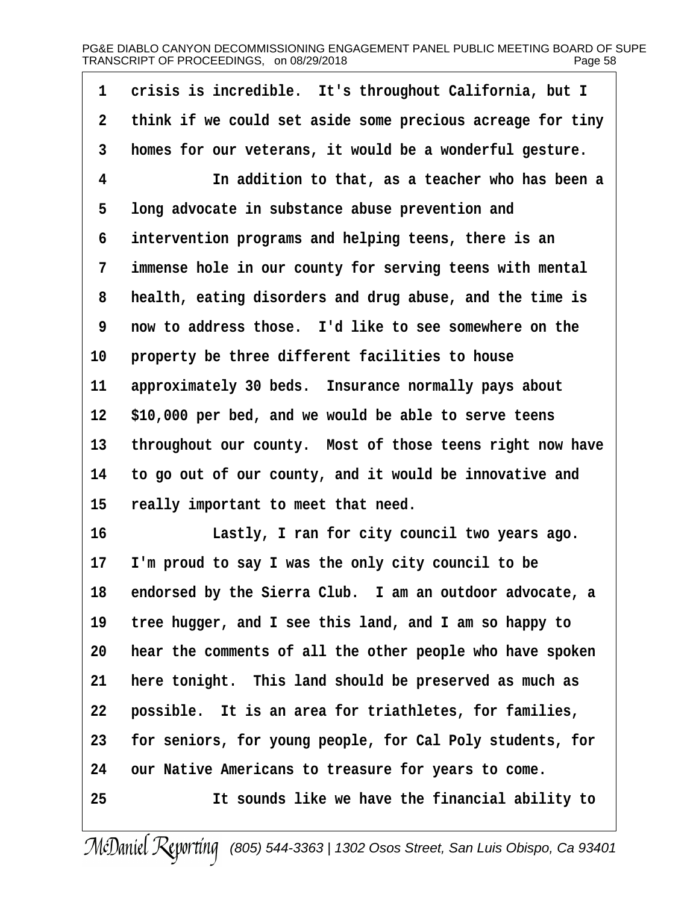## PG&E DIABLO CANYON DECOMMISSIONING ENGAGEMENT PANEL PUBLIC MEETING BOARD OF SUPE<br>TRANSCRIPT OF PROCEEDINGS. on 08/29/2018 TRANSCRIPT OF PROCEEDINGS, on 08/29/2018

1 crisis is incredible. It's throughout California, but I **·2· ·think if we could set aside some precious acreage for tiny ·3· ·homes for our veterans, it would be a wonderful gesture. ·4· · · · · · ·In addition to that, as a teacher who has been a ·5· ·long advocate in substance abuse prevention and ·6· ·intervention programs and helping teens, there is an ·7· ·immense hole in our county for serving teens with mental ·8· ·health, eating disorders and drug abuse, and the time is ·9· ·now to address those.· I'd like to see somewhere on the** 10 **property be three different facilities to house** 11 approximately 30 beds. Insurance normally pays about **12· ·\$10,000 per bed, and we would be able to serve teens** 13 throughout our county. Most of those teens right now have **14· ·to go out of our county, and it would be innovative and** 15 really important to meet that need. **16· · · · · · ·Lastly, I ran for city council two years ago. 17· ·I'm proud to say I was the only city council to be** 18 endorsed by the Sierra Club. I am an outdoor advocate, a **19· ·tree hugger, and I see this land, and I am so happy to 20· ·hear the comments of all the other people who have spoken** 21 here tonight. This land should be preserved as much as 22 **possible.** It is an area for triathletes, for families, **23· ·for seniors, for young people, for Cal Poly students, for 24· ·our Native Americans to treasure for years to come. 25· · · · · · ·It sounds like we have the financial ability to**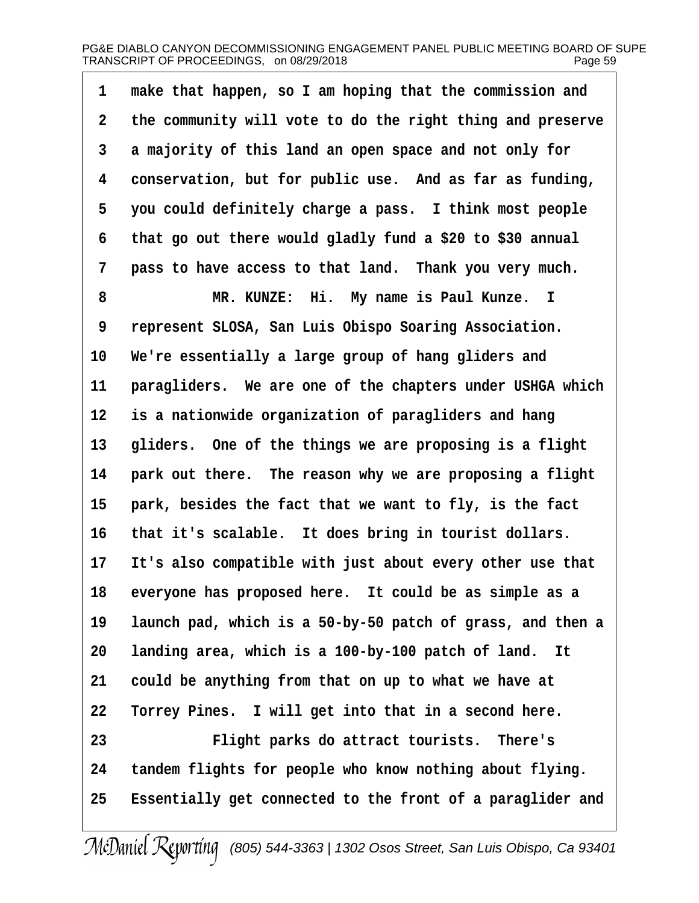## PG&E DIABLO CANYON DECOMMISSIONING ENGAGEMENT PANEL PUBLIC MEETING BOARD OF SUPE<br>TRANSCRIPT OF PROCEEDINGS. on 08/29/2018 TRANSCRIPT OF PROCEEDINGS, on 08/29/2018

**·1· ·make that happen, so I am hoping that the commission and ·2· ·the community will vote to do the right thing and preserve ·3· ·a majority of this land an open space and not only for ·4· ·conservation, but for public use.· And as far as funding, ·5· ·you could definitely charge a pass.· I think most people ·6· ·that go out there would gladly fund a \$20 to \$30 annual 7** pass to have access to that land. Thank you very much.

**·8· · · · · · ·MR. KUNZE:· Hi.· My name is Paul Kunze. I ·9· ·represent SLOSA, San Luis Obispo Soaring Association. 10· ·We're essentially a large group of hang gliders and** 11 **paragliders.** We are one of the chapters under USHGA which **12· ·is a nationwide organization of paragliders and hang** 13 gliders. One of the things we are proposing is a flight 14 **park out there.** The reason why we are proposing a flight 15 **park, besides the fact that we want to fly, is the fact** 16 that it's scalable. It does bring in tourist dollars. **17· ·It's also compatible with just about every other use that** 18 everyone has proposed here. It could be as simple as a **19· ·launch pad, which is a 50-by-50 patch of grass, and then a** 20 Landing area, which is a 100-by-100 patch of land. It **21· ·could be anything from that on up to what we have at** 22 **Torrey Pines.** I will get into that in a second here. **23· · · · · · ·Flight parks do attract tourists.· There's 24· ·tandem flights for people who know nothing about flying. 25· ·Essentially get connected to the front of a paraglider and**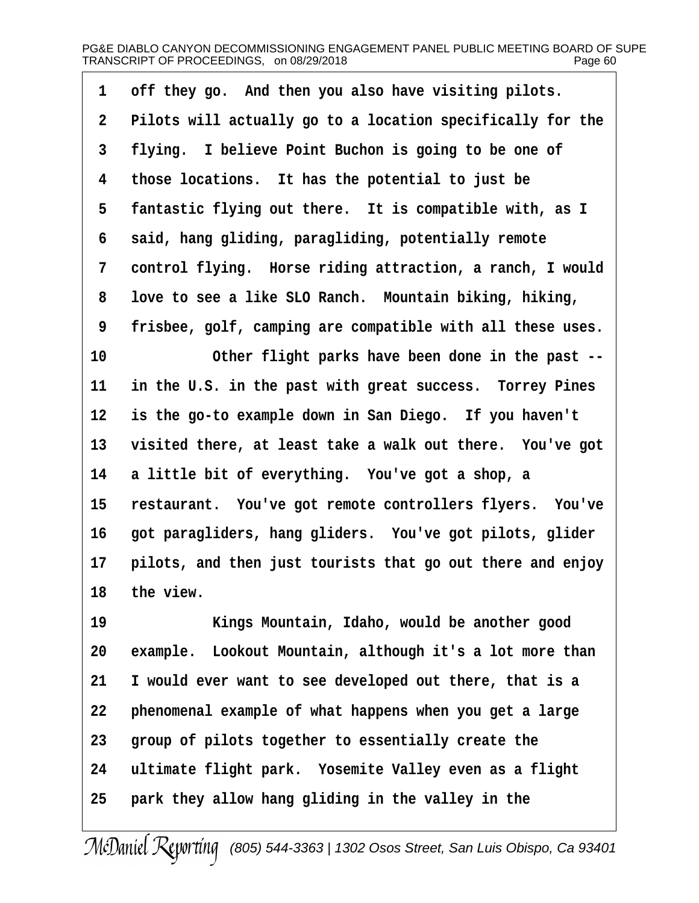| Pilots will actually go to a location specifically for the |
|------------------------------------------------------------|
|                                                            |
| flying. I believe Point Buchon is going to be one of       |
| those locations. It has the potential to just be           |
| fantastic flying out there. It is compatible with, as I    |
| said, hang gliding, paragliding, potentially remote        |
| control flying. Horse riding attraction, a ranch, I would  |
| love to see a like SLO Ranch. Mountain biking, hiking,     |
| frisbee, golf, camping are compatible with all these uses. |
| Other flight parks have been done in the past --           |
| in the U.S. in the past with great success. Torrey Pines   |
| is the go-to example down in San Diego. If you haven't     |
| visited there, at least take a walk out there. You've got  |
| a little bit of everything. You've got a shop, a           |
| restaurant. You've got remote controllers flyers. You've   |
| got paragliders, hang gliders. You've got pilots, glider   |
| pilots, and then just tourists that go out there and enjoy |
|                                                            |
|                                                            |

**19· · · · · · ·Kings Mountain, Idaho, would be another good** 20 example. Lookout Mountain, although it's a lot more than **21· ·I would ever want to see developed out there, that is a 22· ·phenomenal example of what happens when you get a large** 23 group of pilots together to essentially create the 24 ultimate flight park. Yosemite Valley even as a flight 25 **park they allow hang gliding in the valley in the**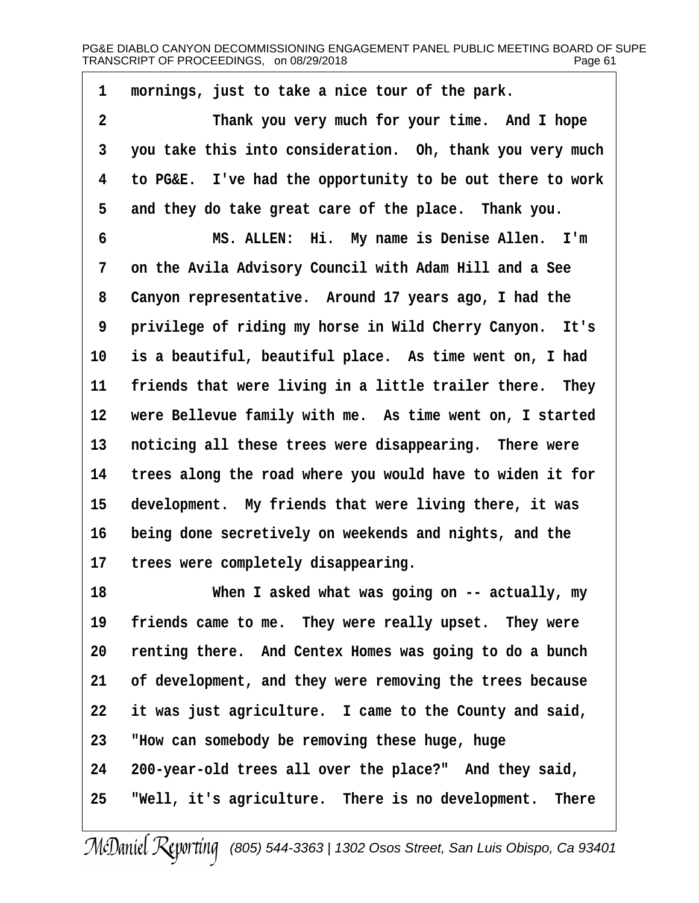1 mornings, just to take a nice tour of the park. **·2· · · · · · ·Thank you very much for your time.· And I hope ·3· ·you take this into consideration.· Oh, thank you very much ·4· ·to PG&E.· I've had the opportunity to be out there to work** 5 and they do take great care of the place. Thank you.

**·6· · · · · · ·MS. ALLEN:· Hi.· My name is Denise Allen.· I'm ·7· ·on the Avila Advisory Council with Adam Hill and a See ·8· ·Canyon representative.· Around 17 years ago, I had the ·9· ·privilege of riding my horse in Wild Cherry Canyon.· It's** 10 is a beautiful, beautiful place. As time went on, I had 11 friends that were living in a little trailer there. They 12 were Bellevue family with me. As time went on, I started 13 **noticing all these trees were disappearing.** There were **14· ·trees along the road where you would have to widen it for** 15 development. My friends that were living there, it was **16· ·being done secretively on weekends and nights, and the** 17 trees were completely disappearing.

**18· · · · · · ·When I asked what was going on -- actually, my** 19 friends came to me. They were really upset. They were **20· ·renting there.· And Centex Homes was going to do a bunch 21· ·of development, and they were removing the trees because** 22 it was just agriculture. I came to the County and said, **23· ·"How can somebody be removing these huge, huge 24· ·200-year-old trees all over the place?"· And they said, 25· ·"Well, it's agriculture.· There is no development.· There**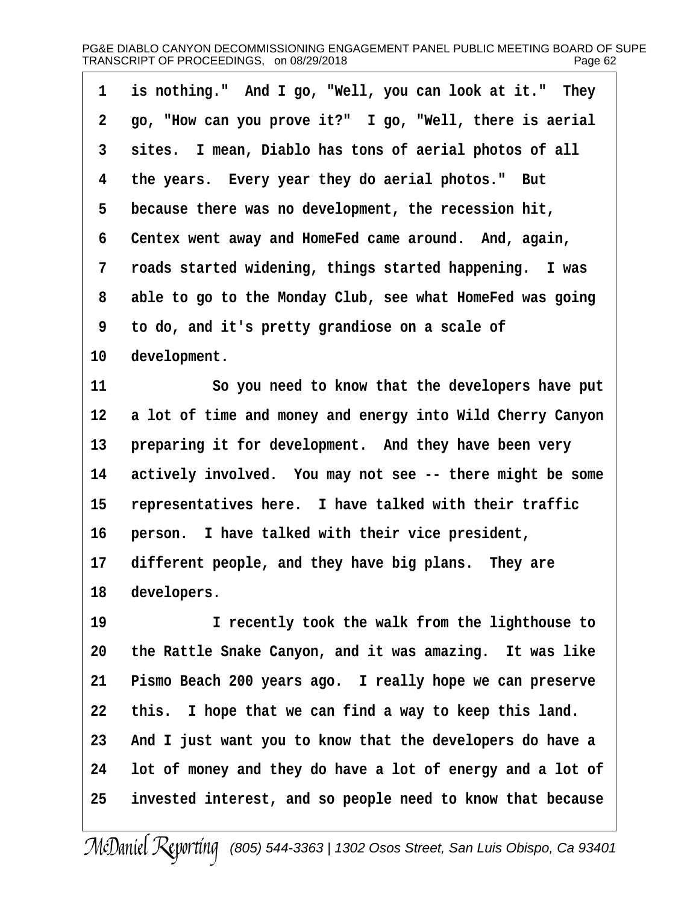| 1              | is nothing." And I go, "Well, you can look at it." They   |
|----------------|-----------------------------------------------------------|
| $2^{\circ}$    | go, "How can you prove it?" I go, "Well, there is aerial  |
| 3 <sup>1</sup> | sites. I mean, Diablo has tons of aerial photos of all    |
| $4^{\circ}$    | the years. Every year they do aerial photos." But         |
| 5              | because there was no development, the recession hit,      |
| 6              | Centex went away and HomeFed came around. And, again,     |
| $7\phantom{.}$ | roads started widening, things started happening. I was   |
| 8              | able to go to the Monday Club, see what HomeFed was going |
| 9              | to do, and it's pretty grandiose on a scale of            |
| 10             | development.                                              |

**11· · · · · · ·So you need to know that the developers have put** 12 a lot of time and money and energy into Wild Cherry Canyon 13 **preparing it for development.** And they have been very 14 actively involved. You may not see -- there might be some 15 representatives here. I have talked with their traffic **16· ·person.· I have talked with their vice president,** 17 different people, and they have big plans. They are 18 developers.

**19· · · · · · ·I recently took the walk from the lighthouse to 20· ·the Rattle Snake Canyon, and it was amazing.· It was like** 21 Pismo Beach 200 years ago. I really hope we can preserve 22 this. I hope that we can find a way to keep this land. **23· ·And I just want you to know that the developers do have a 24· ·lot of money and they do have a lot of energy and a lot of 25· ·invested interest, and so people need to know that because**

McDaniel Reporting [\(805\) 544-3363 | 1302 Osos Street, San Luis Obispo, Ca 93401](http://www.mcdanielreporting.com)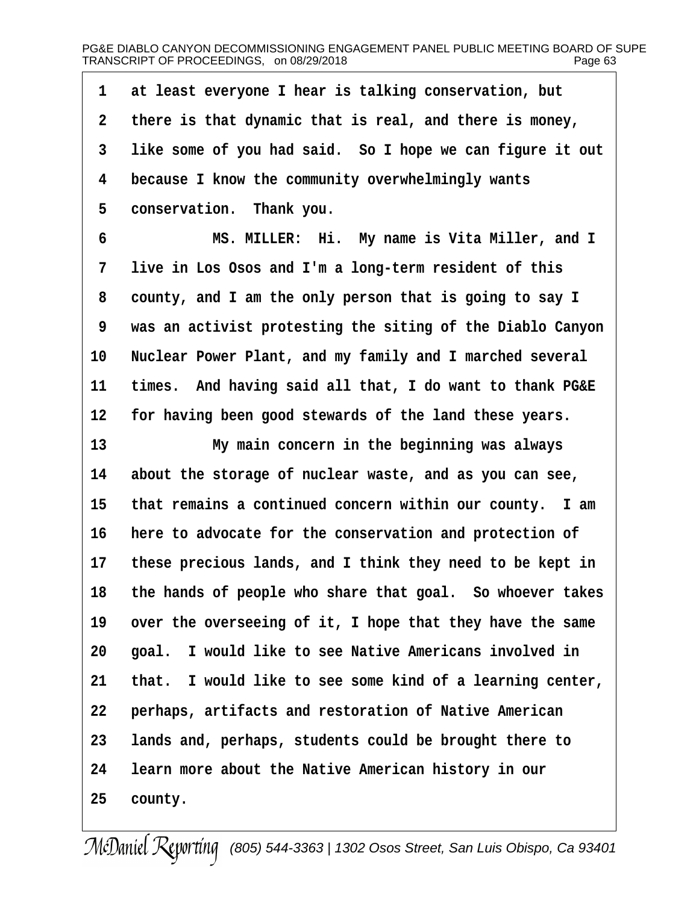1 at least everyone I hear is talking conservation, but **·2· ·there is that dynamic that is real, and there is money, ·3· ·like some of you had said.· So I hope we can figure it out ·4· ·because I know the community overwhelmingly wants** 5 **conservation.** Thank you.

**·6· · · · · · ·MS. MILLER:· Hi.· My name is Vita Miller, and I ·7· ·live in Los Osos and I'm a long-term resident of this ·8· ·county, and I am the only person that is going to say I ·9· ·was an activist protesting the siting of the Diablo Canyon** 10 **Nuclear Power Plant, and my family and I marched several** 11 times. And having said all that, I do want to thank PG&E **12· ·for having been good stewards of the land these years.**

13 *My main concern in the beginning was always* **14· ·about the storage of nuclear waste, and as you can see,** 15 that remains a continued concern within our county. I am 16 here to advocate for the conservation and protection of **17· ·these precious lands, and I think they need to be kept in** 18 the hands of people who share that goal. So whoever takes 19 over the overseeing of it, I hope that they have the same 20 **goal.** I would like to see Native Americans involved in 21 that. I would like to see some kind of a learning center, **22· ·perhaps, artifacts and restoration of Native American 23· ·lands and, perhaps, students could be brought there to 24· ·learn more about the Native American history in our** 25 **county.**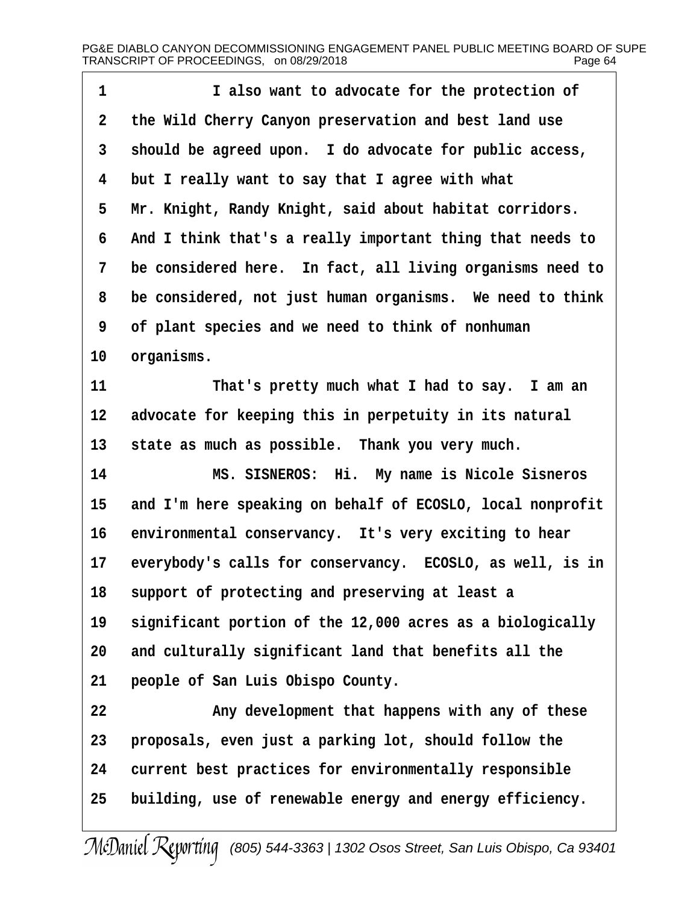| 1           | I also want to advocate for the protection of              |
|-------------|------------------------------------------------------------|
| $\mathbf 2$ | the Wild Cherry Canyon preservation and best land use      |
| 3           | should be agreed upon. I do advocate for public access,    |
| 4           | but I really want to say that I agree with what            |
| 5           | Mr. Knight, Randy Knight, said about habitat corridors.    |
| 6           | And I think that's a really important thing that needs to  |
| 7           | be considered here. In fact, all living organisms need to  |
| 8           | be considered, not just human organisms. We need to think  |
| 9           | of plant species and we need to think of nonhuman          |
| 10          | organisms.                                                 |
| 11          | That's pretty much what I had to say. I am an              |
| 12          | advocate for keeping this in perpetuity in its natural     |
| 13          | state as much as possible. Thank you very much.            |
| 14          | MS. SISNEROS: Hi. My name is Nicole Sisneros               |
| 15          | and I'm here speaking on behalf of ECOSLO, local nonprofit |
| 16          | environmental conservancy. It's very exciting to hear      |
| 17          | everybody's calls for conservancy. ECOSLO, as well, is in  |
| 18          | support of protecting and preserving at least a            |
| 19          | significant portion of the 12,000 acres as a biologically  |
| 20          | and culturally significant land that benefits all the      |
| 21          | people of San Luis Obispo County.                          |
| 22          | Any development that happens with any of these             |
| 23          | proposals, even just a parking lot, should follow the      |
| 24          | current best practices for environmentally responsible     |
| 25          | building, use of renewable energy and energy efficiency.   |
|             |                                                            |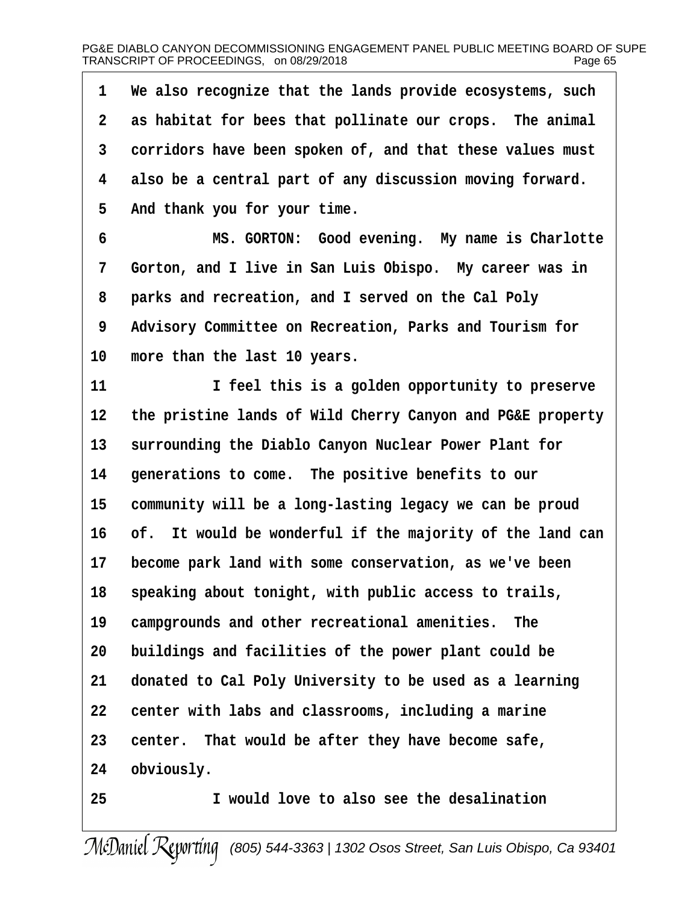| 1              | We also recognize that the lands provide ecosystems, such  |
|----------------|------------------------------------------------------------|
| $\mathbf{2}$   | as habitat for bees that pollinate our crops. The animal   |
| 3              | corridors have been spoken of, and that these values must  |
| 4              | also be a central part of any discussion moving forward.   |
| 5              | And thank you for your time.                               |
| $6\phantom{1}$ | MS. GORTON: Good evening. My name is Charlotte             |
| 7              | Gorton, and I live in San Luis Obispo. My career was in    |
| 8              | parks and recreation, and I served on the Cal Poly         |
| 9              | Advisory Committee on Recreation, Parks and Tourism for    |
| 10             | more than the last 10 years.                               |
| 11             | I feel this is a golden opportunity to preserve            |
| 12             | the pristine lands of Wild Cherry Canyon and PG&E property |
| 13             | surrounding the Diablo Canyon Nuclear Power Plant for      |
| 14             | generations to come. The positive benefits to our          |
| 15             | community will be a long-lasting legacy we can be proud    |
| 16             | of. It would be wonderful if the majority of the land can  |
| $17 \,$        | become park land with some conservation, as we've been     |
| 18             | speaking about tonight, with public access to trails,      |
| 19             | campgrounds and other recreational amenities.<br>The       |
| 20             | buildings and facilities of the power plant could be       |
| 21             | donated to Cal Poly University to be used as a learning    |
| 22             | center with labs and classrooms, including a marine        |
| 23             | center. That would be after they have become safe,         |
| 24             | obviously.                                                 |
| 25             | I would love to also see the desalination                  |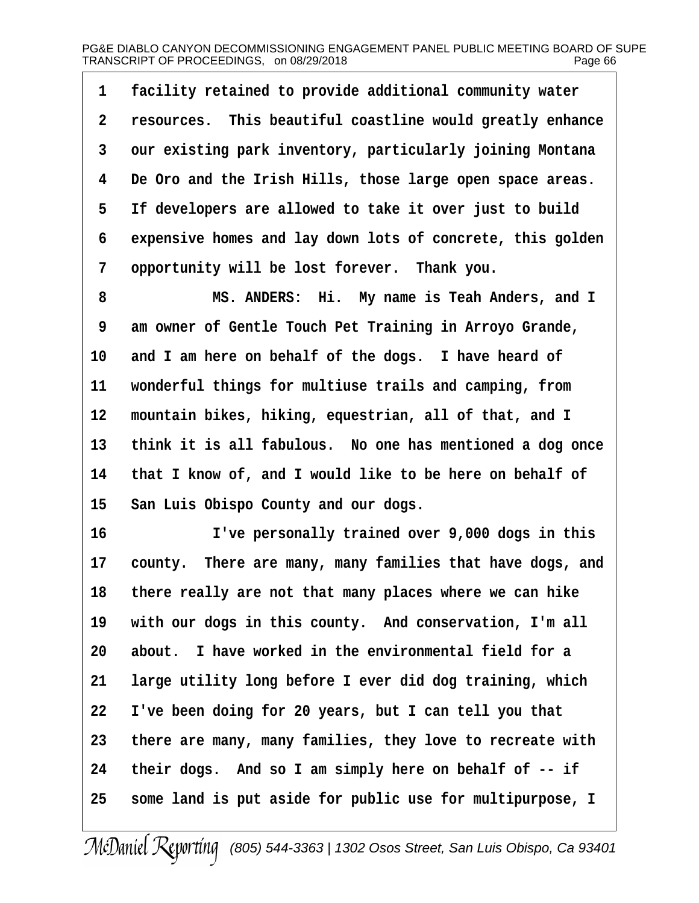1 **facility retained to provide additional community water ·2· ·resources.· This beautiful coastline would greatly enhance ·3· ·our existing park inventory, particularly joining Montana ·4· ·De Oro and the Irish Hills, those large open space areas. ·5· ·If developers are allowed to take it over just to build ·6· ·expensive homes and lay down lots of concrete, this golden ·7· ·opportunity will be lost forever.· Thank you.**

**·8· · · · · · ·MS. ANDERS:· Hi.· My name is Teah Anders, and I ·9· ·am owner of Gentle Touch Pet Training in Arroyo Grande,** 10 and I am here on behalf of the dogs. I have heard of 11 wonderful things for multiuse trails and camping, from 12 mountain bikes, hiking, equestrian, all of that, and I 13 think it is all fabulous. No one has mentioned a dog once **14· ·that I know of, and I would like to be here on behalf of** 15 San Luis Obispo County and our dogs.

**16· · · · · · ·I've personally trained over 9,000 dogs in this** 17 county. There are many, many families that have dogs, and 18 there really are not that many places where we can hike 19 with our dogs in this county. And conservation, I'm all **20· ·about.· I have worked in the environmental field for a 21· ·large utility long before I ever did dog training, which 22· ·I've been doing for 20 years, but I can tell you that 23· ·there are many, many families, they love to recreate with 24· ·their dogs.· And so I am simply here on behalf of -- if 25· ·some land is put aside for public use for multipurpose, I**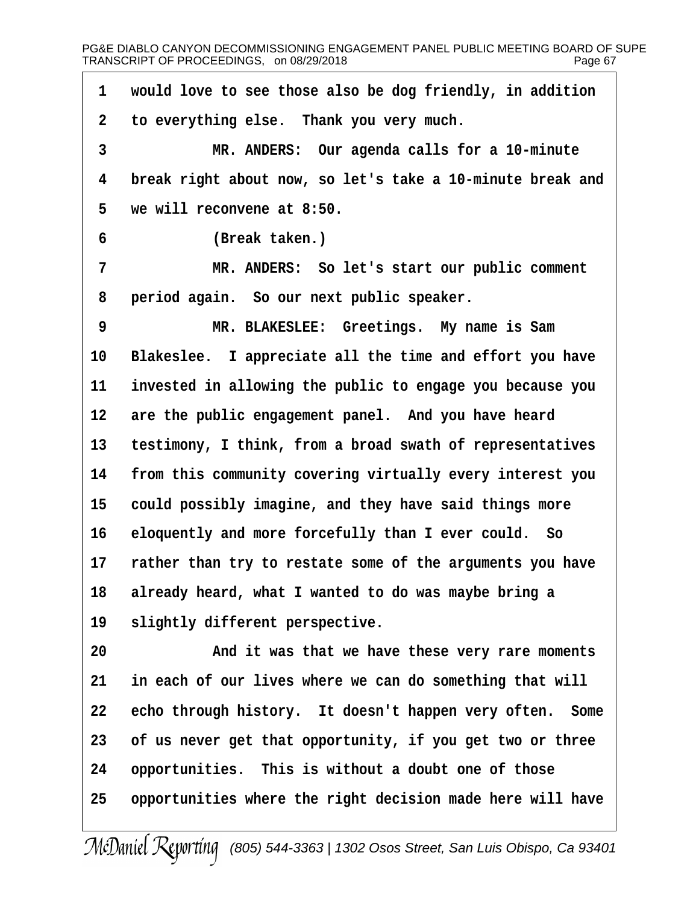**·1· ·would love to see those also be dog friendly, in addition ·2· ·to everything else.· Thank you very much. ·3· · · · · · ·MR. ANDERS:· Our agenda calls for a 10-minute ·4· ·break right about now, so let's take a 10-minute break and ·5· ·we will reconvene at 8:50. ·6· · · · · · ·(Break taken.) ·7· · · · · · ·MR. ANDERS:· So let's start our public comment ·8· ·period again.· So our next public speaker. ·9· · · · · · ·MR. BLAKESLEE:· Greetings.· My name is Sam** 10 Blakeslee. I appreciate all the time and effort you have **11· ·invested in allowing the public to engage you because you** 12 are the public engagement panel. And you have heard 13 testimony, I think, from a broad swath of representatives **14· ·from this community covering virtually every interest you** 15 could possibly imagine, and they have said things more 16 eloquently and more forcefully than I ever could. So 17 rather than try to restate some of the arguments you have **18· ·already heard, what I wanted to do was maybe bring a** 19 **Slightly different perspective. 20· · · · · · ·And it was that we have these very rare moments** 21 in each of our lives where we can do something that will **22· ·echo through history.· It doesn't happen very often.· Some 23· ·of us never get that opportunity, if you get two or three** 24 opportunities. This is without a doubt one of those **25· ·opportunities where the right decision made here will have**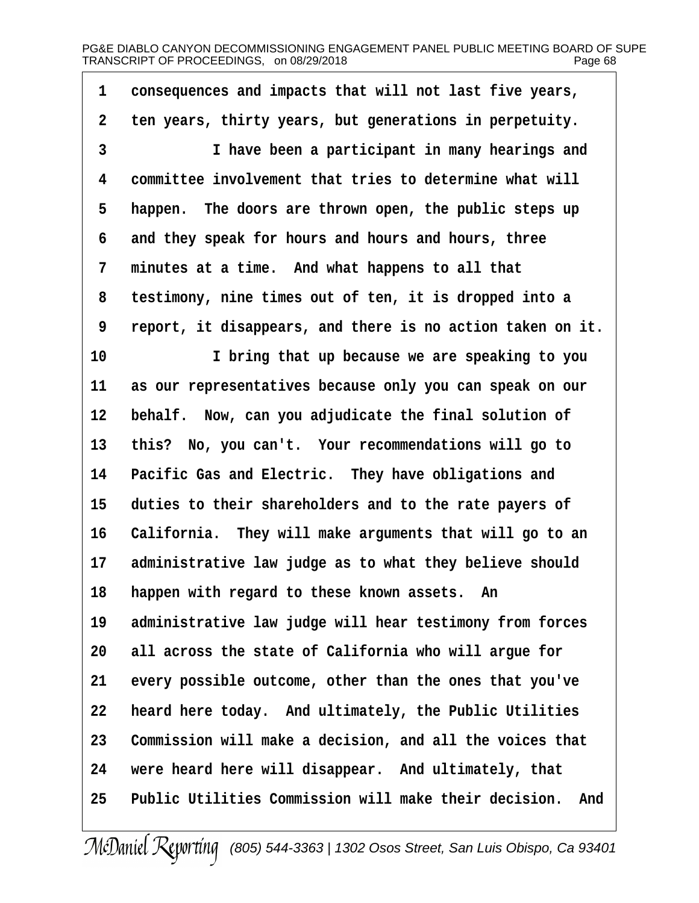1 consequences and impacts that will not last five years, **·2· ·ten years, thirty years, but generations in perpetuity. 1 have been a participant in many hearings and ·4· ·committee involvement that tries to determine what will** 5 happen. The doors are thrown open, the public steps up **·6· ·and they speak for hours and hours and hours, three ·7· ·minutes at a time.· And what happens to all that ·8· ·testimony, nine times out of ten, it is dropped into a ·9· ·report, it disappears, and there is no action taken on it. 10· · · · · · ·I bring that up because we are speaking to you** 11 as our representatives because only you can speak on our 12 behalf. Now, can you adjudicate the final solution of 13 this? No, you can't. Your recommendations will go to 14 Pacific Gas and Electric. They have obligations and 15 duties to their shareholders and to the rate payers of 16 California. They will make arguments that will go to an 17 administrative law judge as to what they believe should 18 happen with regard to these known assets. An 19 administrative law judge will hear testimony from forces **20· ·all across the state of California who will argue for** 21 every possible outcome, other than the ones that you've **22· ·heard here today.· And ultimately, the Public Utilities** 23 Commission will make a decision, and all the voices that 24 were heard here will disappear. And ultimately, that **25· ·Public Utilities Commission will make their decision.· And**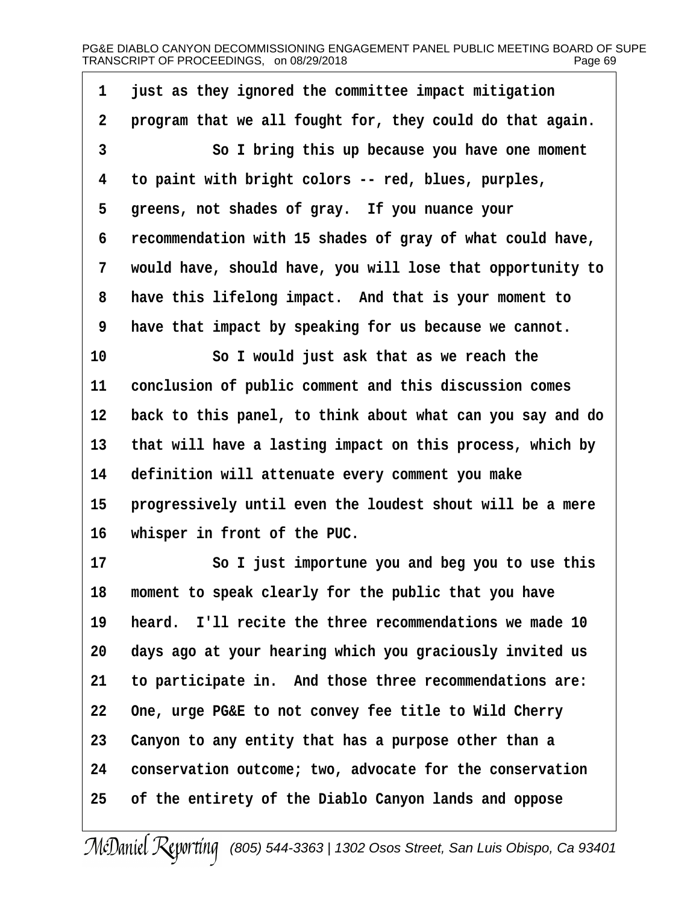**·1· ·just as they ignored the committee impact mitigation ·2· ·program that we all fought for, they could do that again. ·3· · · · · · ·So I bring this up because you have one moment ·4· ·to paint with bright colors -- red, blues, purples,** 5 greens, not shades of gray. If you nuance your **·6· ·recommendation with 15 shades of gray of what could have, ·7· ·would have, should have, you will lose that opportunity to ·8· ·have this lifelong impact.· And that is your moment to ·9· ·have that impact by speaking for us because we cannot. 10· · · · · · ·So I would just ask that as we reach the** 11 conclusion of public comment and this discussion comes **12· ·back to this panel, to think about what can you say and do** 13 that will have a lasting impact on this process, which by **14· ·definition will attenuate every comment you make** 15 **progressively until even the loudest shout will be a mere 16· ·whisper in front of the PUC. 17· · · · · · ·So I just importune you and beg you to use this 18· ·moment to speak clearly for the public that you have 19· ·heard.· I'll recite the three recommendations we made 10 20· ·days ago at your hearing which you graciously invited us 21· ·to participate in.· And those three recommendations are: 22· ·One, urge PG&E to not convey fee title to Wild Cherry 23· ·Canyon to any entity that has a purpose other than a 24· ·conservation outcome; two, advocate for the conservation 25· ·of the entirety of the Diablo Canyon lands and oppose**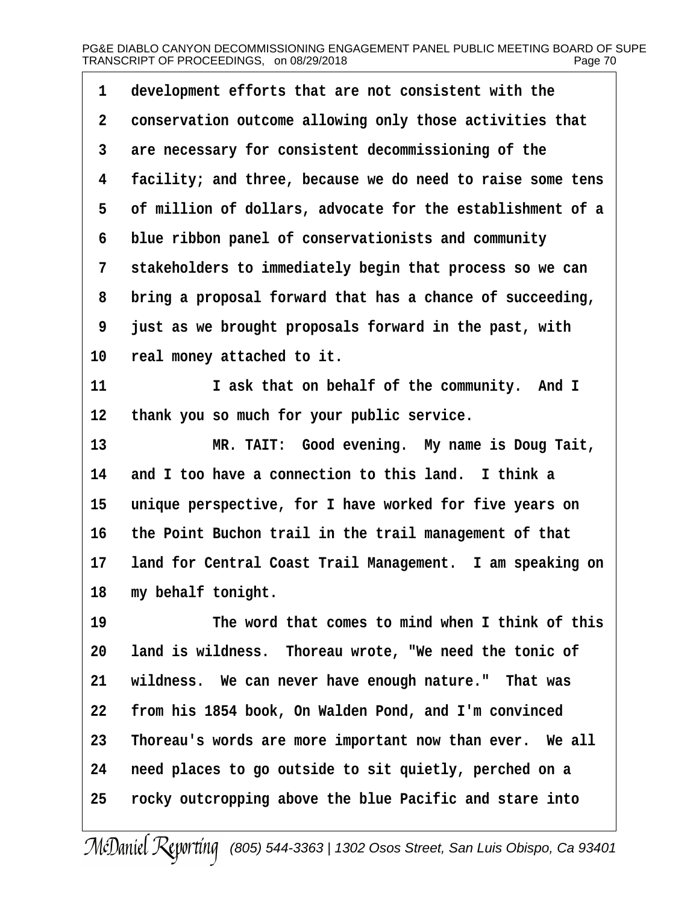| $\mathbf 1$    | development efforts that are not consistent with the       |
|----------------|------------------------------------------------------------|
| $\overline{2}$ | conservation outcome allowing only those activities that   |
| 3              | are necessary for consistent decommissioning of the        |
| 4              | facility; and three, because we do need to raise some tens |
| 5              | of million of dollars, advocate for the establishment of a |
| 6              | blue ribbon panel of conservationists and community        |
| 7              | stakeholders to immediately begin that process so we can   |
| 8              | bring a proposal forward that has a chance of succeeding,  |
| 9              | just as we brought proposals forward in the past, with     |
| 10             | real money attached to it.                                 |
| 11             | I ask that on behalf of the community. And I               |
| 12             | thank you so much for your public service.                 |
| 13             | MR. TAIT: Good evening. My name is Doug Tait,              |
| 14             | and I too have a connection to this land. I think a        |
| 15             | unique perspective, for I have worked for five years on    |
| 16             | the Point Buchon trail in the trail management of that     |
| $17 \,$        | land for Central Coast Trail Management. I am speaking on  |
| 18             | my behalf tonight.                                         |
| 19             | The word that comes to mind when I think of this           |
| 20             | land is wildness. Thoreau wrote, "We need the tonic of     |
| 21             | wildness. We can never have enough nature." That was       |
| 22             | from his 1854 book, On Walden Pond, and I'm convinced      |
| 23             | Thoreau's words are more important now than ever. We all   |
| 24             | need places to go outside to sit quietly, perched on a     |
| 25             | rocky outcropping above the blue Pacific and stare into    |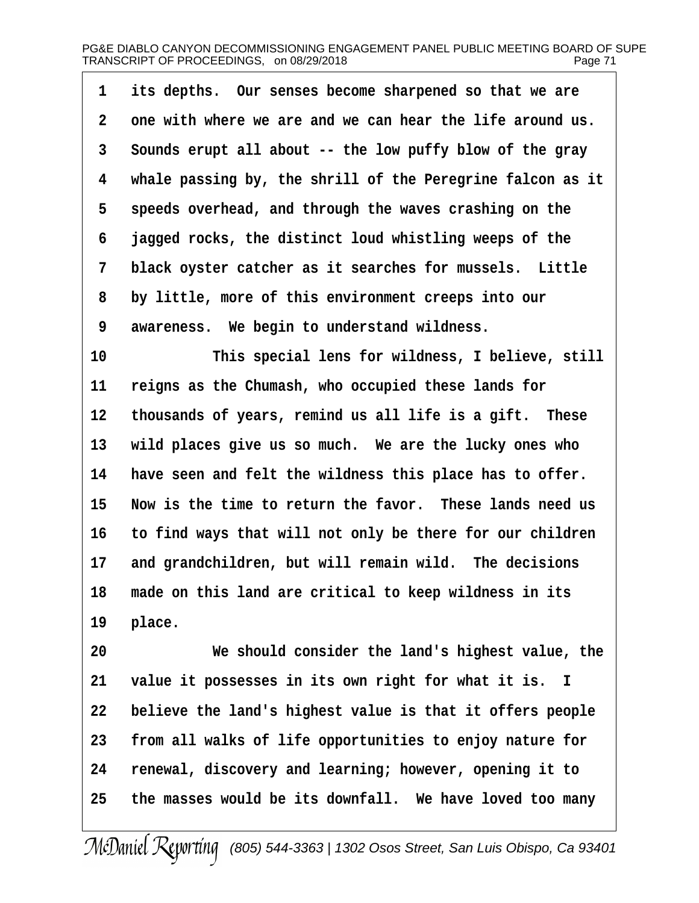| $1 \quad$      | its depths. Our senses become sharpened so that we are     |
|----------------|------------------------------------------------------------|
| $\mathbf{2}$   | one with where we are and we can hear the life around us.  |
| 3 <sup>7</sup> | Sounds erupt all about -- the low puffy blow of the gray   |
| 4              | whale passing by, the shrill of the Peregrine falcon as it |
| 5              | speeds overhead, and through the waves crashing on the     |
| 6              | jagged rocks, the distinct loud whistling weeps of the     |
| 7 <sup>1</sup> | black oyster catcher as it searches for mussels. Little    |
| 8              | by little, more of this environment creeps into our        |
| 9              | awareness. We begin to understand wildness.                |

10 This special lens for wildness, I believe, still 11 reigns as the Chumash, who occupied these lands for 12 thousands of years, remind us all life is a gift. These 13 wild places give us so much. We are the lucky ones who 14 have seen and felt the wildness this place has to offer. **15· ·Now is the time to return the favor.· These lands need us 16· ·to find ways that will not only be there for our children** 17 and grandchildren, but will remain wild. The decisions **18· ·made on this land are critical to keep wildness in its** 19 place.

**20· · · · · · ·We should consider the land's highest value, the 21· ·value it possesses in its own right for what it is. I 22· ·believe the land's highest value is that it offers people 23· ·from all walks of life opportunities to enjoy nature for 24· ·renewal, discovery and learning; however, opening it to 25· ·the masses would be its downfall.· We have loved too many**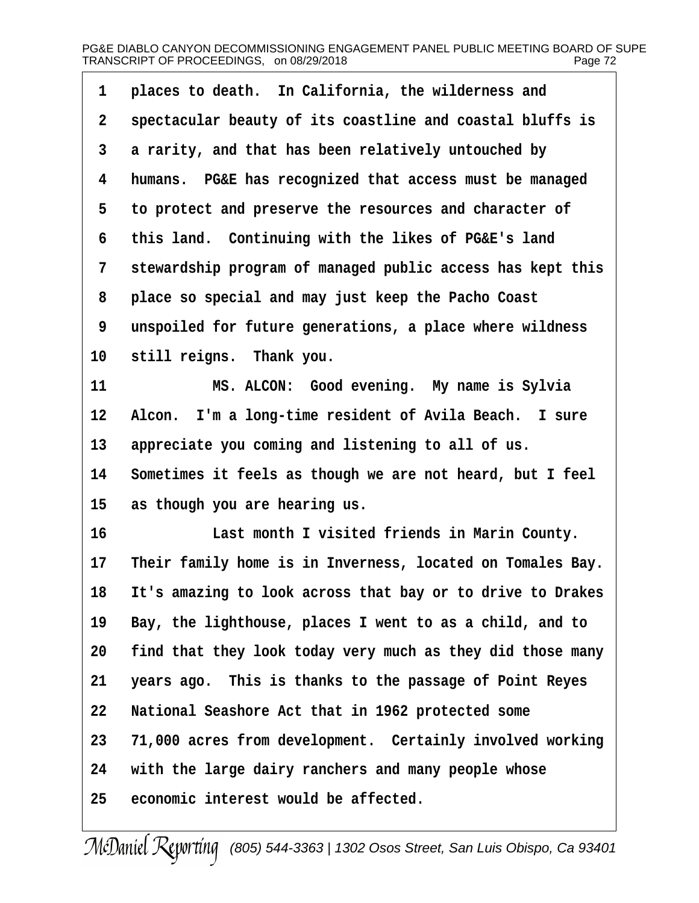| $\mathbf 1$ | places to death. In California, the wilderness and         |
|-------------|------------------------------------------------------------|
| $\mathbf 2$ | spectacular beauty of its coastline and coastal bluffs is  |
| 3           | a rarity, and that has been relatively untouched by        |
| 4           | humans. PG&E has recognized that access must be managed    |
| 5           | to protect and preserve the resources and character of     |
| 6           | this land. Continuing with the likes of PG&E's land        |
| 7           | stewardship program of managed public access has kept this |
| 8           | place so special and may just keep the Pacho Coast         |
| 9           | unspoiled for future generations, a place where wildness   |
| $10\,$      | still reigns. Thank you.                                   |
| 11          | MS. ALCON: Good evening. My name is Sylvia                 |
| 12          | Alcon. I'm a long-time resident of Avila Beach. I sure     |
| 13          | appreciate you coming and listening to all of us.          |
| 14          | Sometimes it feels as though we are not heard, but I feel  |
| 15          | as though you are hearing us.                              |
| 16          | Last month I visited friends in Marin County.              |
| $17 \,$     | Their family home is in Inverness, located on Tomales Bay. |
| 18          | It's amazing to look across that bay or to drive to Drakes |
| 19          | Bay, the lighthouse, places I went to as a child, and to   |
| 20          | find that they look today very much as they did those many |
| 21          | years ago. This is thanks to the passage of Point Reyes    |
| 22          | National Seashore Act that in 1962 protected some          |
| 23          | 71,000 acres from development. Certainly involved working  |
| 24          | with the large dairy ranchers and many people whose        |
| 25          | economic interest would be affected.                       |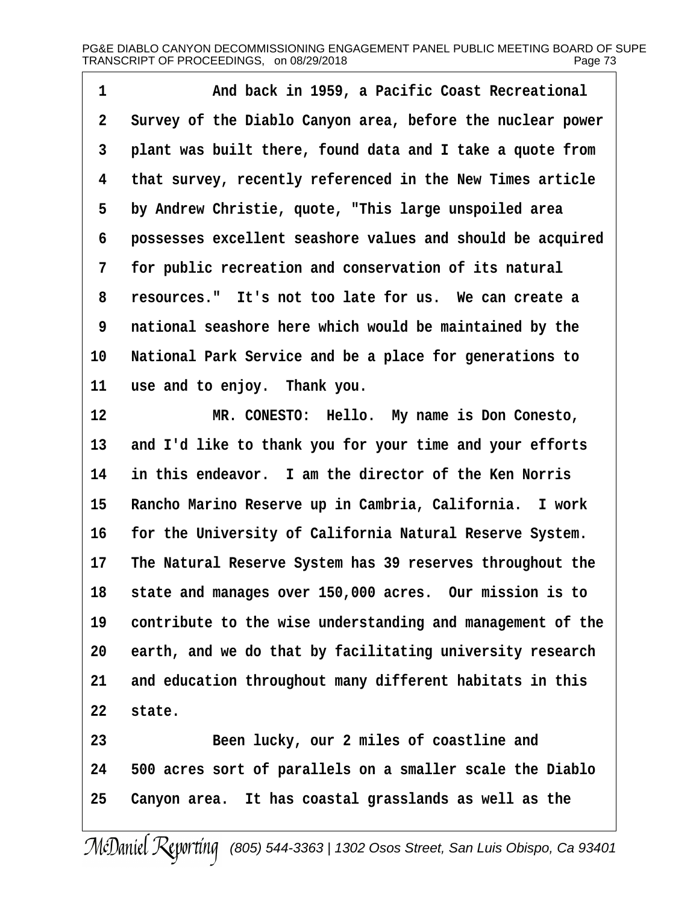1 **and back in 1959, a Pacific Coast Recreational ·2· ·Survey of the Diablo Canyon area, before the nuclear power ·3· ·plant was built there, found data and I take a quote from ·4· ·that survey, recently referenced in the New Times article ·5· ·by Andrew Christie, quote, "This large unspoiled area ·6· ·possesses excellent seashore values and should be acquired ·7· ·for public recreation and conservation of its natural ·8· ·resources."· It's not too late for us.· We can create a ·9· ·national seashore here which would be maintained by the** 10 National Park Service and be a place for generations to 11 use and to enjoy. Thank you.

**12· · · · · · ·MR. CONESTO:· Hello.· My name is Don Conesto,** 13 and I'd like to thank you for your time and your efforts **14· ·in this endeavor.· I am the director of the Ken Norris** 15 Rancho Marino Reserve up in Cambria, California. I work 16 **for the University of California Natural Reserve System. 17· ·The Natural Reserve System has 39 reserves throughout the 18· ·state and manages over 150,000 acres.· Our mission is to 19· ·contribute to the wise understanding and management of the** 20 earth, and we do that by facilitating university research 21 and education throughout many different habitats in this 22 state.

**23· · · · · · ·Been lucky, our 2 miles of coastline and 24· ·500 acres sort of parallels on a smaller scale the Diablo 25· ·Canyon area.· It has coastal grasslands as well as the**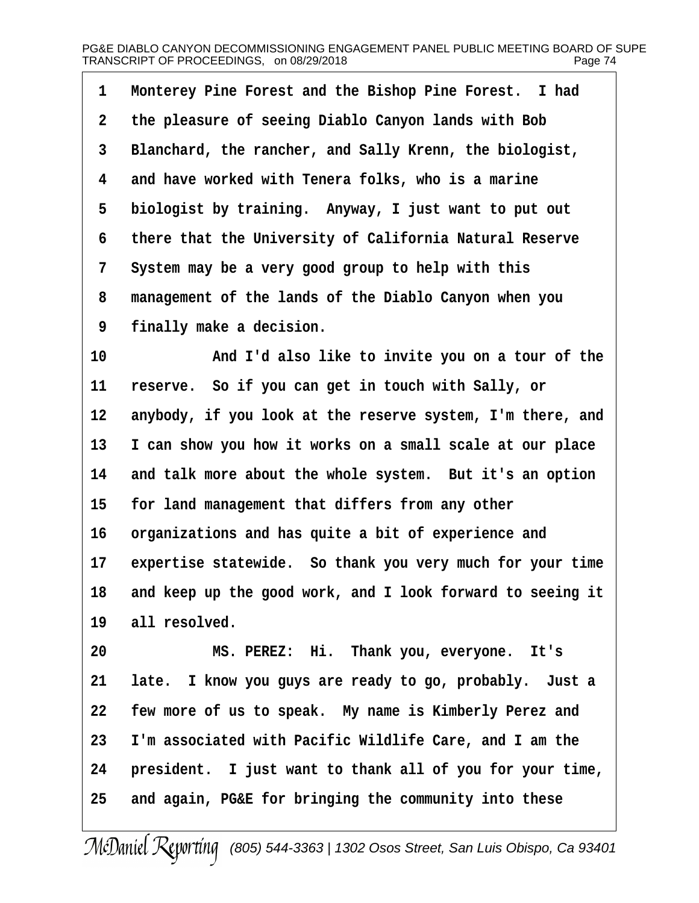1 Monterey Pine Forest and the Bishop Pine Forest. I had **·2· ·the pleasure of seeing Diablo Canyon lands with Bob ·3· ·Blanchard, the rancher, and Sally Krenn, the biologist, ·4· ·and have worked with Tenera folks, who is a marine** 5 biologist by training. Anyway, I just want to put out **·6· ·there that the University of California Natural Reserve ·7· ·System may be a very good group to help with this ·8· ·management of the lands of the Diablo Canyon when you ·9· ·finally make a decision.**

10 **and I'd also like to invite you on a tour of the** 11 reserve. So if you can get in touch with Sally, or 12 anybody, if you look at the reserve system, I'm there, and **13· ·I can show you how it works on a small scale at our place** 14 and talk more about the whole system. But it's an option 15 for land management that differs from any other 16 organizations and has quite a bit of experience and 17 expertise statewide. So thank you very much for your time **18· ·and keep up the good work, and I look forward to seeing it** 19 all resolved.

**20· · · · · · ·MS. PEREZ:· Hi.· Thank you, everyone.· It's 21· ·late.· I know you guys are ready to go, probably.· Just a 22· ·few more of us to speak.· My name is Kimberly Perez and 23· ·I'm associated with Pacific Wildlife Care, and I am the** 24 **· president.** I just want to thank all of you for your time, **25· ·and again, PG&E for bringing the community into these**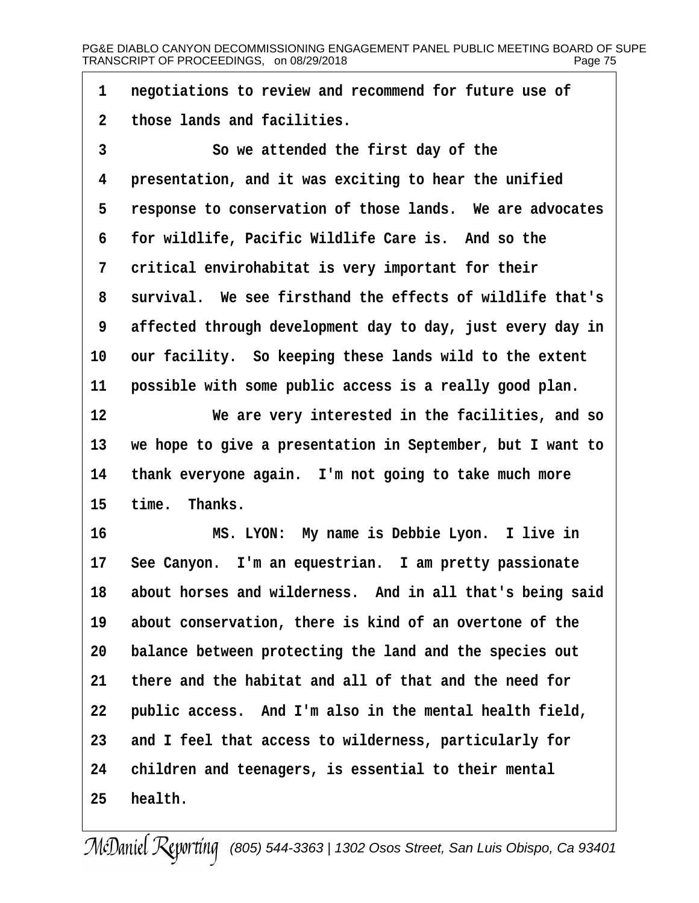**·1· ·negotiations to review and recommend for future use of ·2· ·those lands and facilities.**

**·3· · · · · · ·So we attended the first day of the ·4· ·presentation, and it was exciting to hear the unified ·5· ·response to conservation of those lands.· We are advocates ·6· ·for wildlife, Pacific Wildlife Care is.· And so the ·7· ·critical envirohabitat is very important for their ·8· ·survival.· We see firsthand the effects of wildlife that's ·9· ·affected through development day to day, just every day in** 10 our facility. So keeping these lands wild to the extent 11 **possible with some public access is a really good plan.** 

**12· · · · · · ·We are very interested in the facilities, and so 13· ·we hope to give a presentation in September, but I want to** 14 thank everyone again. I'm not going to take much more 15 time. Thanks.

**16· · · · · · ·MS. LYON:· My name is Debbie Lyon.· I live in** 17 See Canyon. I'm an equestrian. I am pretty passionate 18 about horses and wilderness. And in all that's being said **19· ·about conservation, there is kind of an overtone of the 20· ·balance between protecting the land and the species out 21· ·there and the habitat and all of that and the need for 22· ·public access.· And I'm also in the mental health field,** 23 and I feel that access to wilderness, particularly for **24· ·children and teenagers, is essential to their mental** 25 **health.**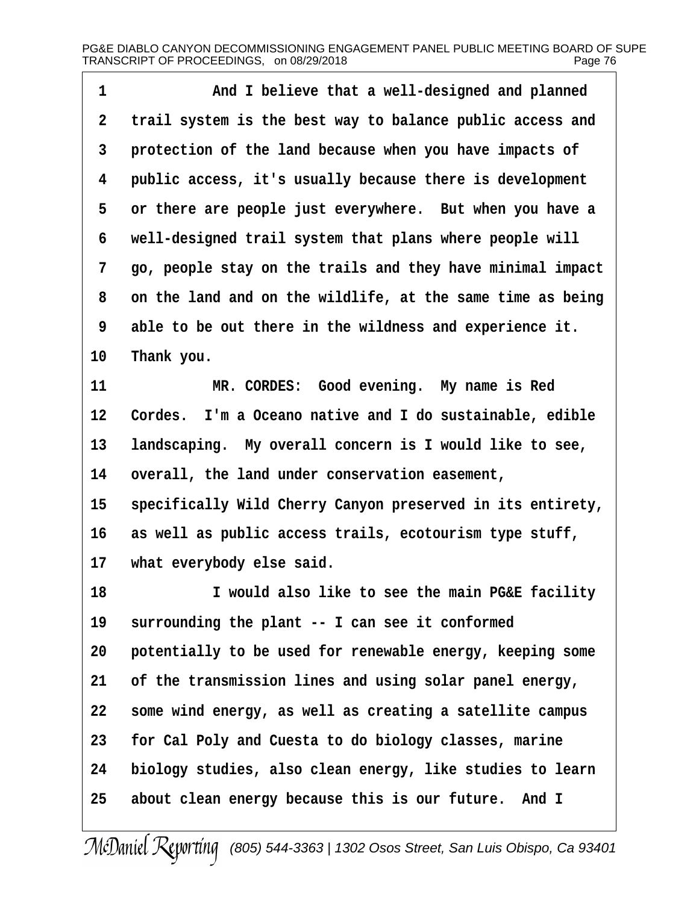| 1           | And I believe that a well-designed and planned              |
|-------------|-------------------------------------------------------------|
| $\mathbf 2$ | trail system is the best way to balance public access and   |
| 3           | protection of the land because when you have impacts of     |
| 4           | public access, it's usually because there is development    |
| 5           | or there are people just everywhere. But when you have a    |
| 6           | well-designed trail system that plans where people will     |
| 7           | go, people stay on the trails and they have minimal impact  |
| 8           | on the land and on the wildlife, at the same time as being  |
| 9           | able to be out there in the wildness and experience it.     |
| 10          | Thank you.                                                  |
| 11          | Good evening. My name is Red<br>MR. CORDES:                 |
| 12          | I'm a Oceano native and I do sustainable, edible<br>Cordes. |
| 13          | landscaping. My overall concern is I would like to see,     |
| 14          | overall, the land under conservation easement,              |
| 15          | specifically Wild Cherry Canyon preserved in its entirety,  |
| 16          | as well as public access trails, ecotourism type stuff,     |
| $17 \,$     | what everybody else said.                                   |
| 18          | I would also like to see the main PG&E facility             |
| 19          | surrounding the plant -- I can see it conformed             |
| 20          | potentially to be used for renewable energy, keeping some   |
| 21          | of the transmission lines and using solar panel energy,     |
| 22          | some wind energy, as well as creating a satellite campus    |
| 23          | for Cal Poly and Cuesta to do biology classes, marine       |
| 24          | biology studies, also clean energy, like studies to learn   |
| 25          | about clean energy because this is our future. And I        |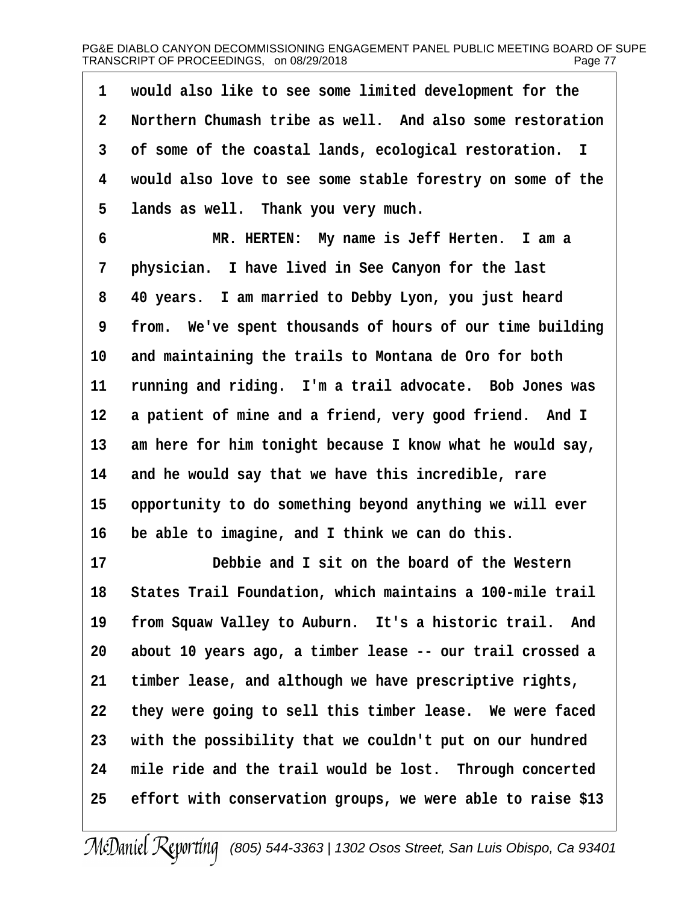**·1· ·would also like to see some limited development for the ·2· ·Northern Chumash tribe as well.· And also some restoration ·3· ·of some of the coastal lands, ecological restoration. I ·4· ·would also love to see some stable forestry on some of the** 5 lands as well. Thank you very much.

**·6· · · · · · ·MR. HERTEN:· My name is Jeff Herten.· I am a ·7· ·physician.· I have lived in See Canyon for the last ·8· ·40 years.· I am married to Debby Lyon, you just heard ·9· ·from.· We've spent thousands of hours of our time building** 10 and maintaining the trails to Montana de Oro for both 11 running and riding. I'm a trail advocate. Bob Jones was 12 a patient of mine and a friend, very good friend. And I 13 am here for him tonight because I know what he would say, **14· ·and he would say that we have this incredible, rare** 15 opportunity to do something beyond anything we will ever 16 be able to imagine, and I think we can do this.

**17· · · · · · ·Debbie and I sit on the board of the Western 18· ·States Trail Foundation, which maintains a 100-mile trail** 19 from Squaw Valley to Auburn. It's a historic trail. And **20· ·about 10 years ago, a timber lease -- our trail crossed a** 21 timber lease, and although we have prescriptive rights, 22 they were going to sell this timber lease. We were faced 23 with the possibility that we couldn't put on our hundred 24 mile ride and the trail would be lost. Through concerted **25· ·effort with conservation groups, we were able to raise \$13**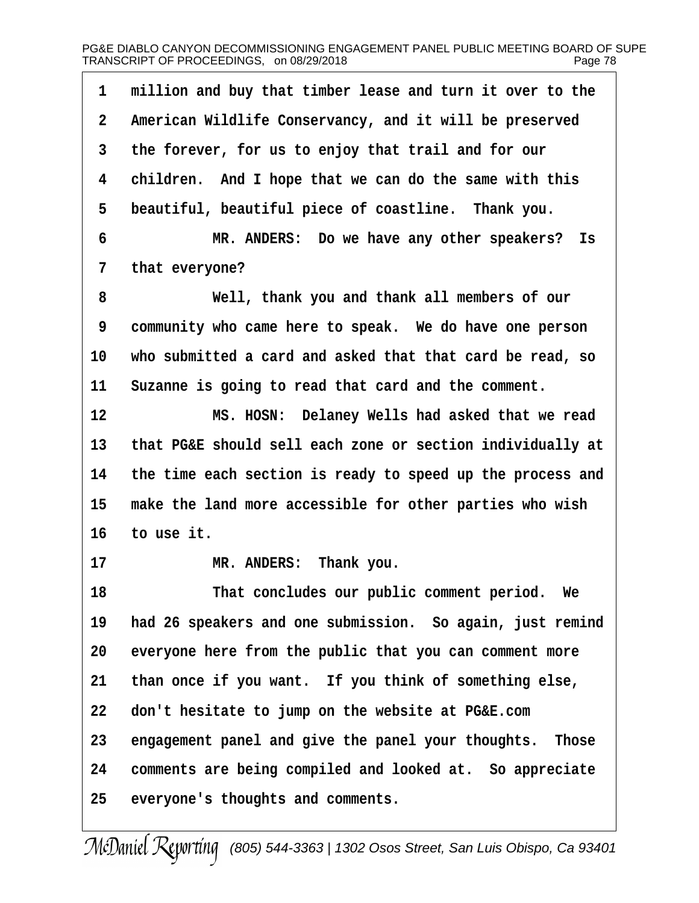| 1           | million and buy that timber lease and turn it over to the  |
|-------------|------------------------------------------------------------|
| $\mathbf 2$ | American Wildlife Conservancy, and it will be preserved    |
| 3           | the forever, for us to enjoy that trail and for our        |
| 4           | children. And I hope that we can do the same with this     |
| 5           | beautiful, beautiful piece of coastline. Thank you.        |
| 6           | MR. ANDERS: Do we have any other speakers?<br>Is           |
| 7           | that everyone?                                             |
| 8           | Well, thank you and thank all members of our               |
| 9           | community who came here to speak. We do have one person    |
| 10          | who submitted a card and asked that that card be read, so  |
| 11          | Suzanne is going to read that card and the comment.        |
| 12          | MS. HOSN: Delaney Wells had asked that we read             |
| 13          | that PG&E should sell each zone or section individually at |
| 14          | the time each section is ready to speed up the process and |
| 15          | make the land more accessible for other parties who wish   |
| 16          | to use it.                                                 |
| 17          | MR. ANDERS: Thank you.                                     |
| 18          | That concludes our public comment period. We               |
| 19          | had 26 speakers and one submission. So again, just remind  |
| 20          | everyone here from the public that you can comment more    |
| 21          | than once if you want. If you think of something else,     |
| 22          | don't hesitate to jump on the website at PG&E.com          |
| 23          | engagement panel and give the panel your thoughts. Those   |
| 24          | comments are being compiled and looked at. So appreciate   |
| 25          | everyone's thoughts and comments.                          |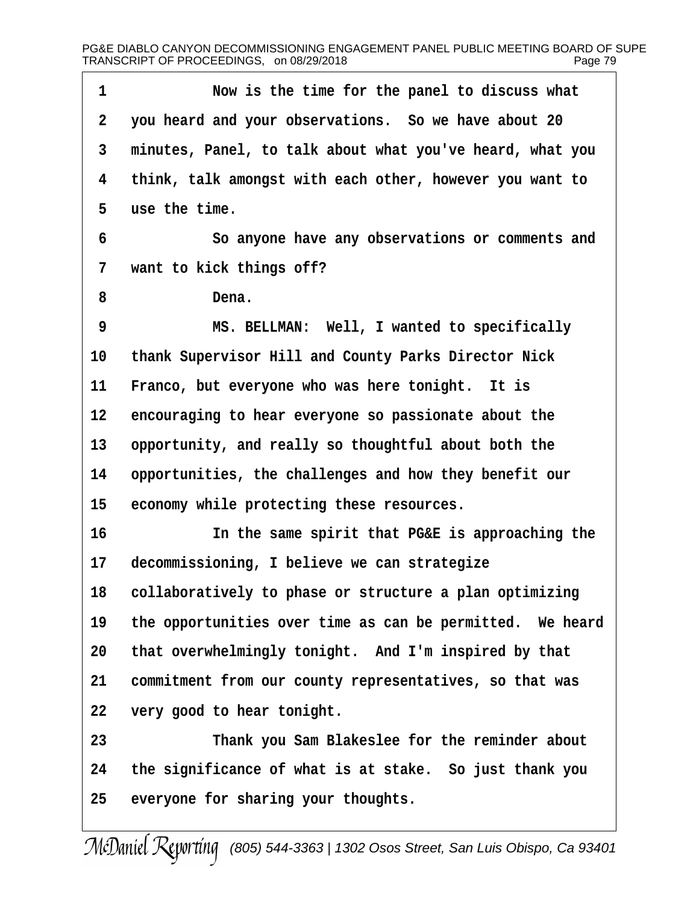**·1· · · · · · ·Now is the time for the panel to discuss what ·2· ·you heard and your observations.· So we have about 20 ·3· ·minutes, Panel, to talk about what you've heard, what you ·4· ·think, talk amongst with each other, however you want to ·5· ·use the time. ·6· · · · · · ·So anyone have any observations or comments and ·7· ·want to kick things off? ·8· · · · · · ·Dena. ·9· · · · · · ·MS. BELLMAN:· Well, I wanted to specifically 10· ·thank Supervisor Hill and County Parks Director Nick** 11 Franco, but everyone who was here tonight. It is 12 encouraging to hear everyone so passionate about the 13 opportunity, and really so thoughtful about both the **14· ·opportunities, the challenges and how they benefit our** 15 economy while protecting these resources. **16· · · · · · ·In the same spirit that PG&E is approaching the** 17 decommissioning, I believe we can strategize 18 collaboratively to phase or structure a plan optimizing 19 the opportunities over time as can be permitted. We heard 20 that overwhelmingly tonight. And I'm inspired by that 21 commitment from our county representatives, so that was **22· ·very good to hear tonight. 23· · · · · · ·Thank you Sam Blakeslee for the reminder about 24· ·the significance of what is at stake.· So just thank you** 25 everyone for sharing your thoughts.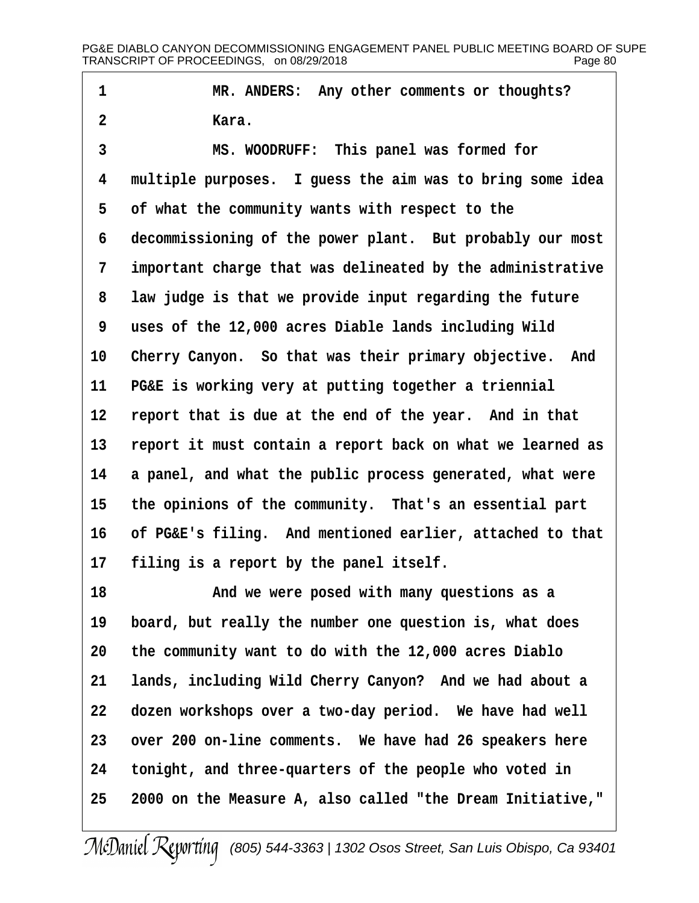1 **\*\*\* \*\*\* \*\*\* \*\*\* \*\*\* \*\*\* \*\*\* \*\*\* \*\*\* \*\*\* \*\*\* \*\*\* \*\*\* \*\*\* \*\*\* \*\*\* \*\*\* \*\*\* \*\*\* \*\*\* \*\*\* \*\*\* \*\*\* \*\*\* \*\*\* \*\*\* \*\*\* \*\*\* \*\*\* \*\*\* \*\*\* \*\*\* \*\*\* \*\*\* \*\*\* \*\*\* \*\*\* ·2· · · · · · ·Kara.**

**·3· · · · · · ·MS. WOODRUFF:· This panel was formed for ·4· ·multiple purposes.· I guess the aim was to bring some idea ·5· ·of what the community wants with respect to the** 6 decommissioning of the power plant. But probably our most **·7· ·important charge that was delineated by the administrative ·8· ·law judge is that we provide input regarding the future ·9· ·uses of the 12,000 acres Diable lands including Wild** 10 Cherry Canyon. So that was their primary objective. And 11 PG&E is working very at putting together a triennial 12 report that is due at the end of the year. And in that **13· ·report it must contain a report back on what we learned as** 14 a panel, and what the public process generated, what were 15 the opinions of the community. That's an essential part **16· ·of PG&E's filing.· And mentioned earlier, attached to that** 17 filing is a report by the panel itself.

**18· · · · · · ·And we were posed with many questions as a** 19 board, but really the number one question is, what does **20· ·the community want to do with the 12,000 acres Diablo** 21 **lands, including Wild Cherry Canyon?** And we had about a 22 dozen workshops over a two-day period. We have had well 23 over 200 on-line comments. We have had 26 speakers here **24· ·tonight, and three-quarters of the people who voted in 25· ·2000 on the Measure A, also called "the Dream Initiative,"**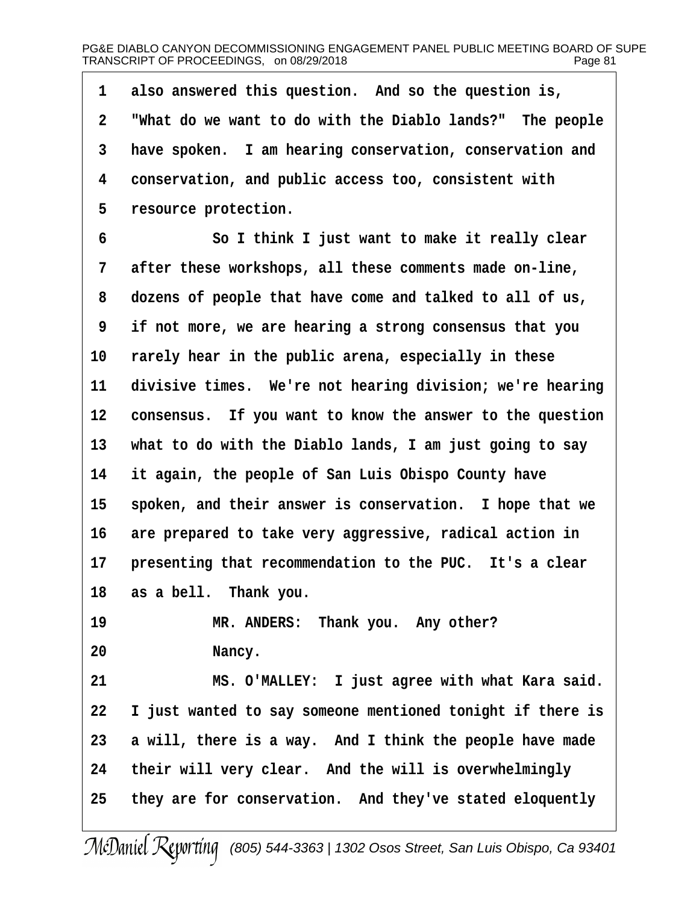**·1· ·also answered this question.· And so the question is, ·2· ·"What do we want to do with the Diablo lands?"· The people ·3· ·have spoken.· I am hearing conservation, conservation and ·4· ·conservation, and public access too, consistent with ·5· ·resource protection.**

**·6· · · · · · ·So I think I just want to make it really clear ·7· ·after these workshops, all these comments made on-line, ·8· ·dozens of people that have come and talked to all of us, ·9· ·if not more, we are hearing a strong consensus that you** 10 rarely hear in the public arena, especially in these 11 divisive times. We're not hearing division; we're hearing **12· ·consensus.· If you want to know the answer to the question 13· ·what to do with the Diablo lands, I am just going to say 14· ·it again, the people of San Luis Obispo County have** 15 spoken, and their answer is conservation. I hope that we 16 are prepared to take very aggressive, radical action in 17 **presenting that recommendation to the PUC.** It's a clear **18· ·as a bell.· Thank you.**

19 **MR. ANDERS:** Thank you. Any other? 20 **Nancy.** 

**21· · · · · · ·MS. O'MALLEY:· I just agree with what Kara said. 22· ·I just wanted to say someone mentioned tonight if there is** 23 a will, there is a way. And I think the people have made 24 their will very clear. And the will is overwhelmingly **25· ·they are for conservation.· And they've stated eloquently**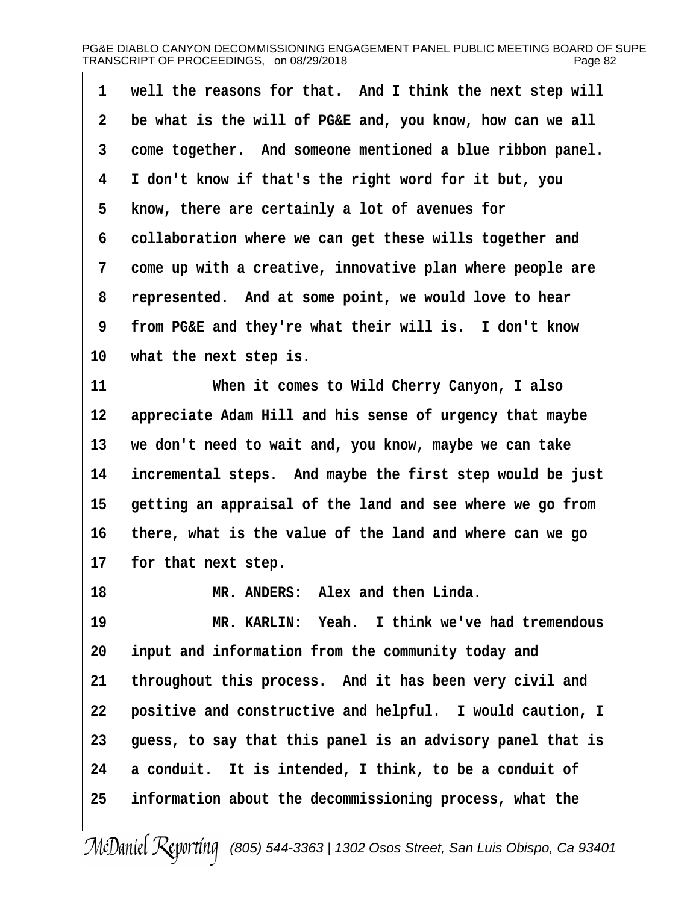| 1            | well the reasons for that. And I think the next step will  |
|--------------|------------------------------------------------------------|
| $\mathbf{2}$ | be what is the will of PG&E and, you know, how can we all  |
| 3            | come together. And someone mentioned a blue ribbon panel.  |
| 4            | I don't know if that's the right word for it but, you      |
| 5            | know, there are certainly a lot of avenues for             |
| 6            | collaboration where we can get these wills together and    |
| 7            | come up with a creative, innovative plan where people are  |
| 8            | represented. And at some point, we would love to hear      |
| 9            | from PG&E and they're what their will is. I don't know     |
| 10           | what the next step is.                                     |
| 11           | When it comes to Wild Cherry Canyon, I also                |
| 12           | appreciate Adam Hill and his sense of urgency that maybe   |
| 13           | we don't need to wait and, you know, maybe we can take     |
| 14           | incremental steps. And maybe the first step would be just  |
| 15           | getting an appraisal of the land and see where we go from  |
| 16           | there, what is the value of the land and where can we go   |
| $17 \,$      | for that next step.                                        |
| 18           | MR. ANDERS: Alex and then Linda.                           |
| 19           | MR. KARLIN: Yeah. I think we've had tremendous             |
| 20           | input and information from the community today and         |
| 21           | throughout this process. And it has been very civil and    |
| 22           | positive and constructive and helpful. I would caution, I  |
| 23           | guess, to say that this panel is an advisory panel that is |
| 24           | a conduit. It is intended, I think, to be a conduit of     |
| 25           | information about the decommissioning process, what the    |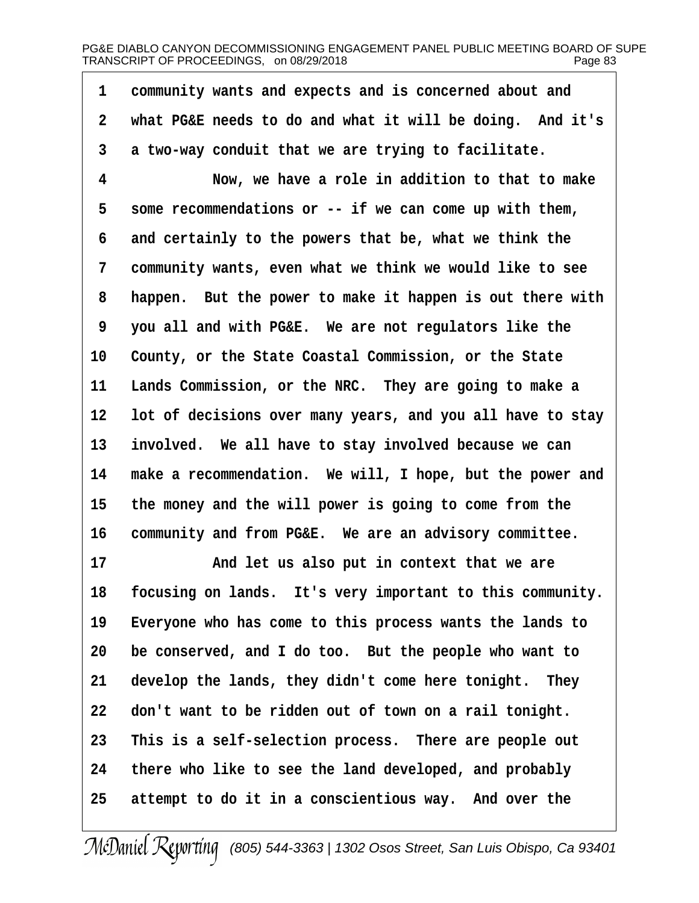1 community wants and expects and is concerned about and **·2· ·what PG&E needs to do and what it will be doing.· And it's ·3· ·a two-way conduit that we are trying to facilitate. ·4· · · · · · ·Now, we have a role in addition to that to make ·5· ·some recommendations or -- if we can come up with them, ·6· ·and certainly to the powers that be, what we think the ·7· ·community wants, even what we think we would like to see ·8· ·happen.· But the power to make it happen is out there with ·9· ·you all and with PG&E.· We are not regulators like the** 10 County, or the State Coastal Commission, or the State **11· ·Lands Commission, or the NRC.· They are going to make a 12· ·lot of decisions over many years, and you all have to stay** 13 involved. We all have to stay involved because we can **14· ·make a recommendation.· We will, I hope, but the power and 15· ·the money and the will power is going to come from the** 16 community and from PG&E. We are an advisory committee. 17 **• 17** *And let us also put in context that we are* 18 focusing on lands. It's very important to this community. 19 Everyone who has come to this process wants the lands to **20· ·be conserved, and I do too.· But the people who want to** 21 develop the lands, they didn't come here tonight. They **22· ·don't want to be ridden out of town on a rail tonight. 23· ·This is a self-selection process.· There are people out 24· ·there who like to see the land developed, and probably 25· ·attempt to do it in a conscientious way.· And over the**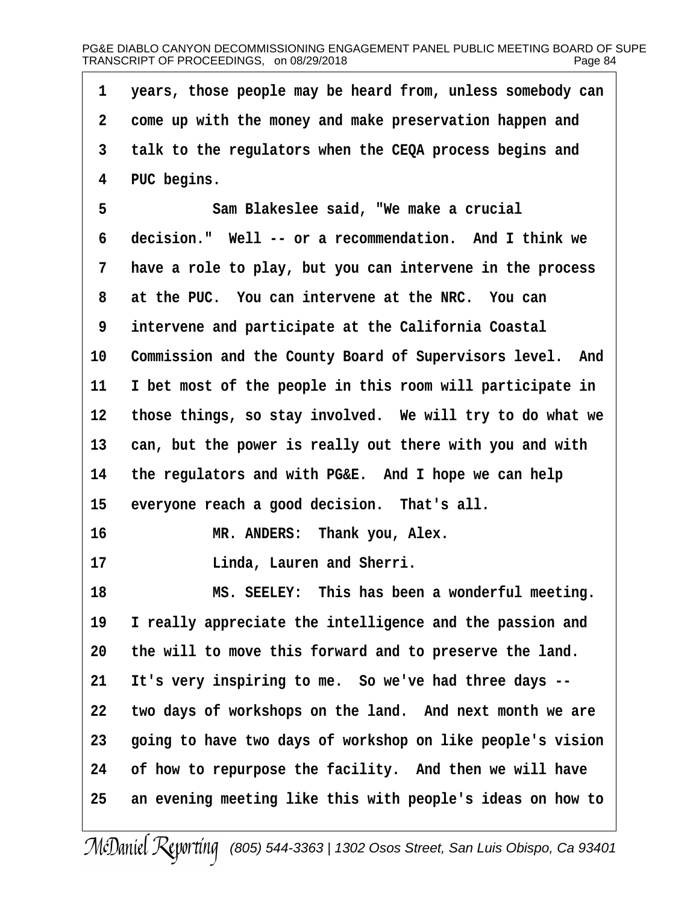**·1· ·years, those people may be heard from, unless somebody can ·2· ·come up with the money and make preservation happen and ·3· ·talk to the regulators when the CEQA process begins and ·4· ·PUC begins. ·5· · · · · · ·Sam Blakeslee said, "We make a crucial ·6· ·decision."· Well -- or a recommendation.· And I think we ·7· ·have a role to play, but you can intervene in the process ·8· ·at the PUC.· You can intervene at the NRC.· You can ·9· ·intervene and participate at the California Coastal** 10 Commission and the County Board of Supervisors level. And 11 I bet most of the people in this room will participate in **12· ·those things, so stay involved.· We will try to do what we** 13 can, but the power is really out there with you and with 14 the regulators and with PG&E. And I hope we can help 15 everyone reach a good decision. That's all. 16 **MR. ANDERS:** Thank you, Alex. **17· · · · · · ·Linda, Lauren and Sherri. 18· · · · · · ·MS. SEELEY:· This has been a wonderful meeting.** 19 I really appreciate the intelligence and the passion and **20· ·the will to move this forward and to preserve the land.** 21 It's very inspiring to me. So we've had three days --22 two days of workshops on the land. And next month we are **23· ·going to have two days of workshop on like people's vision** 24 of how to repurpose the facility. And then we will have **25· ·an evening meeting like this with people's ideas on how to**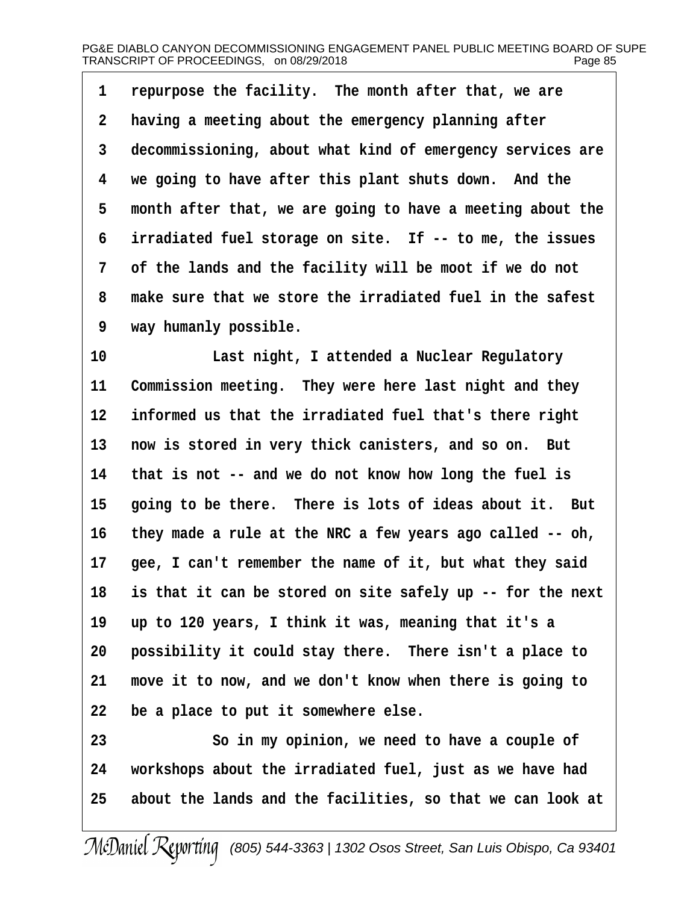**·1· ·repurpose the facility.· The month after that, we are ·2· ·having a meeting about the emergency planning after ·3· ·decommissioning, about what kind of emergency services are ·4· ·we going to have after this plant shuts down.· And the ·5· ·month after that, we are going to have a meeting about the ·6· ·irradiated fuel storage on site.· If -- to me, the issues ·7· ·of the lands and the facility will be moot if we do not ·8· ·make sure that we store the irradiated fuel in the safest ·9· ·way humanly possible.**

**10· · · · · · ·Last night, I attended a Nuclear Regulatory** 11 Commission meeting. They were here last night and they 12 informed us that the irradiated fuel that's there right 13 now is stored in very thick canisters, and so on. But **14· ·that is not -- and we do not know how long the fuel is** 15 going to be there. There is lots of ideas about it. But **16· ·they made a rule at the NRC a few years ago called -- oh,** 17 **gee, I can't remember the name of it, but what they said 18· ·is that it can be stored on site safely up -- for the next 19· ·up to 120 years, I think it was, meaning that it's a** 20 **possibility it could stay there.** There isn't a place to **21· ·move it to now, and we don't know when there is going to 22· ·be a place to put it somewhere else.**

**23· · · · · · ·So in my opinion, we need to have a couple of 24· ·workshops about the irradiated fuel, just as we have had 25· ·about the lands and the facilities, so that we can look at**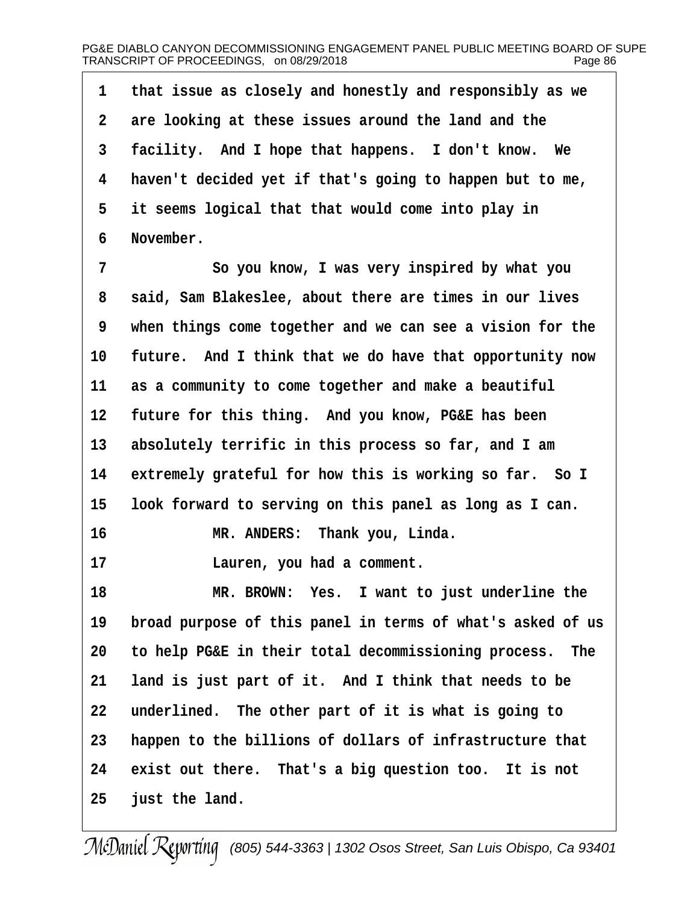**·1· ·that issue as closely and honestly and responsibly as we ·2· ·are looking at these issues around the land and the 3** facility. And I hope that happens. I don't know. We **·4· ·haven't decided yet if that's going to happen but to me, ·5· ·it seems logical that that would come into play in ·6· ·November.**

**·7· · · · · · ·So you know, I was very inspired by what you ·8· ·said, Sam Blakeslee, about there are times in our lives ·9· ·when things come together and we can see a vision for the** 10 future. And I think that we do have that opportunity now **11· ·as a community to come together and make a beautiful 12· ·future for this thing.· And you know, PG&E has been** 13 absolutely terrific in this process so far, and I am 14 extremely grateful for how this is working so far. So I 15 look forward to serving on this panel as long as I can. 16 **MR. ANDERS:** Thank you, Linda. **17· · · · · · ·Lauren, you had a comment. 18· · · · · · ·MR. BROWN:· Yes.· I want to just underline the 19· ·broad purpose of this panel in terms of what's asked of us 20· ·to help PG&E in their total decommissioning process.· The** 21 **land is just part of it. And I think that needs to be 22· ·underlined.· The other part of it is what is going to 23· ·happen to the billions of dollars of infrastructure that** 24 exist out there. That's a big question too. It is not **25· ·just the land.**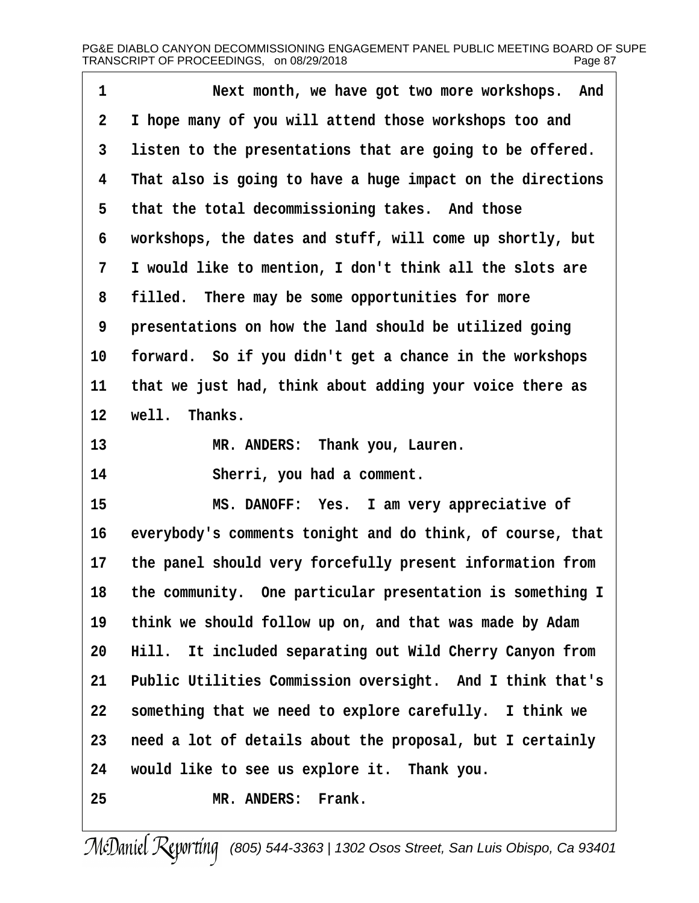| $\mathbf 1$  | Next month, we have got two more workshops. And            |
|--------------|------------------------------------------------------------|
| $\mathbf{2}$ | I hope many of you will attend those workshops too and     |
| 3            | listen to the presentations that are going to be offered.  |
| 4            | That also is going to have a huge impact on the directions |
| 5            | that the total decommissioning takes. And those            |
| 6            | workshops, the dates and stuff, will come up shortly, but  |
| 7            | I would like to mention, I don't think all the slots are   |
| 8            | filled. There may be some opportunities for more           |
| 9            | presentations on how the land should be utilized going     |
| 10           | forward. So if you didn't get a chance in the workshops    |
| 11           | that we just had, think about adding your voice there as   |
| 12           | well. Thanks.                                              |
| 13           | MR. ANDERS: Thank you, Lauren.                             |
| 14           | Sherri, you had a comment.                                 |
| 15           | MS. DANOFF: Yes. I am very appreciative of                 |
| 16           | everybody's comments tonight and do think, of course, that |
| 17           | the panel should very forcefully present information from  |
| 18           | the community. One particular presentation is something I  |
| 19           | think we should follow up on, and that was made by Adam    |
| 20           | Hill. It included separating out Wild Cherry Canyon from   |
| 21           | Public Utilities Commission oversight. And I think that's  |
| 22           | something that we need to explore carefully. I think we    |
| 23           | need a lot of details about the proposal, but I certainly  |
| 24           | would like to see us explore it. Thank you.                |
| 25           | MR. ANDERS: Frank.                                         |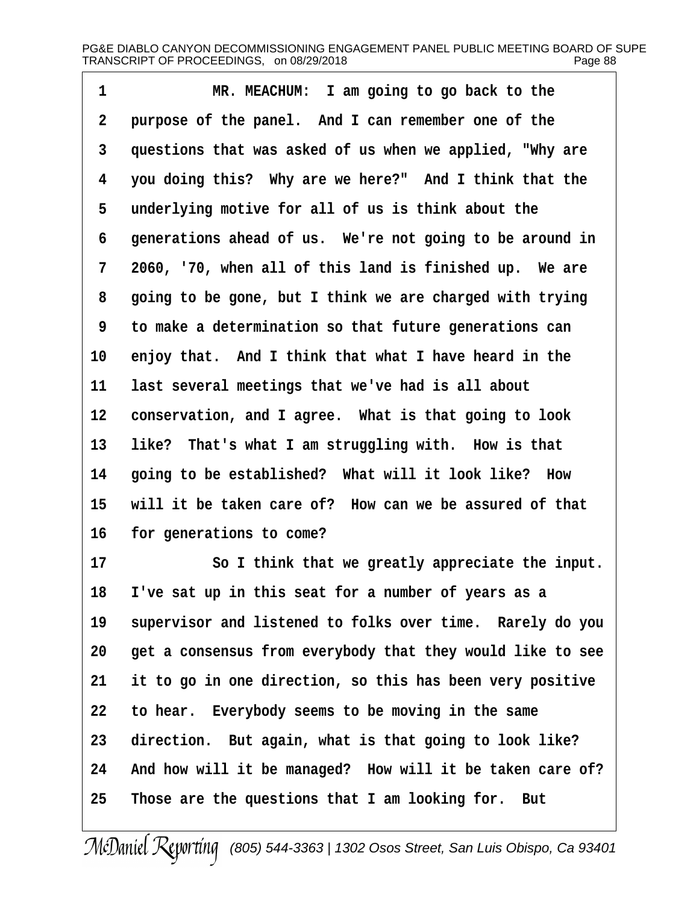**1** *MR. MEACHUM:* **I am going to go back to the ·2· ·purpose of the panel.· And I can remember one of the ·3· ·questions that was asked of us when we applied, "Why are ·4· ·you doing this?· Why are we here?"· And I think that the ·5· ·underlying motive for all of us is think about the ·6· ·generations ahead of us.· We're not going to be around in ·7· ·2060, '70, when all of this land is finished up.· We are ·8· ·going to be gone, but I think we are charged with trying ·9· ·to make a determination so that future generations can** 10 enjoy that. And I think that what I have heard in the **11· ·last several meetings that we've had is all about** 12 **conservation, and I agree.** What is that going to look 13 like? That's what I am struggling with. How is that 14 **going to be established?** What will it look like? How 15 will it be taken care of? How can we be assured of that 16 **for generations to come?** 

**17· · · · · · ·So I think that we greatly appreciate the input. 18· ·I've sat up in this seat for a number of years as a** 19 supervisor and listened to folks over time. Rarely do you **20· ·get a consensus from everybody that they would like to see 21· ·it to go in one direction, so this has been very positive 22· ·to hear.· Everybody seems to be moving in the same 23· ·direction.· But again, what is that going to look like?** 24 And how will it be managed? How will it be taken care of? **25· ·Those are the questions that I am looking for.· But**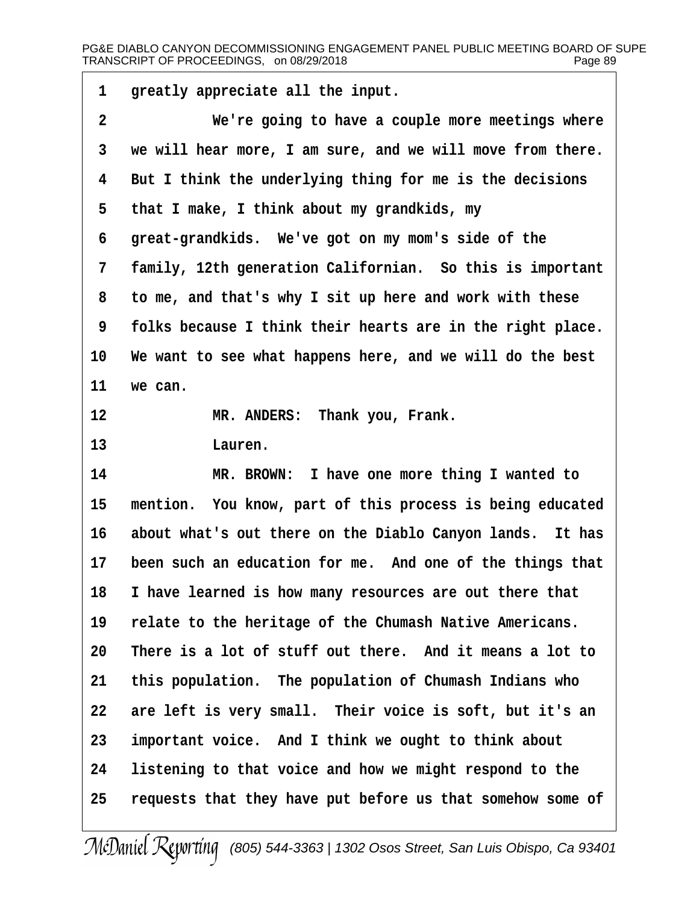| 1                       | greatly appreciate all the input.                          |
|-------------------------|------------------------------------------------------------|
| $\overline{\mathbf{2}}$ | We're going to have a couple more meetings where           |
| 3                       | we will hear more, I am sure, and we will move from there. |
| 4                       | But I think the underlying thing for me is the decisions   |
| 5                       | that I make, I think about my grandkids, my                |
| 6                       | great-grandkids. We've got on my mom's side of the         |
| 7                       | family, 12th generation Californian. So this is important  |
| 8                       | to me, and that's why I sit up here and work with these    |
| 9                       | folks because I think their hearts are in the right place. |
| 10                      | We want to see what happens here, and we will do the best  |
| 11                      | we can.                                                    |
| 12                      | MR. ANDERS: Thank you, Frank.                              |
| 13                      | Lauren.                                                    |
| 14                      | MR. BROWN: I have one more thing I wanted to               |
| 15                      | mention. You know, part of this process is being educated  |
| 16                      | about what's out there on the Diablo Canyon lands. It has  |
| $17 \,$                 | been such an education for me. And one of the things that  |
| 18                      | I have learned is how many resources are out there that    |
| 19                      | relate to the heritage of the Chumash Native Americans.    |
| 20                      | There is a lot of stuff out there. And it means a lot to   |
| 21                      | this population. The population of Chumash Indians who     |
| 22                      | are left is very small. Their voice is soft, but it's an   |
| 23                      | important voice. And I think we ought to think about       |
| 24                      | listening to that voice and how we might respond to the    |
| 25                      | requests that they have put before us that somehow some of |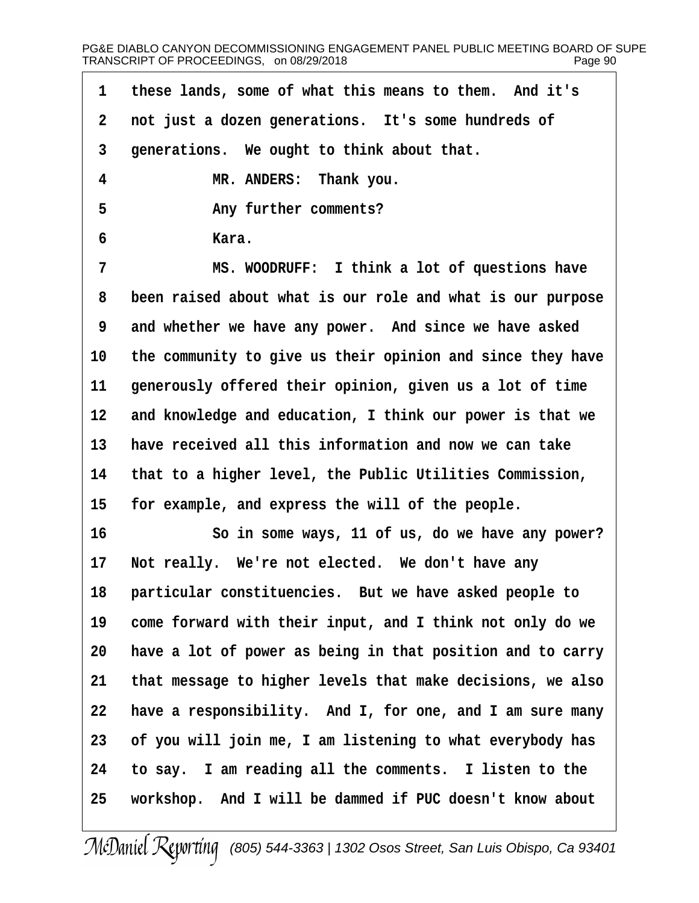| 1            | these lands, some of what this means to them. And it's     |
|--------------|------------------------------------------------------------|
| $\mathbf{2}$ | not just a dozen generations. It's some hundreds of        |
| $\mathbf{3}$ | generations. We ought to think about that.                 |
| 4            | MR. ANDERS: Thank you.                                     |
| 5            | Any further comments?                                      |
| 6            | Kara.                                                      |
| 7            | MS. WOODRUFF: I think a lot of questions have              |
| 8            | been raised about what is our role and what is our purpose |
| 9            | and whether we have any power. And since we have asked     |
| 10           | the community to give us their opinion and since they have |
| 11           | generously offered their opinion, given us a lot of time   |
| 12           | and knowledge and education, I think our power is that we  |
| 13           | have received all this information and now we can take     |
| 14           | that to a higher level, the Public Utilities Commission,   |
| 15           | for example, and express the will of the people.           |
| 16           | So in some ways, 11 of us, do we have any power?           |
| 17           | Not really. We're not elected. We don't have any           |
| 18           | particular constituencies. But we have asked people to     |
| 19           | come forward with their input, and I think not only do we  |
| 20           | have a lot of power as being in that position and to carry |
| 21           | that message to higher levels that make decisions, we also |
| 22           | have a responsibility. And I, for one, and I am sure many  |
| 23           | of you will join me, I am listening to what everybody has  |
| 24           | to say. I am reading all the comments. I listen to the     |
| 25           | workshop. And I will be dammed if PUC doesn't know about   |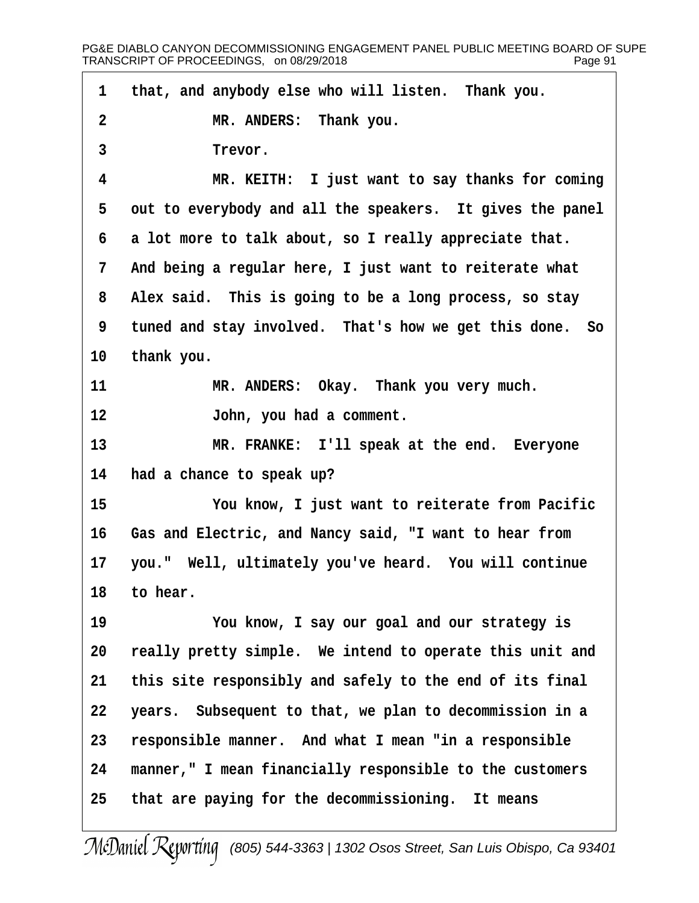1 that, and anybody else who will listen. Thank you. **·2· · · · · · ·MR. ANDERS:· Thank you.** 3 **Trevor. ·4· · · · · · ·MR. KEITH:· I just want to say thanks for coming** 5 out to everybody and all the speakers. It gives the panel **·6· ·a lot more to talk about, so I really appreciate that. ·7· ·And being a regular here, I just want to reiterate what ·8· ·Alex said.· This is going to be a long process, so stay ·9· ·tuned and stay involved.· That's how we get this done.· So** 10 thank you. **11· · · · · · ·MR. ANDERS:· Okay.· Thank you very much. 12· · · · · · ·John, you had a comment. 13· · · · · · ·MR. FRANKE:· I'll speak at the end.· Everyone 14· ·had a chance to speak up? 15· · · · · · ·You know, I just want to reiterate from Pacific 16· ·Gas and Electric, and Nancy said, "I want to hear from** 17 you." Well, ultimately you've heard. You will continue 18 to hear. **19· · · · · · ·You know, I say our goal and our strategy is 20· ·really pretty simple.· We intend to operate this unit and** 21 this site responsibly and safely to the end of its final **22· ·years.· Subsequent to that, we plan to decommission in a** 23 responsible manner. And what I mean "in a responsible **24· ·manner," I mean financially responsible to the customers 25· ·that are paying for the decommissioning.· It means**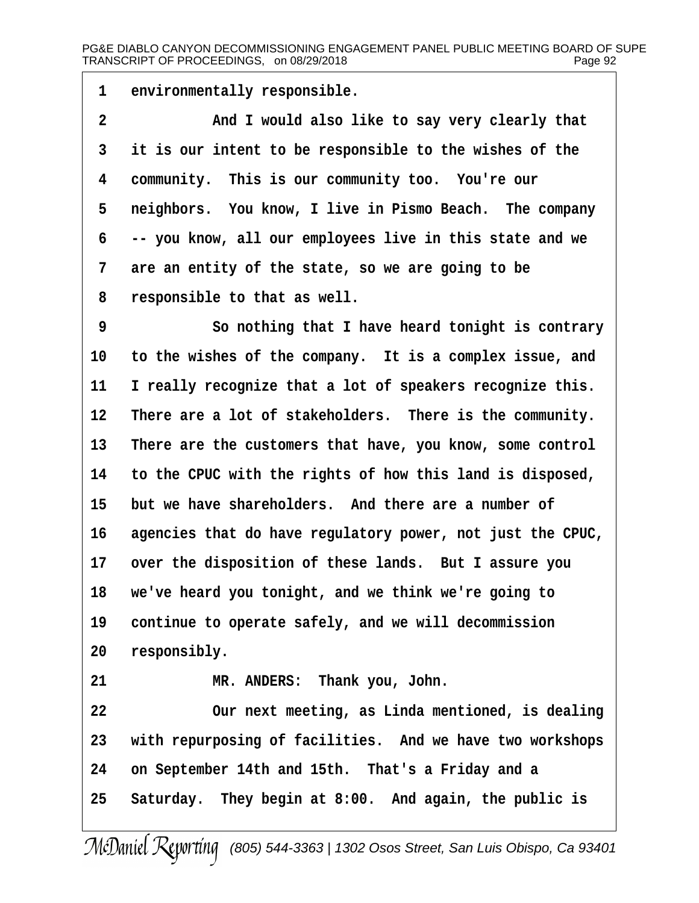1 environmentally responsible.

**·2· · · · · · ·And I would also like to say very clearly that ·3· ·it is our intent to be responsible to the wishes of the ·4· ·community.· This is our community too.· You're our** 5 **reighbors.** You know, I live in Pismo Beach. The company **·6· ·-- you know, all our employees live in this state and we ·7· ·are an entity of the state, so we are going to be ·8· ·responsible to that as well.**

**·9· · · · · · ·So nothing that I have heard tonight is contrary** 10 to the wishes of the company. It is a complex issue, and 11 I really recognize that a lot of speakers recognize this. 12 There are a lot of stakeholders. There is the community. 13 There are the customers that have, you know, some control **14· ·to the CPUC with the rights of how this land is disposed, 15· ·but we have shareholders.· And there are a number of** 16 agencies that do have regulatory power, not just the CPUC, 17 over the disposition of these lands. But I assure you **18· ·we've heard you tonight, and we think we're going to** 19 continue to operate safely, and we will decommission 20 responsibly.

21 **8 MR. ANDERS:** Thank you, John.

**22· · · · · · ·Our next meeting, as Linda mentioned, is dealing** 23 with repurposing of facilities. And we have two workshops **24· ·on September 14th and 15th.· That's a Friday and a 25· ·Saturday.· They begin at 8:00.· And again, the public is**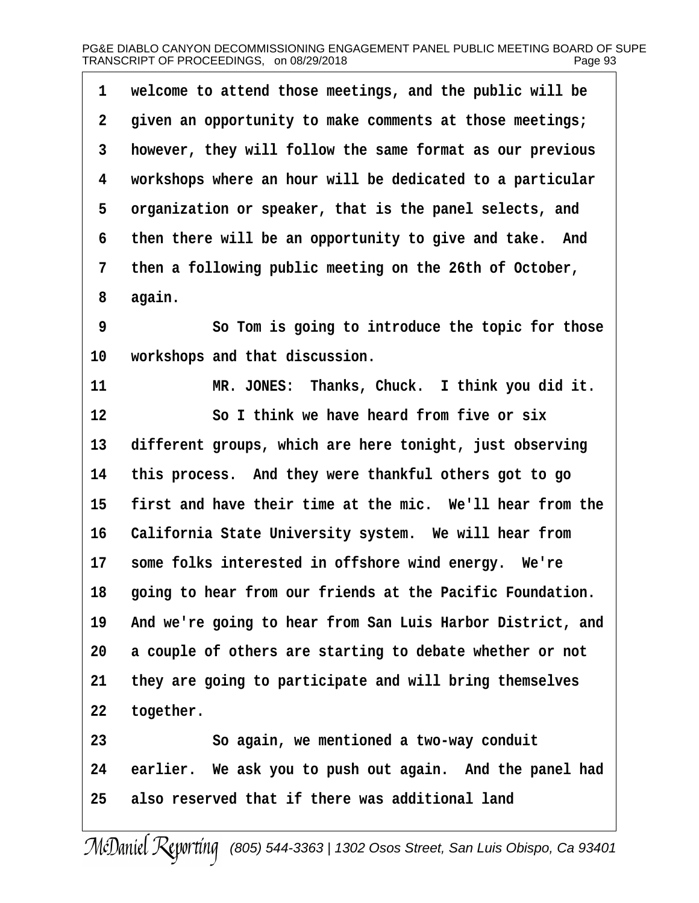| $\mathbf{1}$   | welcome to attend those meetings, and the public will be  |
|----------------|-----------------------------------------------------------|
| $\mathbf{2}$   | given an opportunity to make comments at those meetings;  |
| 3              | however, they will follow the same format as our previous |
| 4              | workshops where an hour will be dedicated to a particular |
| 5              | organization or speaker, that is the panel selects, and   |
| б.             | then there will be an opportunity to give and take. And   |
| $7\phantom{.}$ | then a following public meeting on the 26th of October,   |
| 8              | again.                                                    |
| 9              | So Tom is going to introduce the topic for those          |
| 10             | workshops and that discussion.                            |
|                |                                                           |

11 **MR. JONES: Thanks, Chuck.** I think you did it. **12· · · · · · ·So I think we have heard from five or six** 13 different groups, which are here tonight, just observing **14· ·this process.· And they were thankful others got to go 15· ·first and have their time at the mic.· We'll hear from the** 16 California State University system. We will hear from 17 some folks interested in offshore wind energy. We're **18· ·going to hear from our friends at the Pacific Foundation. 19· ·And we're going to hear from San Luis Harbor District, and 20· ·a couple of others are starting to debate whether or not 21· ·they are going to participate and will bring themselves** 22 together.

**23· · · · · · ·So again, we mentioned a two-way conduit** 24 earlier. We ask you to push out again. And the panel had **25· ·also reserved that if there was additional land**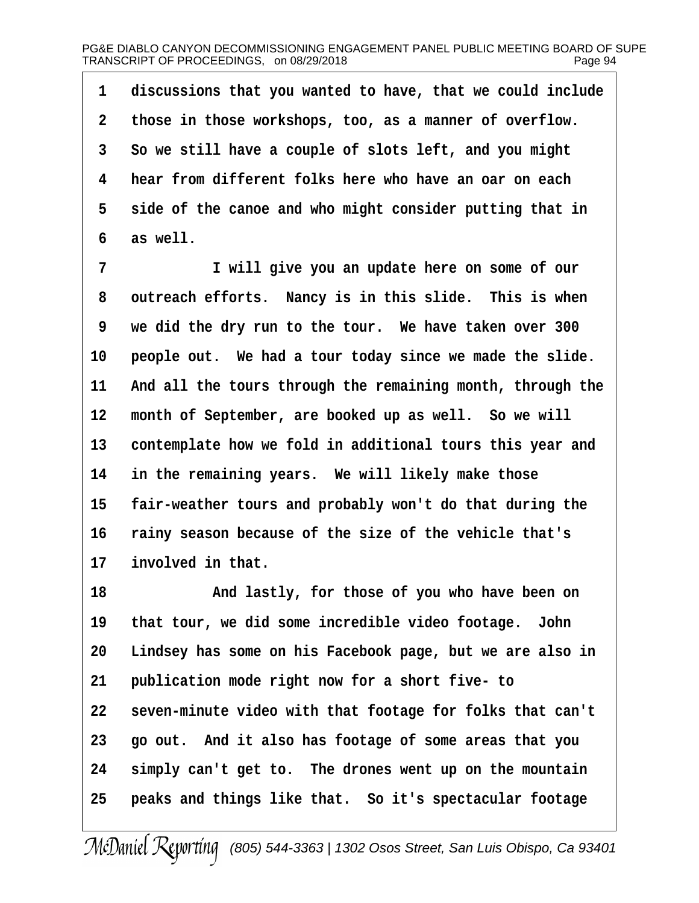**·1· ·discussions that you wanted to have, that we could include ·2· ·those in those workshops, too, as a manner of overflow. ·3· ·So we still have a couple of slots left, and you might ·4· ·hear from different folks here who have an oar on each** 5 side of the canoe and who might consider putting that in **·6· ·as well.**

**·7· · · · · · ·I will give you an update here on some of our ·8· ·outreach efforts.· Nancy is in this slide.· This is when ·9· ·we did the dry run to the tour.· We have taken over 300** 10 **people out.** We had a tour today since we made the slide. 11 And all the tours through the remaining month, through the 12 month of September, are booked up as well. So we will 13 contemplate how we fold in additional tours this year and 14 in the remaining years. We will likely make those 15 **fair-weather tours and probably won't do that during the 16· ·rainy season because of the size of the vehicle that's** 17 **involved** in that.

**18· · · · · · ·And lastly, for those of you who have been on 19· ·that tour, we did some incredible video footage.· John 20· ·Lindsey has some on his Facebook page, but we are also in** 21 **publication mode right now for a short five- to 22· ·seven-minute video with that footage for folks that can't 23· ·go out.· And it also has footage of some areas that you** 24 simply can't get to. The drones went up on the mountain 25 **· peaks and things like that.** So it's spectacular footage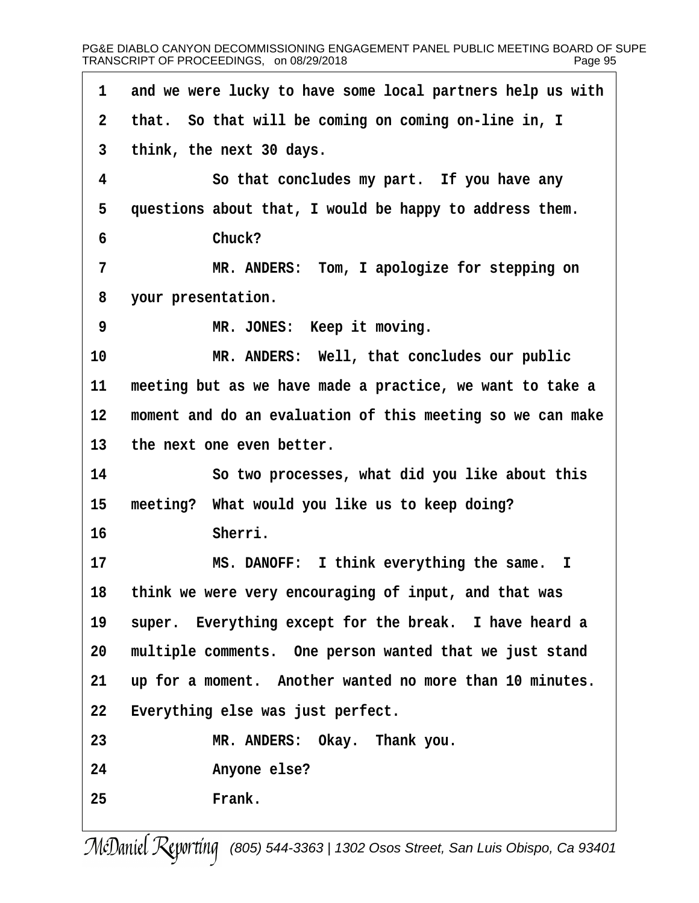| 1               | and we were lucky to have some local partners help us with |
|-----------------|------------------------------------------------------------|
| $\overline{a}$  | that. So that will be coming on coming on-line in, I       |
| $\overline{3}$  | think, the next 30 days.                                   |
| 4               | So that concludes my part. If you have any                 |
| 5               | questions about that, I would be happy to address them.    |
| 6               | Chuck?                                                     |
| 7               | MR. ANDERS: Tom, I apologize for stepping on               |
| 8               | your presentation.                                         |
| 9               | MR. JONES: Keep it moving.                                 |
| 10              | MR. ANDERS: Well, that concludes our public                |
| 11              | meeting but as we have made a practice, we want to take a  |
| 12              | moment and do an evaluation of this meeting so we can make |
| 13              | the next one even better.                                  |
| 14              | So two processes, what did you like about this             |
| 15              | meeting? What would you like us to keep doing?             |
| 16              | Sherri.                                                    |
| 17              | MS. DANOFF: I think everything the same. I                 |
| 18              | think we were very encouraging of input, and that was      |
| 19              | super. Everything except for the break. I have heard a     |
| 20 <sub>o</sub> | multiple comments. One person wanted that we just stand    |
| 21              | up for a moment. Another wanted no more than 10 minutes.   |
| 22              | Everything else was just perfect.                          |
| 23              | MR. ANDERS: Okay. Thank you.                               |
| 24              | Anyone else?                                               |
| 25              | Frank.                                                     |
|                 |                                                            |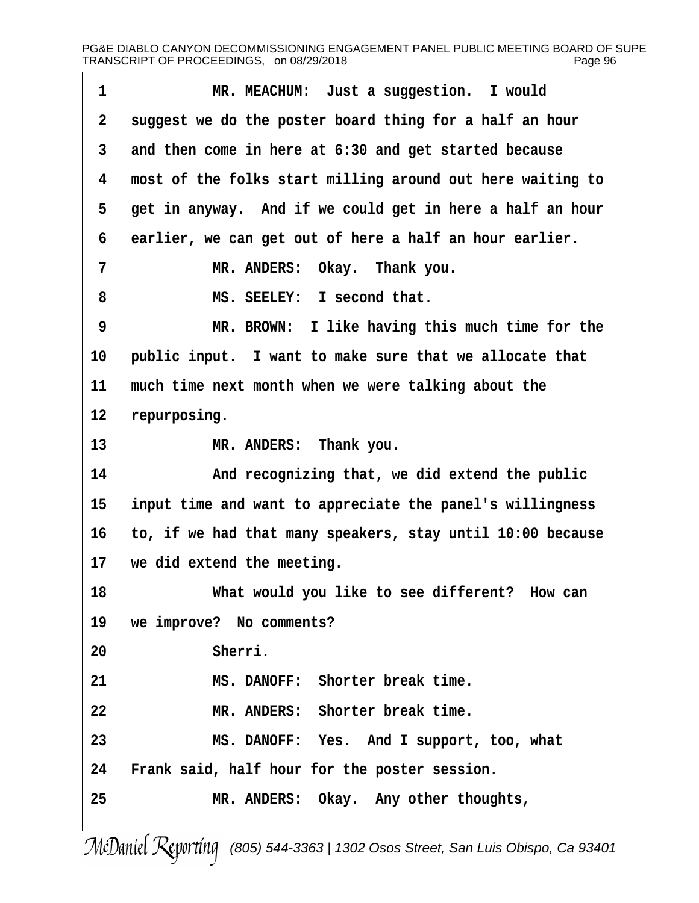| $\mathbf 1$             | MR. MEACHUM: Just a suggestion. I would                    |
|-------------------------|------------------------------------------------------------|
| $\overline{\mathbf{2}}$ | suggest we do the poster board thing for a half an hour    |
| 3                       | and then come in here at 6:30 and get started because      |
| 4                       | most of the folks start milling around out here waiting to |
| 5                       | get in anyway. And if we could get in here a half an hour  |
| 6                       | earlier, we can get out of here a half an hour earlier.    |
| 7                       | MR. ANDERS: Okay. Thank you.                               |
| 8                       | MS. SEELEY: I second that.                                 |
| 9                       | MR. BROWN: I like having this much time for the            |
| 10                      | public input. I want to make sure that we allocate that    |
| 11                      | much time next month when we were talking about the        |
| 12                      | repurposing.                                               |
| 13                      | MR. ANDERS: Thank you.                                     |
| 14                      | And recognizing that, we did extend the public             |
| 15                      | input time and want to appreciate the panel's willingness  |
| 16                      | to, if we had that many speakers, stay until 10:00 because |
| 17                      | we did extend the meeting.                                 |
| 18                      | What would you like to see different? How can              |
| 19                      | we improve? No comments?                                   |
| 20                      | Sherri.                                                    |
| 21                      | MS. DANOFF: Shorter break time.                            |
| 22                      | MR. ANDERS: Shorter break time.                            |
| 23                      | MS. DANOFF: Yes. And I support, too, what                  |
| 24                      | Frank said, half hour for the poster session.              |
| 25                      | MR. ANDERS: Okay. Any other thoughts,                      |
|                         |                                                            |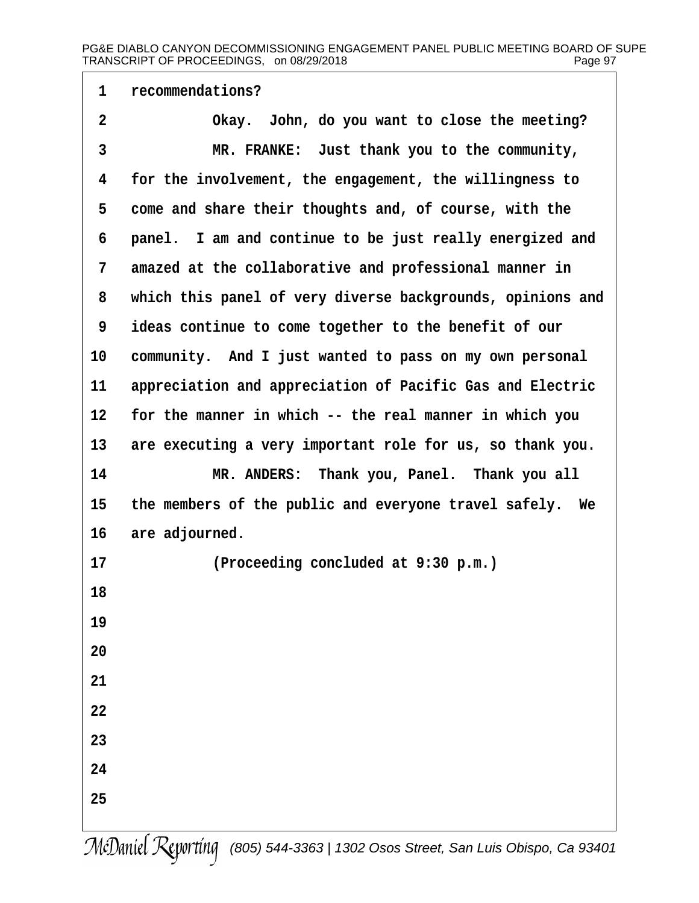# **·1· ·recommendations? ·2· · · · · · ·Okay.· John, do you want to close the meeting? ·3· · · · · · ·MR. FRANKE:· Just thank you to the community, ·4· ·for the involvement, the engagement, the willingness to** 5 come and share their thoughts and, of course, with the **·6· ·panel.· I am and continue to be just really energized and ·7· ·amazed at the collaborative and professional manner in ·8· ·which this panel of very diverse backgrounds, opinions and ·9· ·ideas continue to come together to the benefit of our** 10 community. And I just wanted to pass on my own personal 11 appreciation and appreciation of Pacific Gas and Electric 12 for the manner in which -- the real manner in which you 13 are executing a very important role for us, so thank you. **14· · · · · · ·MR. ANDERS:· Thank you, Panel.· Thank you all 15· ·the members of the public and everyone travel safely.· We** 16 are adjourned. **17· · · · · · ·(Proceeding concluded at 9:30 p.m.) 18 19 20 21 22 23 24 25**